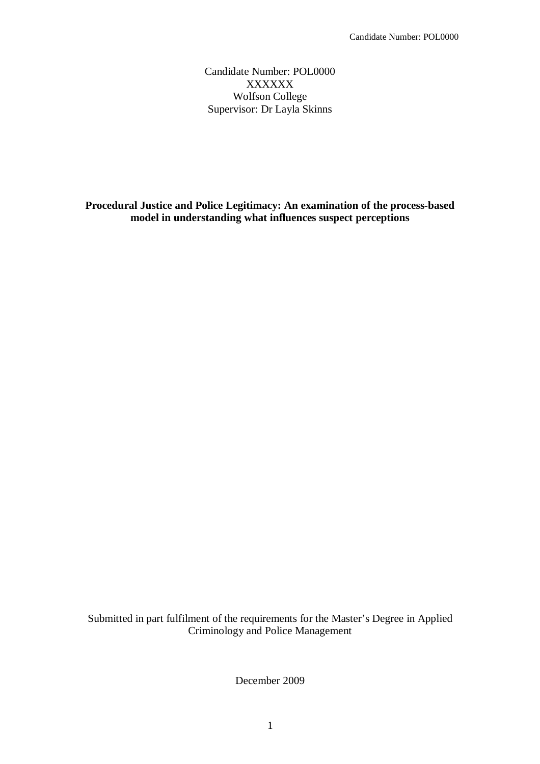Candidate Number: POL0000 XXXXXX Wolfson College Supervisor: Dr Layla Skinns

**Procedural Justice and Police Legitimacy: An examination of the process-based model in understanding what influences suspect perceptions**

Submitted in part fulfilment of the requirements for the Master's Degree in Applied Criminology and Police Management

December 2009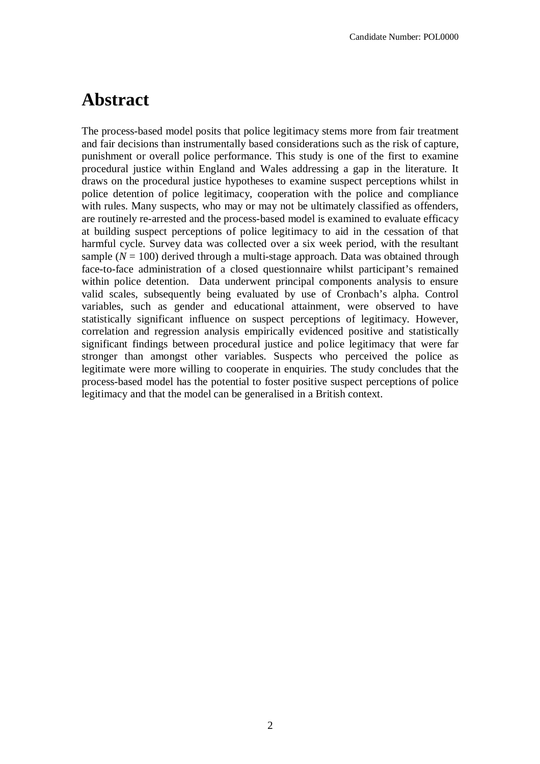# **Abstract**

The process-based model posits that police legitimacy stems more from fair treatment and fair decisions than instrumentally based considerations such as the risk of capture, punishment or overall police performance. This study is one of the first to examine procedural justice within England and Wales addressing a gap in the literature. It draws on the procedural justice hypotheses to examine suspect perceptions whilst in police detention of police legitimacy, cooperation with the police and compliance with rules. Many suspects, who may or may not be ultimately classified as offenders, are routinely re-arrested and the process-based model is examined to evaluate efficacy at building suspect perceptions of police legitimacy to aid in the cessation of that harmful cycle. Survey data was collected over a six week period, with the resultant sample  $(N = 100)$  derived through a multi-stage approach. Data was obtained through face-to-face administration of a closed questionnaire whilst participant's remained within police detention. Data underwent principal components analysis to ensure valid scales, subsequently being evaluated by use of Cronbach's alpha. Control variables, such as gender and educational attainment, were observed to have statistically significant influence on suspect perceptions of legitimacy. However, correlation and regression analysis empirically evidenced positive and statistically significant findings between procedural justice and police legitimacy that were far stronger than amongst other variables. Suspects who perceived the police as legitimate were more willing to cooperate in enquiries. The study concludes that the process-based model has the potential to foster positive suspect perceptions of police legitimacy and that the model can be generalised in a British context.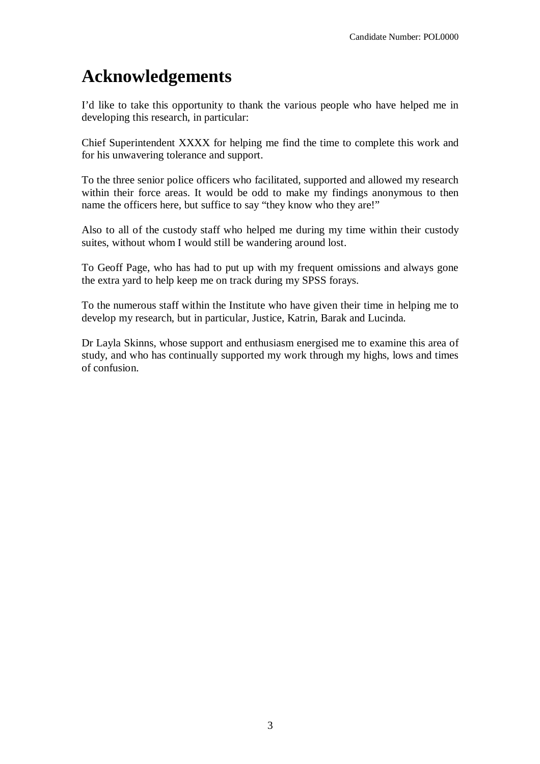# **Acknowledgements**

I'd like to take this opportunity to thank the various people who have helped me in developing this research, in particular:

Chief Superintendent XXXX for helping me find the time to complete this work and for his unwavering tolerance and support.

To the three senior police officers who facilitated, supported and allowed my research within their force areas. It would be odd to make my findings anonymous to then name the officers here, but suffice to say "they know who they are!"

Also to all of the custody staff who helped me during my time within their custody suites, without whom I would still be wandering around lost.

To Geoff Page, who has had to put up with my frequent omissions and always gone the extra yard to help keep me on track during my SPSS forays.

To the numerous staff within the Institute who have given their time in helping me to develop my research, but in particular, Justice, Katrin, Barak and Lucinda.

Dr Layla Skinns, whose support and enthusiasm energised me to examine this area of study, and who has continually supported my work through my highs, lows and times of confusion.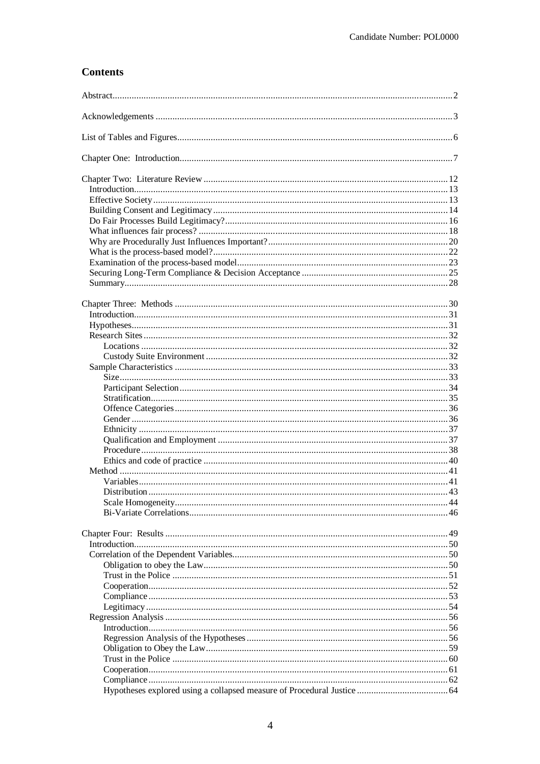## **Contents**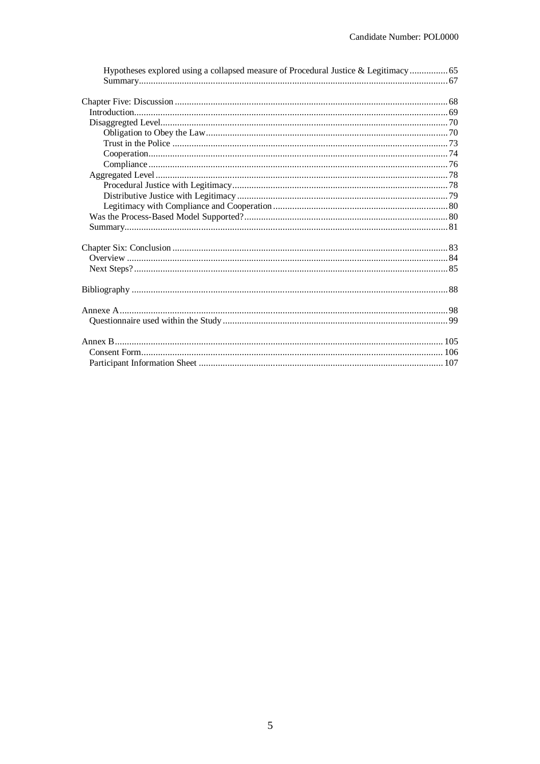| Hypotheses explored using a collapsed measure of Procedural Justice & Legitimacy  65 |  |
|--------------------------------------------------------------------------------------|--|
|                                                                                      |  |
|                                                                                      |  |
|                                                                                      |  |
|                                                                                      |  |
|                                                                                      |  |
|                                                                                      |  |
|                                                                                      |  |
|                                                                                      |  |
|                                                                                      |  |
|                                                                                      |  |
|                                                                                      |  |
|                                                                                      |  |
|                                                                                      |  |
|                                                                                      |  |
|                                                                                      |  |
|                                                                                      |  |
|                                                                                      |  |
|                                                                                      |  |
|                                                                                      |  |
|                                                                                      |  |
|                                                                                      |  |
|                                                                                      |  |
|                                                                                      |  |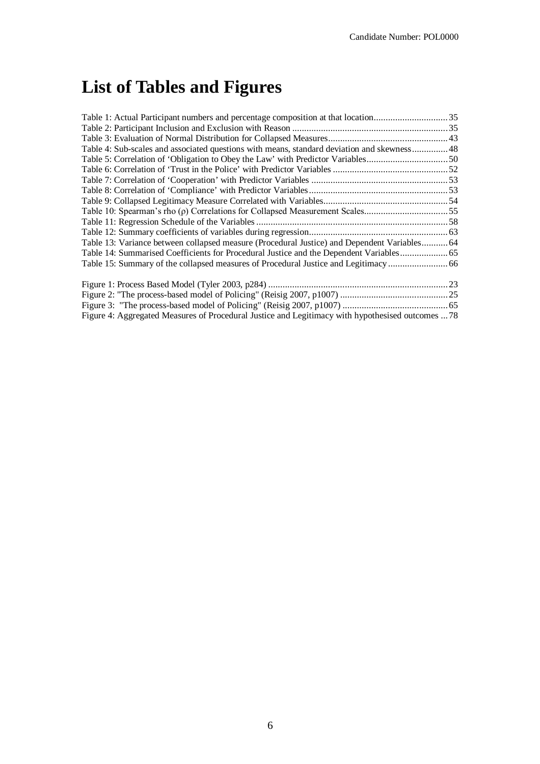# **List of Tables and Figures**

| Table 1: Actual Participant numbers and percentage composition at that location35                 |  |
|---------------------------------------------------------------------------------------------------|--|
|                                                                                                   |  |
|                                                                                                   |  |
| Table 4: Sub-scales and associated questions with means, standard deviation and skewness 48       |  |
|                                                                                                   |  |
|                                                                                                   |  |
|                                                                                                   |  |
|                                                                                                   |  |
|                                                                                                   |  |
|                                                                                                   |  |
|                                                                                                   |  |
|                                                                                                   |  |
| Table 13: Variance between collapsed measure (Procedural Justice) and Dependent Variables 64      |  |
| Table 14: Summarised Coefficients for Procedural Justice and the Dependent Variables 65           |  |
|                                                                                                   |  |
|                                                                                                   |  |
|                                                                                                   |  |
|                                                                                                   |  |
| Figure 4: Aggregated Measures of Procedural Justice and Legitimacy with hypothesised outcomes  78 |  |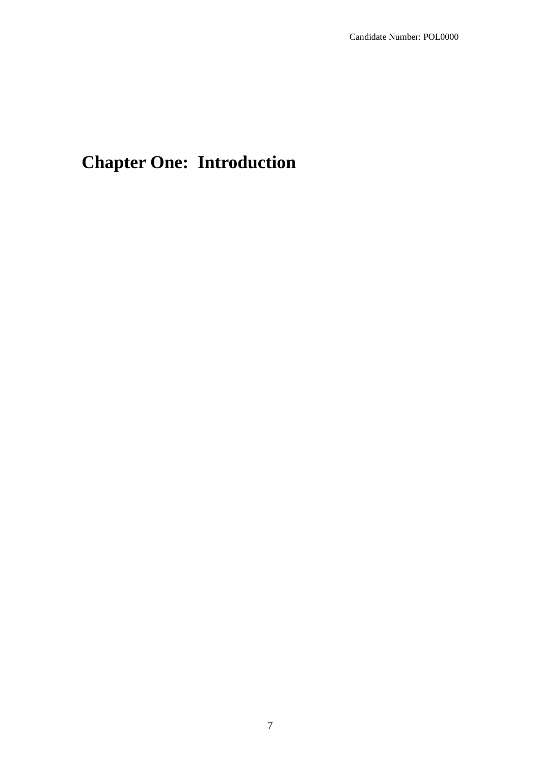# **Chapter One: Introduction**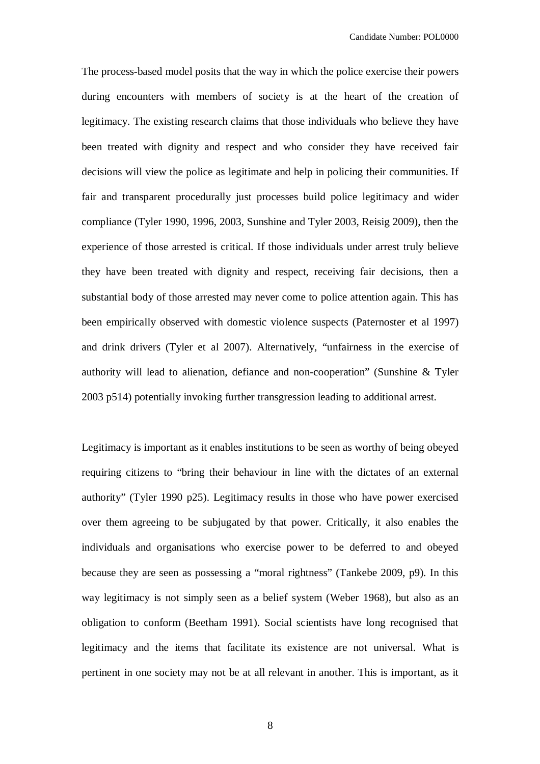The process-based model posits that the way in which the police exercise their powers during encounters with members of society is at the heart of the creation of legitimacy. The existing research claims that those individuals who believe they have been treated with dignity and respect and who consider they have received fair decisions will view the police as legitimate and help in policing their communities. If fair and transparent procedurally just processes build police legitimacy and wider compliance (Tyler 1990, 1996, 2003, Sunshine and Tyler 2003, Reisig 2009), then the experience of those arrested is critical. If those individuals under arrest truly believe they have been treated with dignity and respect, receiving fair decisions, then a substantial body of those arrested may never come to police attention again. This has been empirically observed with domestic violence suspects (Paternoster et al 1997) and drink drivers (Tyler et al 2007). Alternatively, "unfairness in the exercise of authority will lead to alienation, defiance and non-cooperation" (Sunshine & Tyler 2003 p514) potentially invoking further transgression leading to additional arrest.

Legitimacy is important as it enables institutions to be seen as worthy of being obeyed requiring citizens to "bring their behaviour in line with the dictates of an external authority" (Tyler 1990 p25). Legitimacy results in those who have power exercised over them agreeing to be subjugated by that power. Critically, it also enables the individuals and organisations who exercise power to be deferred to and obeyed because they are seen as possessing a "moral rightness" (Tankebe 2009, p9). In this way legitimacy is not simply seen as a belief system (Weber 1968), but also as an obligation to conform (Beetham 1991). Social scientists have long recognised that legitimacy and the items that facilitate its existence are not universal. What is pertinent in one society may not be at all relevant in another. This is important, as it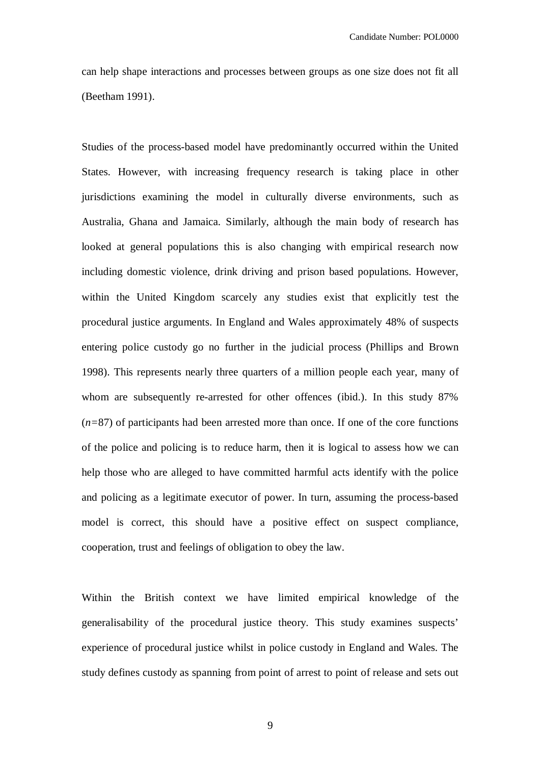can help shape interactions and processes between groups as one size does not fit all (Beetham 1991).

Studies of the process-based model have predominantly occurred within the United States. However, with increasing frequency research is taking place in other jurisdictions examining the model in culturally diverse environments, such as Australia, Ghana and Jamaica. Similarly, although the main body of research has looked at general populations this is also changing with empirical research now including domestic violence, drink driving and prison based populations. However, within the United Kingdom scarcely any studies exist that explicitly test the procedural justice arguments. In England and Wales approximately 48% of suspects entering police custody go no further in the judicial process (Phillips and Brown 1998). This represents nearly three quarters of a million people each year, many of whom are subsequently re-arrested for other offences (ibid.). In this study 87% (*n=*87) of participants had been arrested more than once. If one of the core functions of the police and policing is to reduce harm, then it is logical to assess how we can help those who are alleged to have committed harmful acts identify with the police and policing as a legitimate executor of power. In turn, assuming the process-based model is correct, this should have a positive effect on suspect compliance, cooperation, trust and feelings of obligation to obey the law.

Within the British context we have limited empirical knowledge of the generalisability of the procedural justice theory. This study examines suspects' experience of procedural justice whilst in police custody in England and Wales. The study defines custody as spanning from point of arrest to point of release and sets out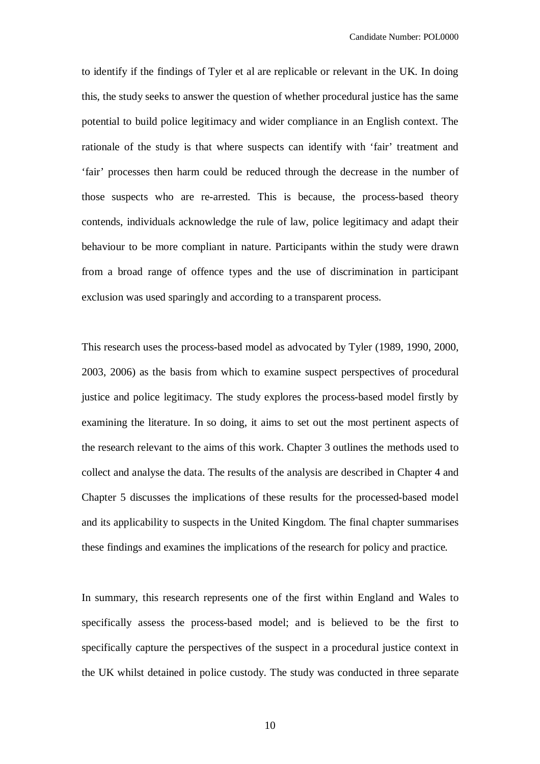to identify if the findings of Tyler et al are replicable or relevant in the UK. In doing this, the study seeks to answer the question of whether procedural justice has the same potential to build police legitimacy and wider compliance in an English context. The rationale of the study is that where suspects can identify with 'fair' treatment and 'fair' processes then harm could be reduced through the decrease in the number of those suspects who are re-arrested. This is because, the process-based theory contends, individuals acknowledge the rule of law, police legitimacy and adapt their behaviour to be more compliant in nature. Participants within the study were drawn from a broad range of offence types and the use of discrimination in participant exclusion was used sparingly and according to a transparent process.

This research uses the process-based model as advocated by Tyler (1989, 1990, 2000, 2003, 2006) as the basis from which to examine suspect perspectives of procedural justice and police legitimacy. The study explores the process-based model firstly by examining the literature. In so doing, it aims to set out the most pertinent aspects of the research relevant to the aims of this work. Chapter 3 outlines the methods used to collect and analyse the data. The results of the analysis are described in Chapter 4 and Chapter 5 discusses the implications of these results for the processed-based model and its applicability to suspects in the United Kingdom. The final chapter summarises these findings and examines the implications of the research for policy and practice.

In summary, this research represents one of the first within England and Wales to specifically assess the process-based model; and is believed to be the first to specifically capture the perspectives of the suspect in a procedural justice context in the UK whilst detained in police custody. The study was conducted in three separate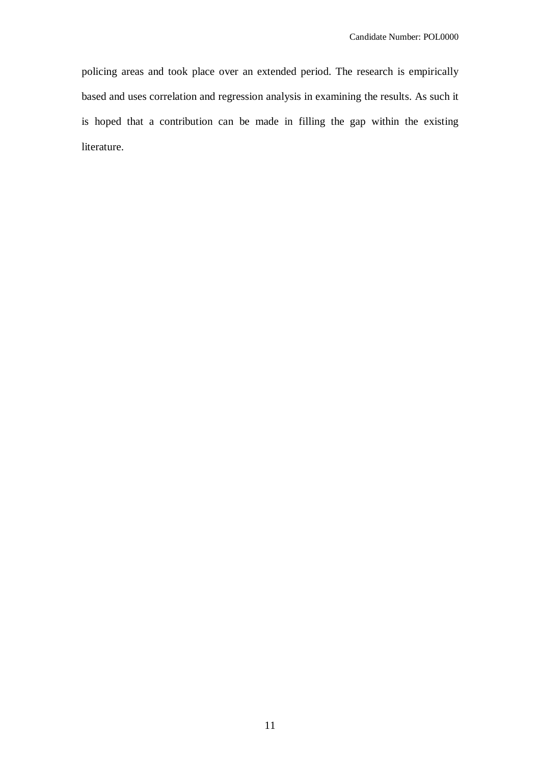policing areas and took place over an extended period. The research is empirically based and uses correlation and regression analysis in examining the results. As such it is hoped that a contribution can be made in filling the gap within the existing literature.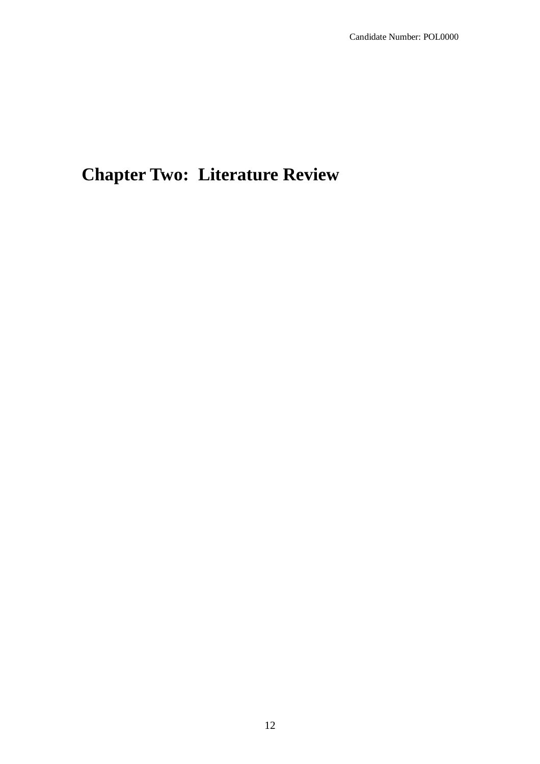# **Chapter Two: Literature Review**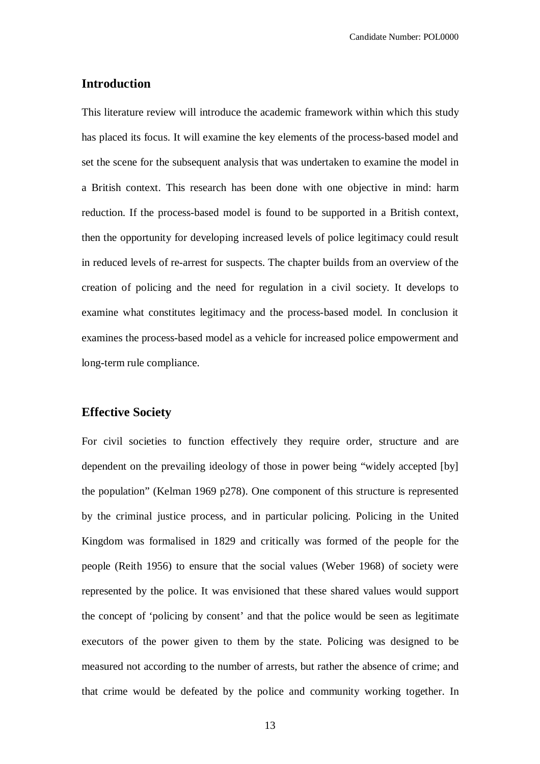#### **Introduction**

This literature review will introduce the academic framework within which this study has placed its focus. It will examine the key elements of the process-based model and set the scene for the subsequent analysis that was undertaken to examine the model in a British context. This research has been done with one objective in mind: harm reduction. If the process-based model is found to be supported in a British context, then the opportunity for developing increased levels of police legitimacy could result in reduced levels of re-arrest for suspects. The chapter builds from an overview of the creation of policing and the need for regulation in a civil society. It develops to examine what constitutes legitimacy and the process-based model. In conclusion it examines the process-based model as a vehicle for increased police empowerment and long-term rule compliance.

## **Effective Society**

For civil societies to function effectively they require order, structure and are dependent on the prevailing ideology of those in power being "widely accepted [by] the population" (Kelman 1969 p278). One component of this structure is represented by the criminal justice process, and in particular policing. Policing in the United Kingdom was formalised in 1829 and critically was formed of the people for the people (Reith 1956) to ensure that the social values (Weber 1968) of society were represented by the police. It was envisioned that these shared values would support the concept of 'policing by consent' and that the police would be seen as legitimate executors of the power given to them by the state. Policing was designed to be measured not according to the number of arrests, but rather the absence of crime; and that crime would be defeated by the police and community working together. In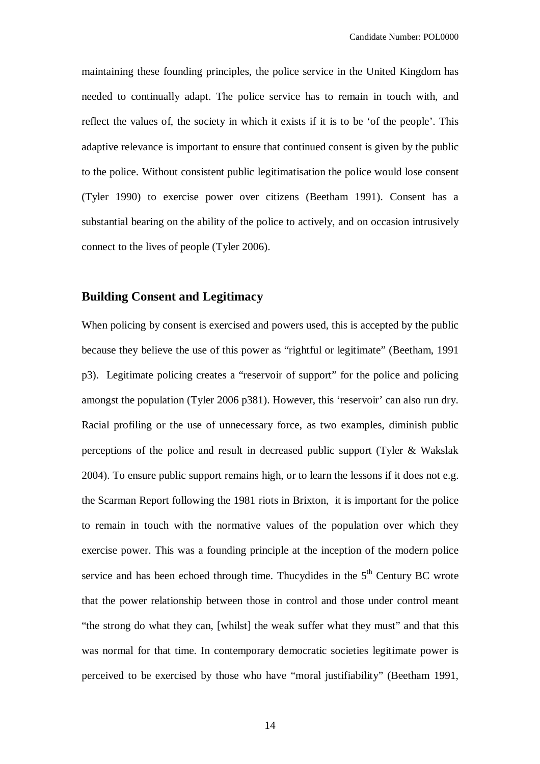maintaining these founding principles, the police service in the United Kingdom has needed to continually adapt. The police service has to remain in touch with, and reflect the values of, the society in which it exists if it is to be 'of the people'. This adaptive relevance is important to ensure that continued consent is given by the public to the police. Without consistent public legitimatisation the police would lose consent (Tyler 1990) to exercise power over citizens (Beetham 1991). Consent has a substantial bearing on the ability of the police to actively, and on occasion intrusively connect to the lives of people (Tyler 2006).

# **Building Consent and Legitimacy**

When policing by consent is exercised and powers used, this is accepted by the public because they believe the use of this power as "rightful or legitimate" (Beetham, 1991 p3). Legitimate policing creates a "reservoir of support" for the police and policing amongst the population (Tyler 2006 p381). However, this 'reservoir' can also run dry. Racial profiling or the use of unnecessary force, as two examples, diminish public perceptions of the police and result in decreased public support (Tyler & Wakslak 2004). To ensure public support remains high, or to learn the lessons if it does not e.g. the Scarman Report following the 1981 riots in Brixton, it is important for the police to remain in touch with the normative values of the population over which they exercise power. This was a founding principle at the inception of the modern police service and has been echoed through time. Thucydides in the  $5<sup>th</sup>$  Century BC wrote that the power relationship between those in control and those under control meant "the strong do what they can, [whilst] the weak suffer what they must" and that this was normal for that time. In contemporary democratic societies legitimate power is perceived to be exercised by those who have "moral justifiability" (Beetham 1991,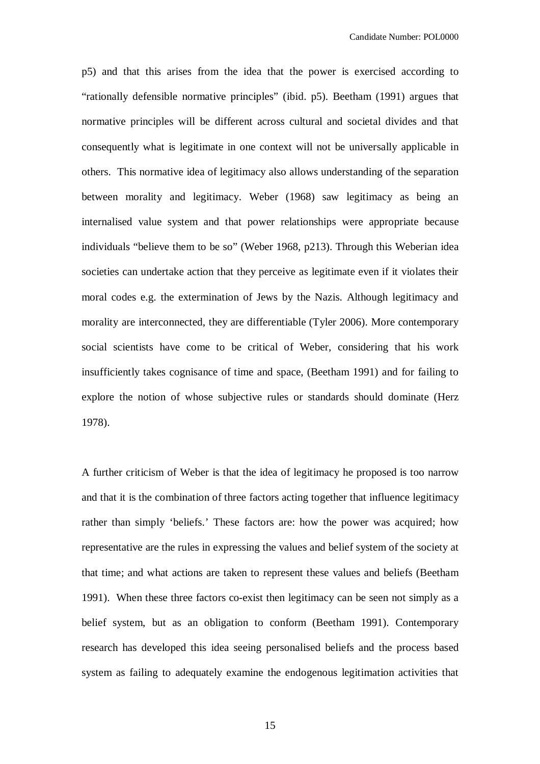p5) and that this arises from the idea that the power is exercised according to "rationally defensible normative principles" (ibid. p5). Beetham (1991) argues that normative principles will be different across cultural and societal divides and that consequently what is legitimate in one context will not be universally applicable in others. This normative idea of legitimacy also allows understanding of the separation between morality and legitimacy. Weber (1968) saw legitimacy as being an internalised value system and that power relationships were appropriate because individuals "believe them to be so" (Weber 1968, p213). Through this Weberian idea societies can undertake action that they perceive as legitimate even if it violates their moral codes e.g. the extermination of Jews by the Nazis. Although legitimacy and morality are interconnected, they are differentiable (Tyler 2006). More contemporary social scientists have come to be critical of Weber, considering that his work insufficiently takes cognisance of time and space, (Beetham 1991) and for failing to explore the notion of whose subjective rules or standards should dominate (Herz 1978).

A further criticism of Weber is that the idea of legitimacy he proposed is too narrow and that it is the combination of three factors acting together that influence legitimacy rather than simply 'beliefs.' These factors are: how the power was acquired; how representative are the rules in expressing the values and belief system of the society at that time; and what actions are taken to represent these values and beliefs (Beetham 1991). When these three factors co-exist then legitimacy can be seen not simply as a belief system, but as an obligation to conform (Beetham 1991). Contemporary research has developed this idea seeing personalised beliefs and the process based system as failing to adequately examine the endogenous legitimation activities that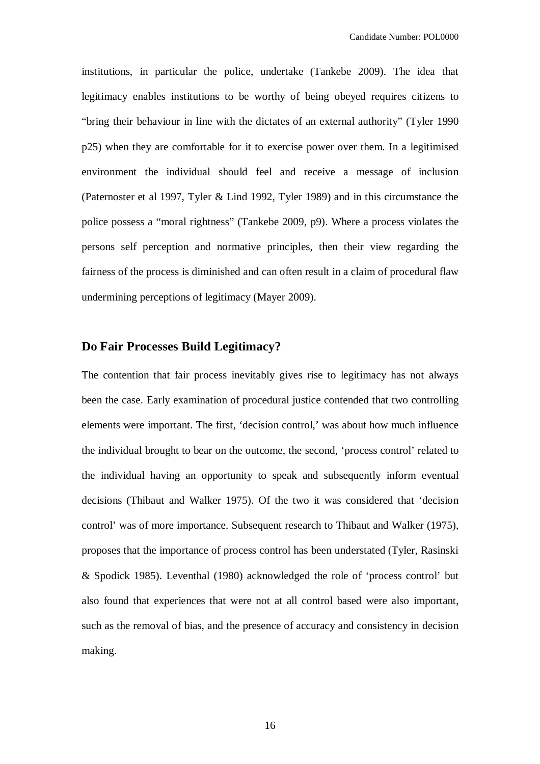institutions, in particular the police, undertake (Tankebe 2009). The idea that legitimacy enables institutions to be worthy of being obeyed requires citizens to "bring their behaviour in line with the dictates of an external authority" (Tyler 1990 p25) when they are comfortable for it to exercise power over them. In a legitimised environment the individual should feel and receive a message of inclusion (Paternoster et al 1997, Tyler & Lind 1992, Tyler 1989) and in this circumstance the police possess a "moral rightness" (Tankebe 2009, p9). Where a process violates the persons self perception and normative principles, then their view regarding the fairness of the process is diminished and can often result in a claim of procedural flaw undermining perceptions of legitimacy (Mayer 2009).

# **Do Fair Processes Build Legitimacy?**

The contention that fair process inevitably gives rise to legitimacy has not always been the case. Early examination of procedural justice contended that two controlling elements were important. The first, 'decision control,' was about how much influence the individual brought to bear on the outcome, the second, 'process control' related to the individual having an opportunity to speak and subsequently inform eventual decisions (Thibaut and Walker 1975). Of the two it was considered that 'decision control' was of more importance. Subsequent research to Thibaut and Walker (1975), proposes that the importance of process control has been understated (Tyler, Rasinski & Spodick 1985). Leventhal (1980) acknowledged the role of 'process control' but also found that experiences that were not at all control based were also important, such as the removal of bias, and the presence of accuracy and consistency in decision making.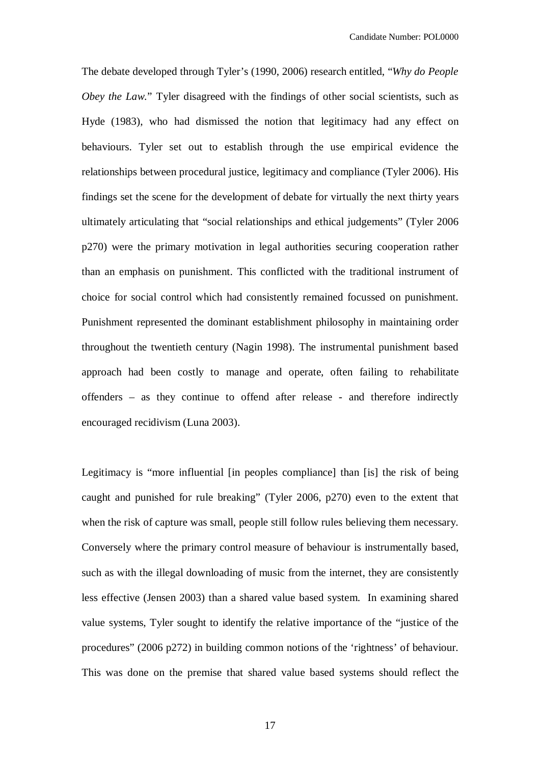The debate developed through Tyler's (1990, 2006) research entitled, "*Why do People Obey the Law.*" Tyler disagreed with the findings of other social scientists, such as Hyde (1983), who had dismissed the notion that legitimacy had any effect on behaviours. Tyler set out to establish through the use empirical evidence the relationships between procedural justice, legitimacy and compliance (Tyler 2006). His findings set the scene for the development of debate for virtually the next thirty years ultimately articulating that "social relationships and ethical judgements" (Tyler 2006 p270) were the primary motivation in legal authorities securing cooperation rather than an emphasis on punishment. This conflicted with the traditional instrument of choice for social control which had consistently remained focussed on punishment. Punishment represented the dominant establishment philosophy in maintaining order throughout the twentieth century (Nagin 1998). The instrumental punishment based approach had been costly to manage and operate, often failing to rehabilitate offenders – as they continue to offend after release - and therefore indirectly encouraged recidivism (Luna 2003).

Legitimacy is "more influential [in peoples compliance] than [is] the risk of being caught and punished for rule breaking" (Tyler 2006, p270) even to the extent that when the risk of capture was small, people still follow rules believing them necessary. Conversely where the primary control measure of behaviour is instrumentally based, such as with the illegal downloading of music from the internet, they are consistently less effective (Jensen 2003) than a shared value based system. In examining shared value systems, Tyler sought to identify the relative importance of the "justice of the procedures" (2006 p272) in building common notions of the 'rightness' of behaviour. This was done on the premise that shared value based systems should reflect the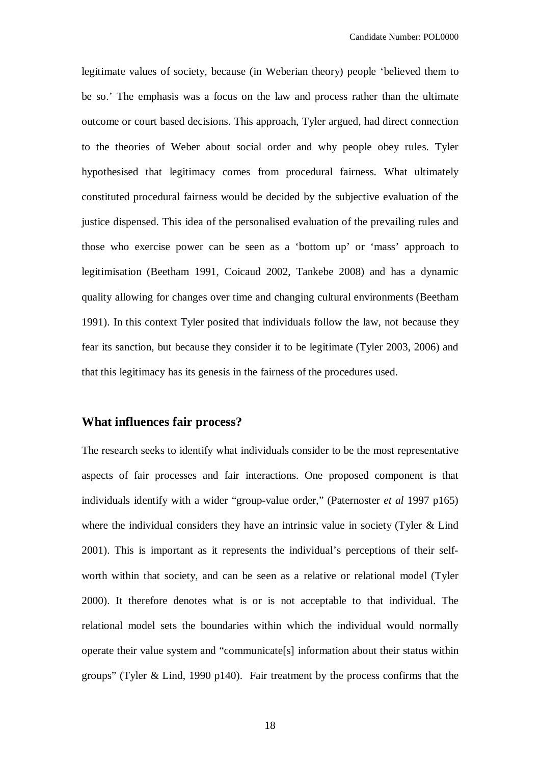legitimate values of society, because (in Weberian theory) people 'believed them to be so.' The emphasis was a focus on the law and process rather than the ultimate outcome or court based decisions. This approach, Tyler argued, had direct connection to the theories of Weber about social order and why people obey rules. Tyler hypothesised that legitimacy comes from procedural fairness. What ultimately constituted procedural fairness would be decided by the subjective evaluation of the justice dispensed. This idea of the personalised evaluation of the prevailing rules and those who exercise power can be seen as a 'bottom up' or 'mass' approach to legitimisation (Beetham 1991, Coicaud 2002, Tankebe 2008) and has a dynamic quality allowing for changes over time and changing cultural environments (Beetham 1991). In this context Tyler posited that individuals follow the law, not because they fear its sanction, but because they consider it to be legitimate (Tyler 2003, 2006) and that this legitimacy has its genesis in the fairness of the procedures used.

### **What influences fair process?**

The research seeks to identify what individuals consider to be the most representative aspects of fair processes and fair interactions. One proposed component is that individuals identify with a wider "group-value order," (Paternoster *et al* 1997 p165) where the individual considers they have an intrinsic value in society (Tyler & Lind 2001). This is important as it represents the individual's perceptions of their selfworth within that society, and can be seen as a relative or relational model (Tyler 2000). It therefore denotes what is or is not acceptable to that individual. The relational model sets the boundaries within which the individual would normally operate their value system and "communicate[s] information about their status within groups" (Tyler & Lind, 1990 p140). Fair treatment by the process confirms that the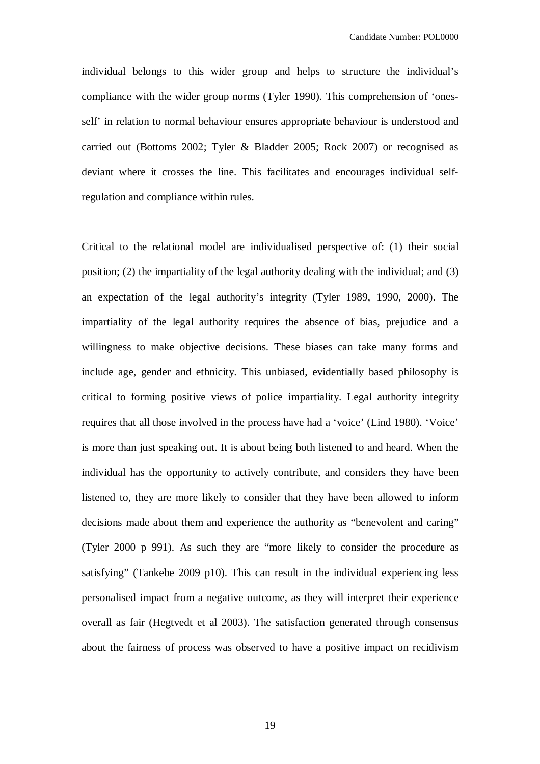individual belongs to this wider group and helps to structure the individual's compliance with the wider group norms (Tyler 1990). This comprehension of 'onesself' in relation to normal behaviour ensures appropriate behaviour is understood and carried out (Bottoms 2002; Tyler & Bladder 2005; Rock 2007) or recognised as deviant where it crosses the line. This facilitates and encourages individual selfregulation and compliance within rules.

Critical to the relational model are individualised perspective of: (1) their social position; (2) the impartiality of the legal authority dealing with the individual; and (3) an expectation of the legal authority's integrity (Tyler 1989, 1990, 2000). The impartiality of the legal authority requires the absence of bias, prejudice and a willingness to make objective decisions. These biases can take many forms and include age, gender and ethnicity. This unbiased, evidentially based philosophy is critical to forming positive views of police impartiality. Legal authority integrity requires that all those involved in the process have had a 'voice' (Lind 1980). 'Voice' is more than just speaking out. It is about being both listened to and heard. When the individual has the opportunity to actively contribute, and considers they have been listened to, they are more likely to consider that they have been allowed to inform decisions made about them and experience the authority as "benevolent and caring" (Tyler 2000 p 991). As such they are "more likely to consider the procedure as satisfying" (Tankebe 2009 p10). This can result in the individual experiencing less personalised impact from a negative outcome, as they will interpret their experience overall as fair (Hegtvedt et al 2003). The satisfaction generated through consensus about the fairness of process was observed to have a positive impact on recidivism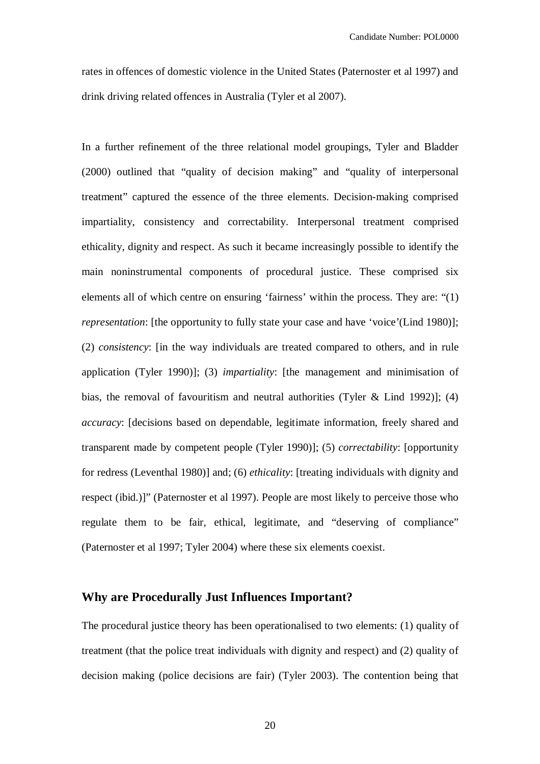rates in offences of domestic violence in the United States (Paternoster et al 1997) and drink driving related offences in Australia (Tyler et al 2007).

In a further refinement of the three relational model groupings, Tyler and Bladder (2000) outlined that "quality of decision making" and "quality of interpersonal treatment" captured the essence of the three elements. Decision-making comprised impartiality, consistency and correctability. Interpersonal treatment comprised ethicality, dignity and respect. As such it became increasingly possible to identify the main noninstrumental components of procedural justice. These comprised six elements all of which centre on ensuring 'fairness' within the process. They are: "(1) *representation*: [the opportunity to fully state your case and have 'voice'(Lind 1980)]; (2) *consistency*: [in the way individuals are treated compared to others, and in rule application (Tyler 1990)]; (3) *impartiality*: [the management and minimisation of bias, the removal of favouritism and neutral authorities (Tyler & Lind 1992)]; (4) *accuracy*: [decisions based on dependable, legitimate information, freely shared and transparent made by competent people (Tyler 1990)]; (5) *correctability*: [opportunity for redress (Leventhal 1980)] and; (6) *ethicality*: [treating individuals with dignity and respect (ibid.)]" (Paternoster et al 1997). People are most likely to perceive those who regulate them to be fair, ethical, legitimate, and "deserving of compliance" (Paternoster et al 1997; Tyler 2004) where these six elements coexist.

## **Why are Procedurally Just Influences Important?**

The procedural justice theory has been operationalised to two elements: (1) quality of treatment (that the police treat individuals with dignity and respect) and (2) quality of decision making (police decisions are fair) (Tyler 2003). The contention being that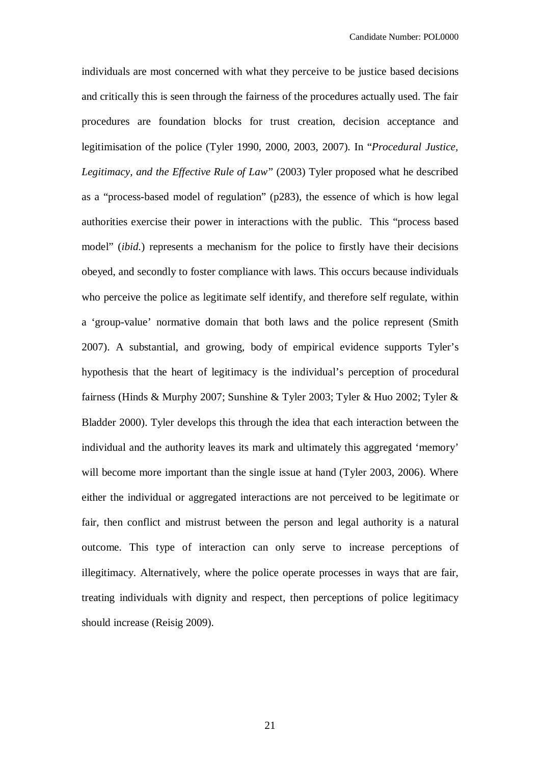individuals are most concerned with what they perceive to be justice based decisions and critically this is seen through the fairness of the procedures actually used. The fair procedures are foundation blocks for trust creation, decision acceptance and legitimisation of the police (Tyler 1990, 2000, 2003, 2007). In "*Procedural Justice, Legitimacy, and the Effective Rule of Law"* (2003) Tyler proposed what he described as a "process-based model of regulation" (p283), the essence of which is how legal authorities exercise their power in interactions with the public. This "process based model" (*ibid.*) represents a mechanism for the police to firstly have their decisions obeyed, and secondly to foster compliance with laws. This occurs because individuals who perceive the police as legitimate self identify, and therefore self regulate, within a 'group-value' normative domain that both laws and the police represent (Smith 2007). A substantial, and growing, body of empirical evidence supports Tyler's hypothesis that the heart of legitimacy is the individual's perception of procedural fairness (Hinds & Murphy 2007; Sunshine & Tyler 2003; Tyler & Huo 2002; Tyler & Bladder 2000). Tyler develops this through the idea that each interaction between the individual and the authority leaves its mark and ultimately this aggregated 'memory' will become more important than the single issue at hand (Tyler 2003, 2006). Where either the individual or aggregated interactions are not perceived to be legitimate or fair, then conflict and mistrust between the person and legal authority is a natural outcome. This type of interaction can only serve to increase perceptions of illegitimacy. Alternatively, where the police operate processes in ways that are fair, treating individuals with dignity and respect, then perceptions of police legitimacy should increase (Reisig 2009).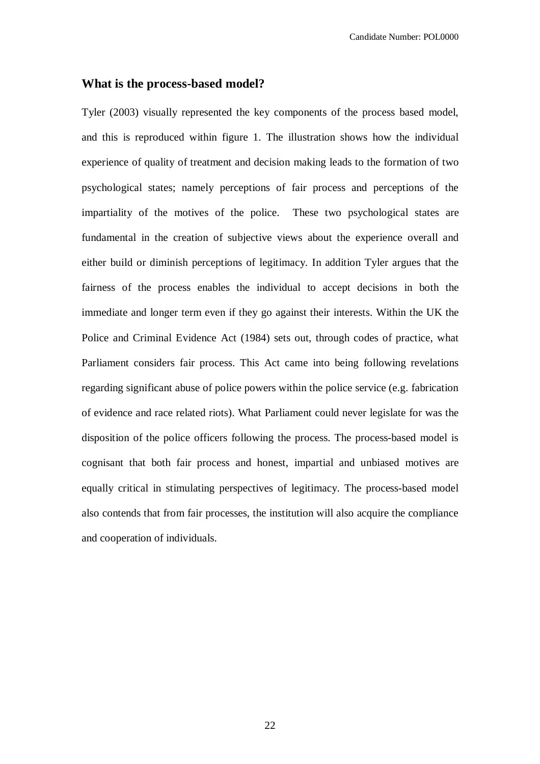#### **What is the process-based model?**

Tyler (2003) visually represented the key components of the process based model, and this is reproduced within figure 1. The illustration shows how the individual experience of quality of treatment and decision making leads to the formation of two psychological states; namely perceptions of fair process and perceptions of the impartiality of the motives of the police. These two psychological states are fundamental in the creation of subjective views about the experience overall and either build or diminish perceptions of legitimacy. In addition Tyler argues that the fairness of the process enables the individual to accept decisions in both the immediate and longer term even if they go against their interests. Within the UK the Police and Criminal Evidence Act (1984) sets out, through codes of practice, what Parliament considers fair process. This Act came into being following revelations regarding significant abuse of police powers within the police service (e.g. fabrication of evidence and race related riots). What Parliament could never legislate for was the disposition of the police officers following the process. The process-based model is cognisant that both fair process and honest, impartial and unbiased motives are equally critical in stimulating perspectives of legitimacy. The process-based model also contends that from fair processes, the institution will also acquire the compliance and cooperation of individuals.

22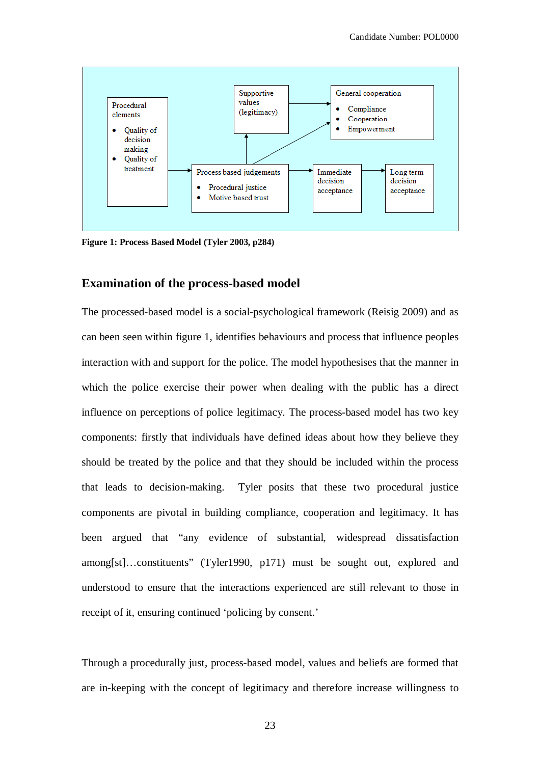

**Figure 1: Process Based Model (Tyler 2003, p284)**

# **Examination of the process-based model**

The processed-based model is a social-psychological framework (Reisig 2009) and as can been seen within figure 1, identifies behaviours and process that influence peoples interaction with and support for the police. The model hypothesises that the manner in which the police exercise their power when dealing with the public has a direct influence on perceptions of police legitimacy. The process-based model has two key components: firstly that individuals have defined ideas about how they believe they should be treated by the police and that they should be included within the process that leads to decision-making. Tyler posits that these two procedural justice components are pivotal in building compliance, cooperation and legitimacy. It has been argued that "any evidence of substantial, widespread dissatisfaction among[st]…constituents" (Tyler1990, p171) must be sought out, explored and understood to ensure that the interactions experienced are still relevant to those in receipt of it, ensuring continued 'policing by consent.'

Through a procedurally just, process-based model, values and beliefs are formed that are in-keeping with the concept of legitimacy and therefore increase willingness to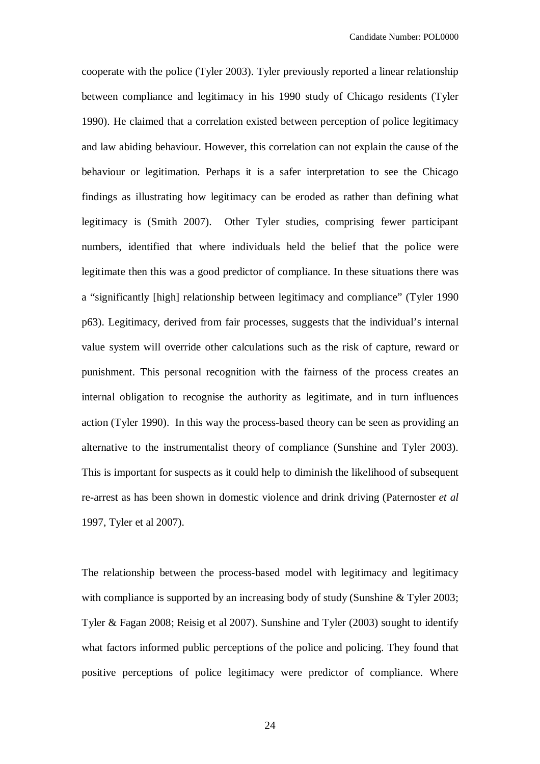cooperate with the police (Tyler 2003). Tyler previously reported a linear relationship between compliance and legitimacy in his 1990 study of Chicago residents (Tyler 1990). He claimed that a correlation existed between perception of police legitimacy and law abiding behaviour. However, this correlation can not explain the cause of the behaviour or legitimation. Perhaps it is a safer interpretation to see the Chicago findings as illustrating how legitimacy can be eroded as rather than defining what legitimacy is (Smith 2007). Other Tyler studies, comprising fewer participant numbers, identified that where individuals held the belief that the police were legitimate then this was a good predictor of compliance. In these situations there was a "significantly [high] relationship between legitimacy and compliance" (Tyler 1990 p63). Legitimacy, derived from fair processes, suggests that the individual's internal value system will override other calculations such as the risk of capture, reward or punishment. This personal recognition with the fairness of the process creates an internal obligation to recognise the authority as legitimate, and in turn influences action (Tyler 1990). In this way the process-based theory can be seen as providing an alternative to the instrumentalist theory of compliance (Sunshine and Tyler 2003). This is important for suspects as it could help to diminish the likelihood of subsequent re-arrest as has been shown in domestic violence and drink driving (Paternoster *et al* 1997, Tyler et al 2007).

The relationship between the process-based model with legitimacy and legitimacy with compliance is supported by an increasing body of study (Sunshine & Tyler 2003; Tyler & Fagan 2008; Reisig et al 2007). Sunshine and Tyler (2003) sought to identify what factors informed public perceptions of the police and policing. They found that positive perceptions of police legitimacy were predictor of compliance. Where

24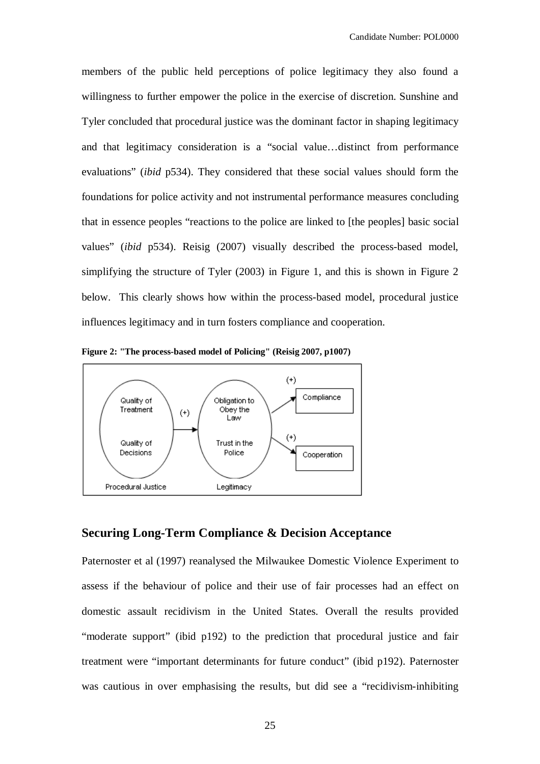members of the public held perceptions of police legitimacy they also found a willingness to further empower the police in the exercise of discretion. Sunshine and Tyler concluded that procedural justice was the dominant factor in shaping legitimacy and that legitimacy consideration is a "social value…distinct from performance evaluations" (*ibid* p534). They considered that these social values should form the foundations for police activity and not instrumental performance measures concluding that in essence peoples "reactions to the police are linked to [the peoples] basic social values" (*ibid* p534). Reisig (2007) visually described the process-based model, simplifying the structure of Tyler (2003) in Figure 1, and this is shown in Figure 2 below. This clearly shows how within the process-based model, procedural justice influences legitimacy and in turn fosters compliance and cooperation.



**Figure 2: "The process-based model of Policing" (Reisig 2007, p1007)**

## **Securing Long-Term Compliance & Decision Acceptance**

Paternoster et al (1997) reanalysed the Milwaukee Domestic Violence Experiment to assess if the behaviour of police and their use of fair processes had an effect on domestic assault recidivism in the United States. Overall the results provided "moderate support" (ibid p192) to the prediction that procedural justice and fair treatment were "important determinants for future conduct" (ibid p192). Paternoster was cautious in over emphasising the results, but did see a "recidivism-inhibiting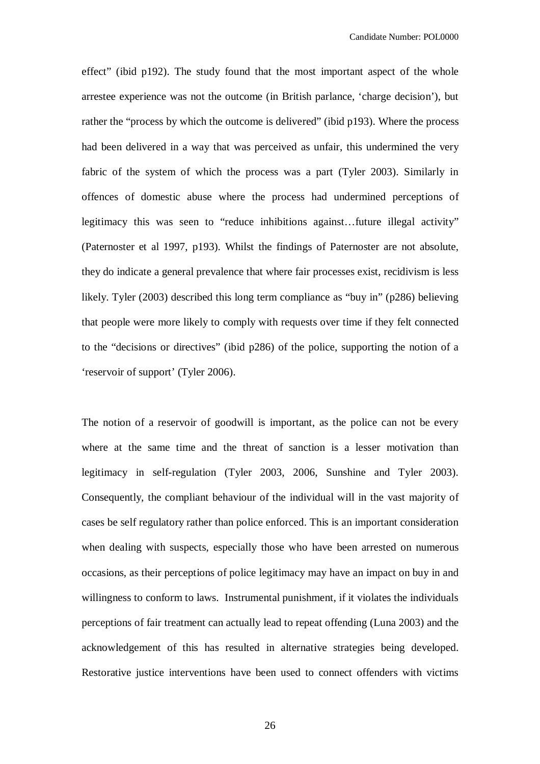effect" (ibid p192). The study found that the most important aspect of the whole arrestee experience was not the outcome (in British parlance, 'charge decision'), but rather the "process by which the outcome is delivered" (ibid p193). Where the process had been delivered in a way that was perceived as unfair, this undermined the very fabric of the system of which the process was a part (Tyler 2003). Similarly in offences of domestic abuse where the process had undermined perceptions of legitimacy this was seen to "reduce inhibitions against…future illegal activity" (Paternoster et al 1997, p193). Whilst the findings of Paternoster are not absolute, they do indicate a general prevalence that where fair processes exist, recidivism is less likely. Tyler (2003) described this long term compliance as "buy in" (p286) believing that people were more likely to comply with requests over time if they felt connected to the "decisions or directives" (ibid p286) of the police, supporting the notion of a 'reservoir of support' (Tyler 2006).

The notion of a reservoir of goodwill is important, as the police can not be every where at the same time and the threat of sanction is a lesser motivation than legitimacy in self-regulation (Tyler 2003, 2006, Sunshine and Tyler 2003). Consequently, the compliant behaviour of the individual will in the vast majority of cases be self regulatory rather than police enforced. This is an important consideration when dealing with suspects, especially those who have been arrested on numerous occasions, as their perceptions of police legitimacy may have an impact on buy in and willingness to conform to laws. Instrumental punishment, if it violates the individuals perceptions of fair treatment can actually lead to repeat offending (Luna 2003) and the acknowledgement of this has resulted in alternative strategies being developed. Restorative justice interventions have been used to connect offenders with victims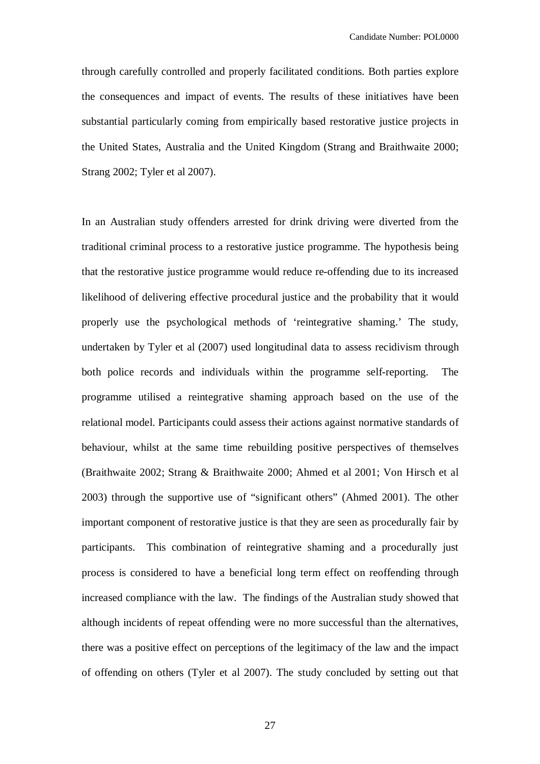through carefully controlled and properly facilitated conditions. Both parties explore the consequences and impact of events. The results of these initiatives have been substantial particularly coming from empirically based restorative justice projects in the United States, Australia and the United Kingdom (Strang and Braithwaite 2000; Strang 2002; Tyler et al 2007).

In an Australian study offenders arrested for drink driving were diverted from the traditional criminal process to a restorative justice programme. The hypothesis being that the restorative justice programme would reduce re-offending due to its increased likelihood of delivering effective procedural justice and the probability that it would properly use the psychological methods of 'reintegrative shaming.' The study, undertaken by Tyler et al (2007) used longitudinal data to assess recidivism through both police records and individuals within the programme self-reporting. The programme utilised a reintegrative shaming approach based on the use of the relational model. Participants could assess their actions against normative standards of behaviour, whilst at the same time rebuilding positive perspectives of themselves (Braithwaite 2002; Strang & Braithwaite 2000; Ahmed et al 2001; Von Hirsch et al 2003) through the supportive use of "significant others" (Ahmed 2001). The other important component of restorative justice is that they are seen as procedurally fair by participants. This combination of reintegrative shaming and a procedurally just process is considered to have a beneficial long term effect on reoffending through increased compliance with the law. The findings of the Australian study showed that although incidents of repeat offending were no more successful than the alternatives, there was a positive effect on perceptions of the legitimacy of the law and the impact of offending on others (Tyler et al 2007). The study concluded by setting out that

27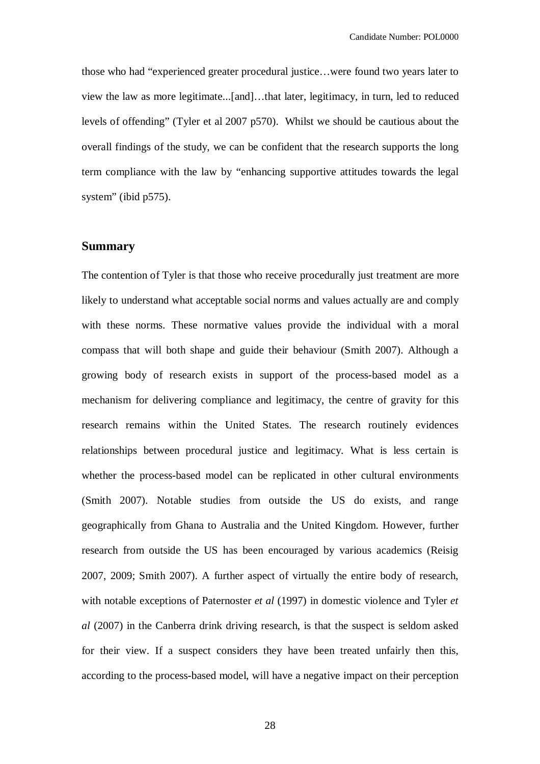those who had "experienced greater procedural justice…were found two years later to view the law as more legitimate...[and]…that later, legitimacy, in turn, led to reduced levels of offending" (Tyler et al 2007 p570). Whilst we should be cautious about the overall findings of the study, we can be confident that the research supports the long term compliance with the law by "enhancing supportive attitudes towards the legal system" (ibid p575).

#### **Summary**

The contention of Tyler is that those who receive procedurally just treatment are more likely to understand what acceptable social norms and values actually are and comply with these norms. These normative values provide the individual with a moral compass that will both shape and guide their behaviour (Smith 2007). Although a growing body of research exists in support of the process-based model as a mechanism for delivering compliance and legitimacy, the centre of gravity for this research remains within the United States. The research routinely evidences relationships between procedural justice and legitimacy. What is less certain is whether the process-based model can be replicated in other cultural environments (Smith 2007). Notable studies from outside the US do exists, and range geographically from Ghana to Australia and the United Kingdom. However, further research from outside the US has been encouraged by various academics (Reisig 2007, 2009; Smith 2007). A further aspect of virtually the entire body of research, with notable exceptions of Paternoster *et al* (1997) in domestic violence and Tyler *et al* (2007) in the Canberra drink driving research, is that the suspect is seldom asked for their view. If a suspect considers they have been treated unfairly then this, according to the process-based model, will have a negative impact on their perception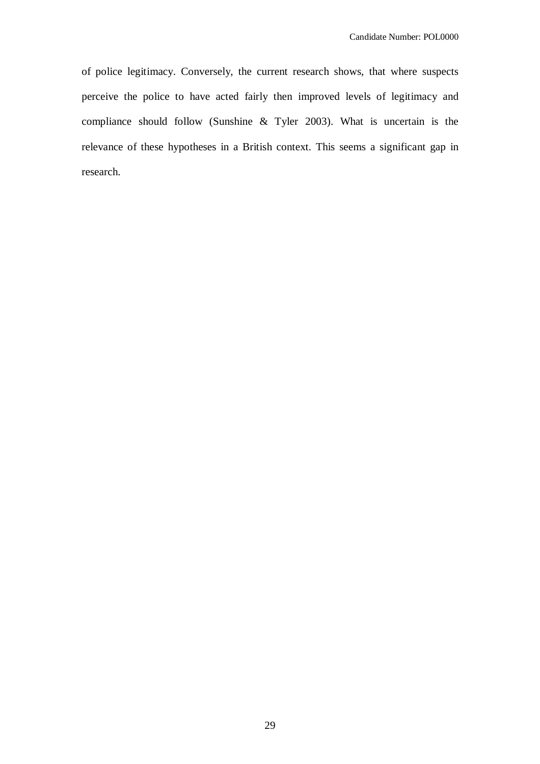of police legitimacy. Conversely, the current research shows, that where suspects perceive the police to have acted fairly then improved levels of legitimacy and compliance should follow (Sunshine & Tyler 2003). What is uncertain is the relevance of these hypotheses in a British context. This seems a significant gap in research.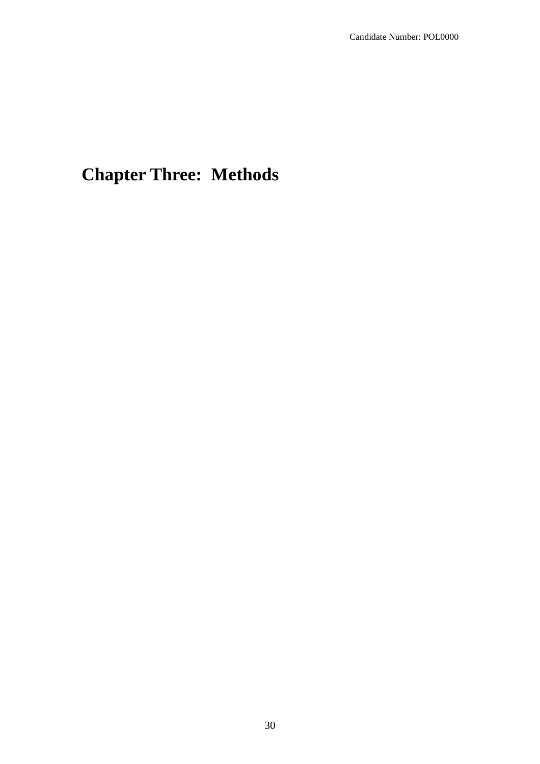# **Chapter Three: Methods**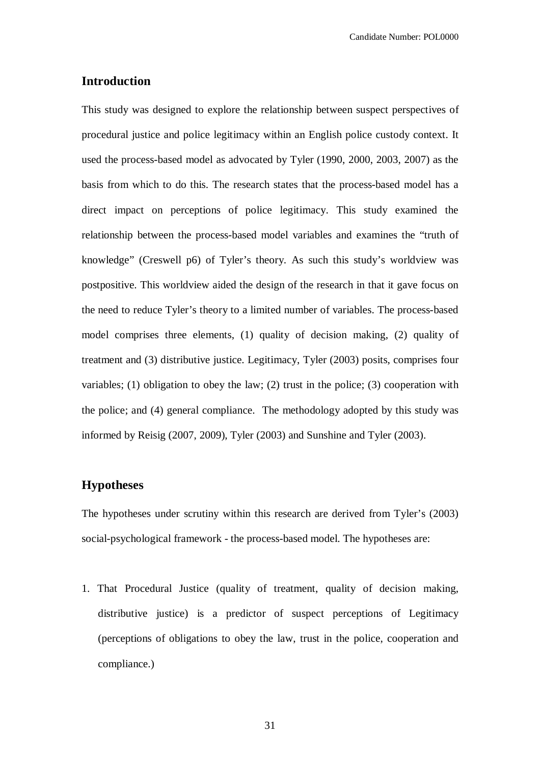# **Introduction**

This study was designed to explore the relationship between suspect perspectives of procedural justice and police legitimacy within an English police custody context. It used the process-based model as advocated by Tyler (1990, 2000, 2003, 2007) as the basis from which to do this. The research states that the process-based model has a direct impact on perceptions of police legitimacy. This study examined the relationship between the process-based model variables and examines the "truth of knowledge" (Creswell p6) of Tyler's theory. As such this study's worldview was postpositive. This worldview aided the design of the research in that it gave focus on the need to reduce Tyler's theory to a limited number of variables. The process-based model comprises three elements, (1) quality of decision making, (2) quality of treatment and (3) distributive justice. Legitimacy, Tyler (2003) posits, comprises four variables; (1) obligation to obey the law; (2) trust in the police; (3) cooperation with the police; and (4) general compliance. The methodology adopted by this study was informed by Reisig (2007, 2009), Tyler (2003) and Sunshine and Tyler (2003).

# **Hypotheses**

The hypotheses under scrutiny within this research are derived from Tyler's (2003) social-psychological framework - the process-based model. The hypotheses are:

1. That Procedural Justice (quality of treatment, quality of decision making, distributive justice) is a predictor of suspect perceptions of Legitimacy (perceptions of obligations to obey the law, trust in the police, cooperation and compliance.)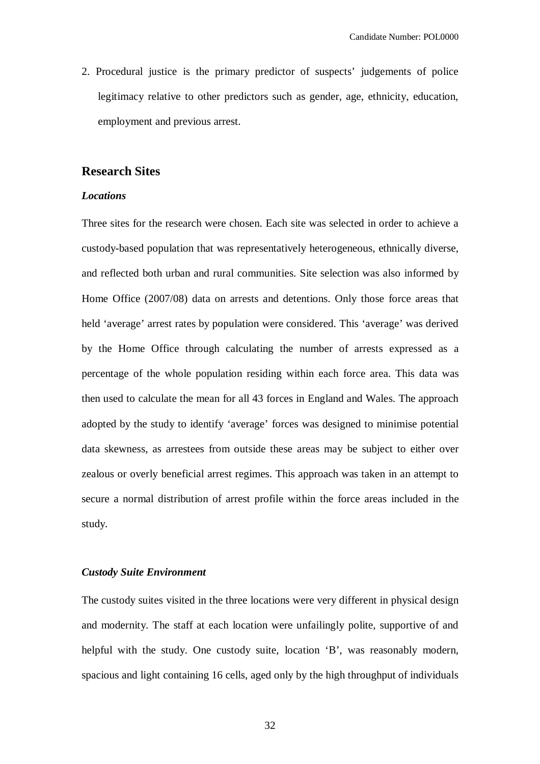2. Procedural justice is the primary predictor of suspects' judgements of police legitimacy relative to other predictors such as gender, age, ethnicity, education, employment and previous arrest.

#### **Research Sites**

#### *Locations*

Three sites for the research were chosen. Each site was selected in order to achieve a custody-based population that was representatively heterogeneous, ethnically diverse, and reflected both urban and rural communities. Site selection was also informed by Home Office (2007/08) data on arrests and detentions. Only those force areas that held 'average' arrest rates by population were considered. This 'average' was derived by the Home Office through calculating the number of arrests expressed as a percentage of the whole population residing within each force area. This data was then used to calculate the mean for all 43 forces in England and Wales. The approach adopted by the study to identify 'average' forces was designed to minimise potential data skewness, as arrestees from outside these areas may be subject to either over zealous or overly beneficial arrest regimes. This approach was taken in an attempt to secure a normal distribution of arrest profile within the force areas included in the study.

#### *Custody Suite Environment*

The custody suites visited in the three locations were very different in physical design and modernity. The staff at each location were unfailingly polite, supportive of and helpful with the study. One custody suite, location 'B', was reasonably modern, spacious and light containing 16 cells, aged only by the high throughput of individuals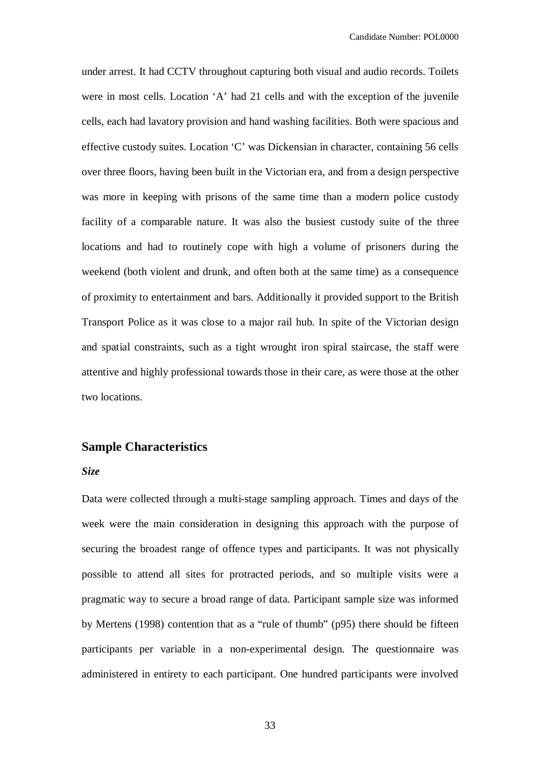under arrest. It had CCTV throughout capturing both visual and audio records. Toilets were in most cells. Location 'A' had 21 cells and with the exception of the juvenile cells, each had lavatory provision and hand washing facilities. Both were spacious and effective custody suites. Location 'C' was Dickensian in character, containing 56 cells over three floors, having been built in the Victorian era, and from a design perspective was more in keeping with prisons of the same time than a modern police custody facility of a comparable nature. It was also the busiest custody suite of the three locations and had to routinely cope with high a volume of prisoners during the weekend (both violent and drunk, and often both at the same time) as a consequence of proximity to entertainment and bars. Additionally it provided support to the British Transport Police as it was close to a major rail hub. In spite of the Victorian design and spatial constraints, such as a tight wrought iron spiral staircase, the staff were attentive and highly professional towards those in their care, as were those at the other two locations.

# **Sample Characteristics**

#### *Size*

Data were collected through a multi-stage sampling approach. Times and days of the week were the main consideration in designing this approach with the purpose of securing the broadest range of offence types and participants. It was not physically possible to attend all sites for protracted periods, and so multiple visits were a pragmatic way to secure a broad range of data. Participant sample size was informed by Mertens (1998) contention that as a "rule of thumb" (p95) there should be fifteen participants per variable in a non-experimental design. The questionnaire was administered in entirety to each participant. One hundred participants were involved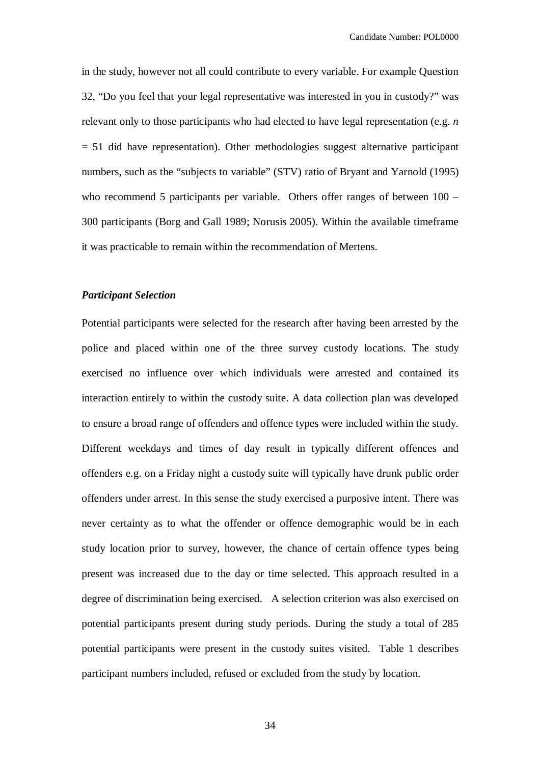in the study, however not all could contribute to every variable. For example Question 32, "Do you feel that your legal representative was interested in you in custody?" was relevant only to those participants who had elected to have legal representation (e.g. *n*  $= 51$  did have representation). Other methodologies suggest alternative participant numbers, such as the "subjects to variable" (STV) ratio of Bryant and Yarnold (1995) who recommend 5 participants per variable. Others offer ranges of between  $100 -$ 300 participants (Borg and Gall 1989; Norusis 2005). Within the available timeframe it was practicable to remain within the recommendation of Mertens.

#### *Participant Selection*

Potential participants were selected for the research after having been arrested by the police and placed within one of the three survey custody locations. The study exercised no influence over which individuals were arrested and contained its interaction entirely to within the custody suite. A data collection plan was developed to ensure a broad range of offenders and offence types were included within the study. Different weekdays and times of day result in typically different offences and offenders e.g. on a Friday night a custody suite will typically have drunk public order offenders under arrest. In this sense the study exercised a purposive intent. There was never certainty as to what the offender or offence demographic would be in each study location prior to survey, however, the chance of certain offence types being present was increased due to the day or time selected. This approach resulted in a degree of discrimination being exercised. A selection criterion was also exercised on potential participants present during study periods. During the study a total of 285 potential participants were present in the custody suites visited. Table 1 describes participant numbers included, refused or excluded from the study by location.

34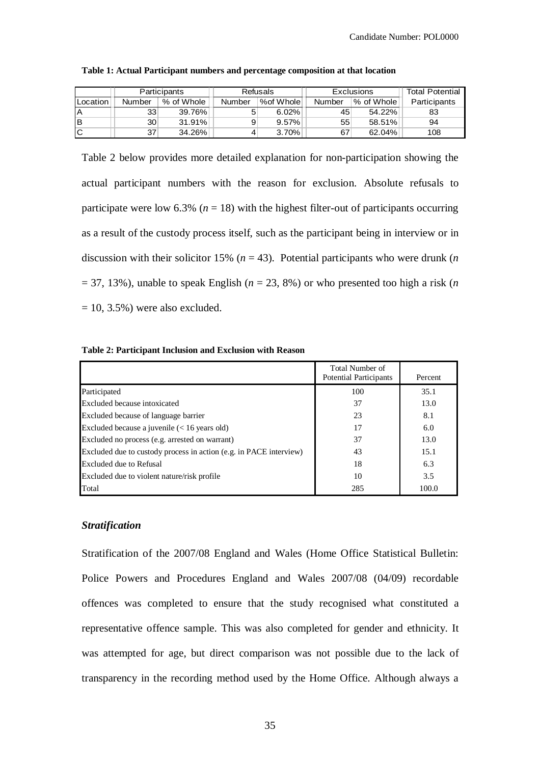|          |        | <b>Participants</b> |        | Refusals  | Exclusions |            | <b>Total Potential</b> |
|----------|--------|---------------------|--------|-----------|------------|------------|------------------------|
| Location | Number | % of Whole          | Number | %of Whole | Number     | % of Whole | Participants           |
| ΙA       | 33     | 39.76%              | 5      | 6.02%     | 45         | 54.22%     | 83                     |
| lв       | 30     | 31.91%              | 9      | 9.57%     | 55         | $58.51\%$  | 94                     |
| lC       | 37     | 34.26%              | 4      | 3.70%     | 67         | $62.04\%$  | 108                    |

**Table 1: Actual Participant numbers and percentage composition at that location**

Table 2 below provides more detailed explanation for non-participation showing the actual participant numbers with the reason for exclusion. Absolute refusals to participate were low  $6.3\%$  ( $n = 18$ ) with the highest filter-out of participants occurring as a result of the custody process itself, such as the participant being in interview or in discussion with their solicitor 15% ( $n = 43$ ). Potential participants who were drunk ( $n$ )  $= 37, 13\%$ ), unable to speak English ( $n = 23, 8\%$ ) or who presented too high a risk (*n*)  $= 10, 3.5\%$ ) were also excluded.

#### **Table 2: Participant Inclusion and Exclusion with Reason**

|                                                                    | Total Number of<br><b>Potential Participants</b> | Percent |
|--------------------------------------------------------------------|--------------------------------------------------|---------|
| Participated                                                       | 100                                              | 35.1    |
| Excluded because intoxicated                                       | 37                                               | 13.0    |
| Excluded because of language barrier                               | 23                                               | 8.1     |
| Excluded because a juvenile $(< 16$ years old)                     | 17                                               | 6.0     |
| Excluded no process (e.g. arrested on warrant)                     | 37                                               | 13.0    |
| Excluded due to custody process in action (e.g. in PACE interview) | 43                                               | 15.1    |
| Excluded due to Refusal                                            | 18                                               | 6.3     |
| Excluded due to violent nature/risk profile                        | 10                                               | 3.5     |
| Total                                                              | 285                                              | 100.0   |

#### *Stratification*

Stratification of the 2007/08 England and Wales (Home Office Statistical Bulletin: Police Powers and Procedures England and Wales 2007/08 (04/09) recordable offences was completed to ensure that the study recognised what constituted a representative offence sample. This was also completed for gender and ethnicity. It was attempted for age, but direct comparison was not possible due to the lack of transparency in the recording method used by the Home Office. Although always a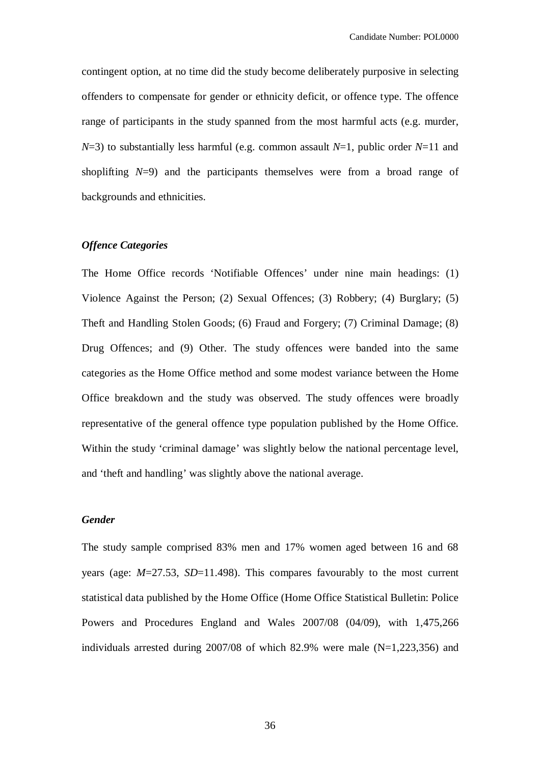contingent option, at no time did the study become deliberately purposive in selecting offenders to compensate for gender or ethnicity deficit, or offence type. The offence range of participants in the study spanned from the most harmful acts (e.g. murder, *N*=3) to substantially less harmful (e.g. common assault *N*=1, public order *N*=11 and shoplifting *N*=9) and the participants themselves were from a broad range of backgrounds and ethnicities.

### *Offence Categories*

The Home Office records 'Notifiable Offences' under nine main headings: (1) Violence Against the Person; (2) Sexual Offences; (3) Robbery; (4) Burglary; (5) Theft and Handling Stolen Goods; (6) Fraud and Forgery; (7) Criminal Damage; (8) Drug Offences; and (9) Other. The study offences were banded into the same categories as the Home Office method and some modest variance between the Home Office breakdown and the study was observed. The study offences were broadly representative of the general offence type population published by the Home Office. Within the study 'criminal damage' was slightly below the national percentage level, and 'theft and handling' was slightly above the national average.

#### *Gender*

The study sample comprised 83% men and 17% women aged between 16 and 68 years (age: *M*=27.53, *SD*=11.498). This compares favourably to the most current statistical data published by the Home Office (Home Office Statistical Bulletin: Police Powers and Procedures England and Wales 2007/08 (04/09), with 1,475,266 individuals arrested during  $2007/08$  of which 82.9% were male (N=1,223,356) and

36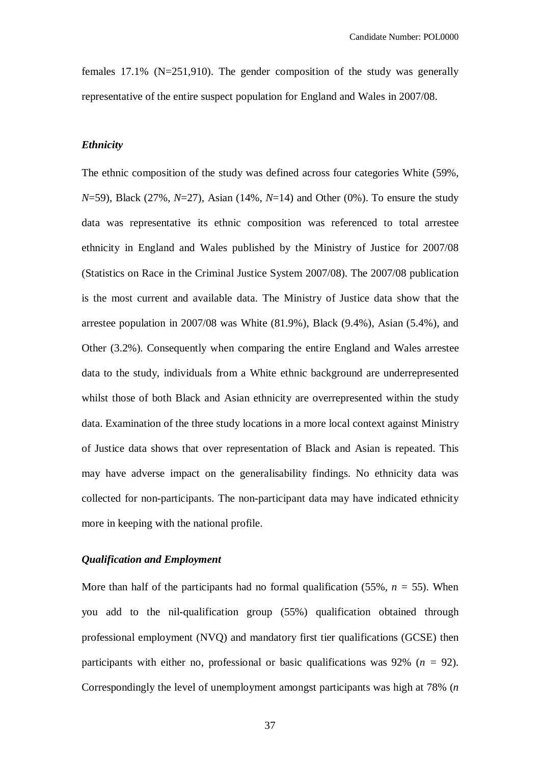females 17.1% (N=251,910). The gender composition of the study was generally representative of the entire suspect population for England and Wales in 2007/08.

## *Ethnicity*

The ethnic composition of the study was defined across four categories White (59%, *N*=59), Black (27%, *N*=27), Asian (14%, *N*=14) and Other (0%). To ensure the study data was representative its ethnic composition was referenced to total arrestee ethnicity in England and Wales published by the Ministry of Justice for 2007/08 (Statistics on Race in the Criminal Justice System 2007/08). The 2007/08 publication is the most current and available data. The Ministry of Justice data show that the arrestee population in 2007/08 was White (81.9%), Black (9.4%), Asian (5.4%), and Other (3.2%). Consequently when comparing the entire England and Wales arrestee data to the study, individuals from a White ethnic background are underrepresented whilst those of both Black and Asian ethnicity are overrepresented within the study data. Examination of the three study locations in a more local context against Ministry of Justice data shows that over representation of Black and Asian is repeated. This may have adverse impact on the generalisability findings. No ethnicity data was collected for non-participants. The non-participant data may have indicated ethnicity more in keeping with the national profile.

## *Qualification and Employment*

More than half of the participants had no formal qualification  $(55\%, n = 55)$ . When you add to the nil-qualification group (55%) qualification obtained through professional employment (NVQ) and mandatory first tier qualifications (GCSE) then participants with either no, professional or basic qualifications was 92% (*n =* 92). Correspondingly the level of unemployment amongst participants was high at 78% (*n*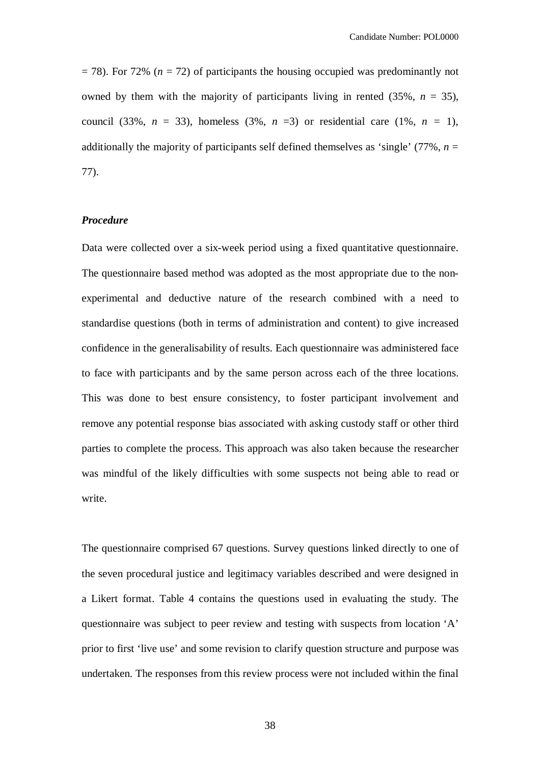$=$  78). For 72% ( $n = 72$ ) of participants the housing occupied was predominantly not owned by them with the majority of participants living in rented  $(35\%, n = 35)$ , council (33%,  $n = 33$ ), homeless (3%,  $n = 3$ ) or residential care (1%,  $n = 1$ ), additionally the majority of participants self defined themselves as 'single'  $(77\%$ ,  $n =$ 77).

## *Procedure*

Data were collected over a six-week period using a fixed quantitative questionnaire. The questionnaire based method was adopted as the most appropriate due to the nonexperimental and deductive nature of the research combined with a need to standardise questions (both in terms of administration and content) to give increased confidence in the generalisability of results. Each questionnaire was administered face to face with participants and by the same person across each of the three locations. This was done to best ensure consistency, to foster participant involvement and remove any potential response bias associated with asking custody staff or other third parties to complete the process. This approach was also taken because the researcher was mindful of the likely difficulties with some suspects not being able to read or write.

The questionnaire comprised 67 questions. Survey questions linked directly to one of the seven procedural justice and legitimacy variables described and were designed in a Likert format. Table 4 contains the questions used in evaluating the study. The questionnaire was subject to peer review and testing with suspects from location 'A' prior to first 'live use' and some revision to clarify question structure and purpose was undertaken. The responses from this review process were not included within the final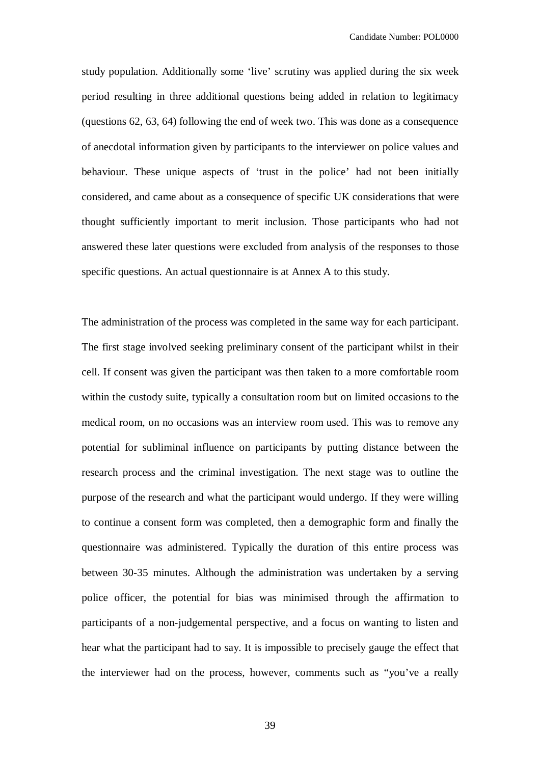study population. Additionally some 'live' scrutiny was applied during the six week period resulting in three additional questions being added in relation to legitimacy (questions 62, 63, 64) following the end of week two. This was done as a consequence of anecdotal information given by participants to the interviewer on police values and behaviour. These unique aspects of 'trust in the police' had not been initially considered, and came about as a consequence of specific UK considerations that were thought sufficiently important to merit inclusion. Those participants who had not answered these later questions were excluded from analysis of the responses to those specific questions. An actual questionnaire is at Annex A to this study.

The administration of the process was completed in the same way for each participant. The first stage involved seeking preliminary consent of the participant whilst in their cell. If consent was given the participant was then taken to a more comfortable room within the custody suite, typically a consultation room but on limited occasions to the medical room, on no occasions was an interview room used. This was to remove any potential for subliminal influence on participants by putting distance between the research process and the criminal investigation. The next stage was to outline the purpose of the research and what the participant would undergo. If they were willing to continue a consent form was completed, then a demographic form and finally the questionnaire was administered. Typically the duration of this entire process was between 30-35 minutes. Although the administration was undertaken by a serving police officer, the potential for bias was minimised through the affirmation to participants of a non-judgemental perspective, and a focus on wanting to listen and hear what the participant had to say. It is impossible to precisely gauge the effect that the interviewer had on the process, however, comments such as "you've a really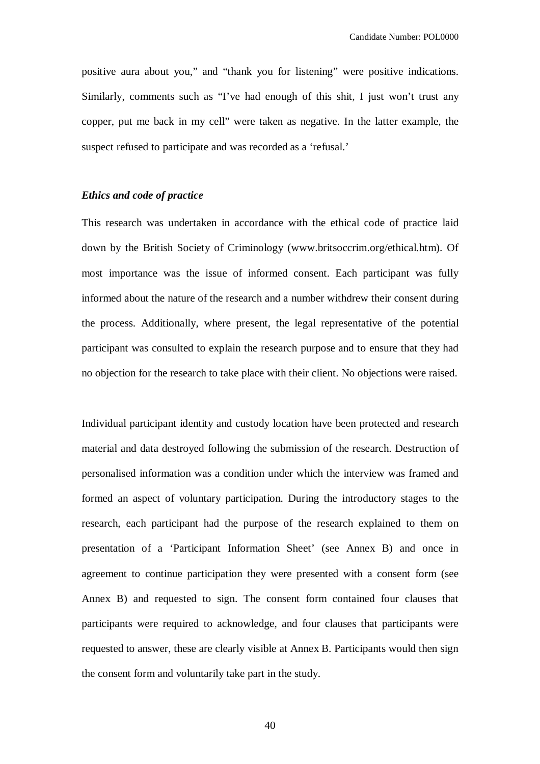positive aura about you," and "thank you for listening" were positive indications. Similarly, comments such as "I've had enough of this shit, I just won't trust any copper, put me back in my cell" were taken as negative. In the latter example, the suspect refused to participate and was recorded as a 'refusal.'

# *Ethics and code of practice*

This research was undertaken in accordance with the ethical code of practice laid down by the British Society of Criminology (www.britsoccrim.org/ethical.htm). Of most importance was the issue of informed consent. Each participant was fully informed about the nature of the research and a number withdrew their consent during the process. Additionally, where present, the legal representative of the potential participant was consulted to explain the research purpose and to ensure that they had no objection for the research to take place with their client. No objections were raised.

Individual participant identity and custody location have been protected and research material and data destroyed following the submission of the research. Destruction of personalised information was a condition under which the interview was framed and formed an aspect of voluntary participation. During the introductory stages to the research, each participant had the purpose of the research explained to them on presentation of a 'Participant Information Sheet' (see Annex B) and once in agreement to continue participation they were presented with a consent form (see Annex B) and requested to sign. The consent form contained four clauses that participants were required to acknowledge, and four clauses that participants were requested to answer, these are clearly visible at Annex B. Participants would then sign the consent form and voluntarily take part in the study.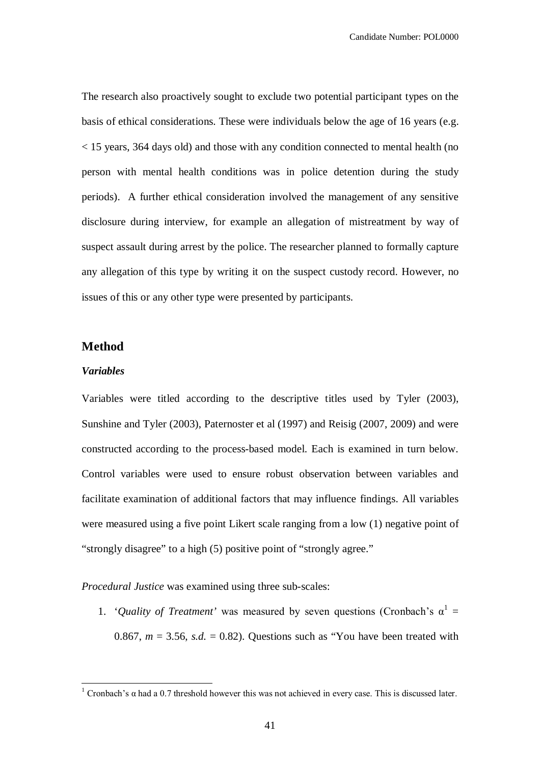The research also proactively sought to exclude two potential participant types on the basis of ethical considerations. These were individuals below the age of 16 years (e.g. < 15 years, 364 days old) and those with any condition connected to mental health (no person with mental health conditions was in police detention during the study periods). A further ethical consideration involved the management of any sensitive disclosure during interview, for example an allegation of mistreatment by way of suspect assault during arrest by the police. The researcher planned to formally capture any allegation of this type by writing it on the suspect custody record. However, no issues of this or any other type were presented by participants.

# **Method**

## *Variables*

 $\overline{a}$ 

Variables were titled according to the descriptive titles used by Tyler (2003), Sunshine and Tyler (2003), Paternoster et al (1997) and Reisig (2007, 2009) and were constructed according to the process-based model. Each is examined in turn below. Control variables were used to ensure robust observation between variables and facilitate examination of additional factors that may influence findings. All variables were measured using a five point Likert scale ranging from a low (1) negative point of "strongly disagree" to a high (5) positive point of "strongly agree."

*Procedural Justice* was examined using three sub-scales:

1. '*Quality of Treatment*' was measured by seven questions (Cronbach's  $\alpha^1$  = 0.867,  $m = 3.56$ , *s.d.* = 0.82). Questions such as "You have been treated with

<sup>&</sup>lt;sup>1</sup> Cronbach's α had a 0.7 threshold however this was not achieved in every case. This is discussed later.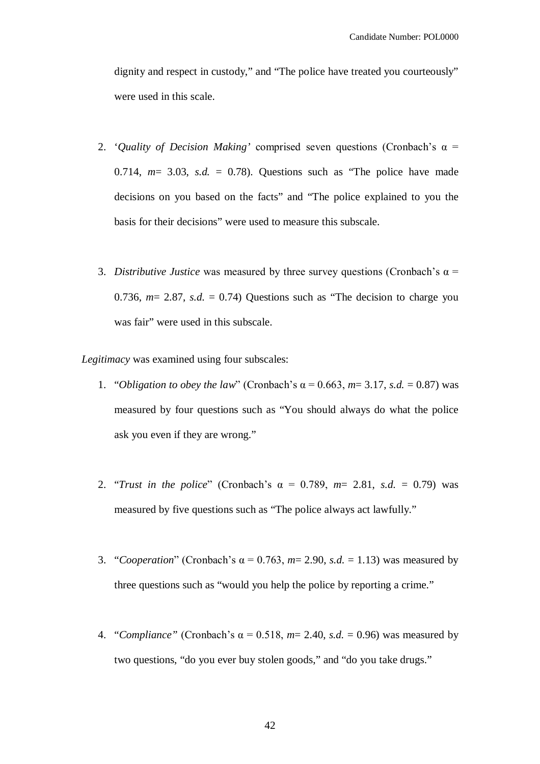dignity and respect in custody," and "The police have treated you courteously" were used in this scale.

- 2. '*Quality of Decision Making'* comprised seven questions (Cronbach's α = 0.714,  $m=$  3.03, *s.d.* = 0.78). Questions such as "The police have made decisions on you based on the facts" and "The police explained to you the basis for their decisions" were used to measure this subscale.
- 3. *Distributive Justice* was measured by three survey questions (Cronbach's  $\alpha$  = 0.736,  $m = 2.87$ , *s.d.* = 0.74) Questions such as "The decision to charge you was fair" were used in this subscale.

*Legitimacy* was examined using four subscales:

- 1. "*Obligation to obey the law*" (Cronbach's α = 0.663, *m*= 3.17, *s.d.* = 0.87) was measured by four questions such as "You should always do what the police ask you even if they are wrong."
- 2. "*Trust in the police*" (Cronbach's α = 0.789, *m*= 2.81, *s.d.* = 0.79) was measured by five questions such as "The police always act lawfully."
- 3. "*Cooperation*" (Cronbach's α = 0.763, *m*= 2.90, *s.d.* = 1.13) was measured by three questions such as "would you help the police by reporting a crime."
- 4. "*Compliance"* (Cronbach's α = 0.518, *m*= 2.40, *s.d.* = 0.96) was measured by two questions, "do you ever buy stolen goods," and "do you take drugs."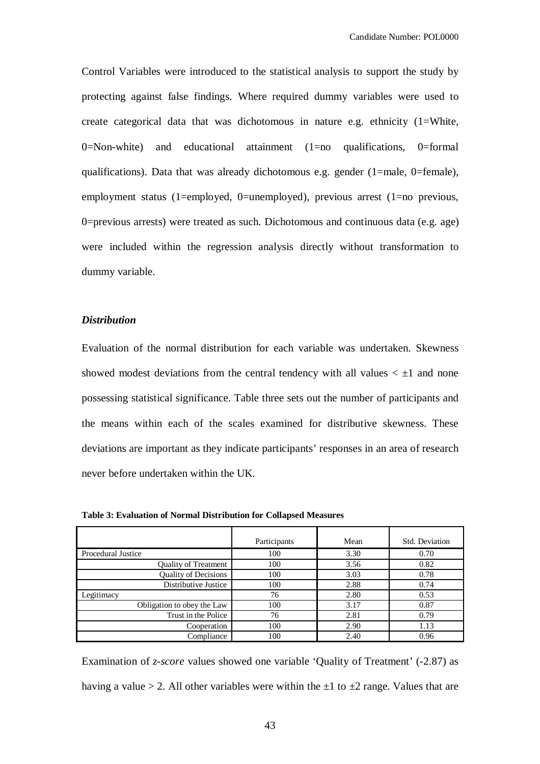Control Variables were introduced to the statistical analysis to support the study by protecting against false findings. Where required dummy variables were used to create categorical data that was dichotomous in nature e.g. ethnicity (1=White,  $0=N$ on-white) and educational attainment (1=no qualifications, 0=formal qualifications). Data that was already dichotomous e.g. gender (1=male, 0=female), employment status (1=employed, 0=unemployed), previous arrest (1=no previous, 0=previous arrests) were treated as such. Dichotomous and continuous data (e.g. age) were included within the regression analysis directly without transformation to dummy variable.

## *Distribution*

Evaluation of the normal distribution for each variable was undertaken. Skewness showed modest deviations from the central tendency with all values  $\lt \pm 1$  and none possessing statistical significance. Table three sets out the number of participants and the means within each of the scales examined for distributive skewness. These deviations are important as they indicate participants' responses in an area of research never before undertaken within the UK.

|                             | Participants | Mean | Std. Deviation |
|-----------------------------|--------------|------|----------------|
| Procedural Justice          | 100          | 3.30 | 0.70           |
| <b>Quality of Treatment</b> | 100          | 3.56 | 0.82           |
| <b>Quality of Decisions</b> | 100          | 3.03 | 0.78           |
| Distributive Justice        | 100          | 2.88 | 0.74           |
| Legitimacy                  | 76           | 2.80 | 0.53           |
| Obligation to obey the Law  | 100          | 3.17 | 0.87           |
| Trust in the Police         | 76           | 2.81 | 0.79           |
| Cooperation                 | 100          | 2.90 | 1.13           |
| Compliance                  | 100          | 2.40 | 0.96           |

**Table 3: Evaluation of Normal Distribution for Collapsed Measures**

Examination of *z-score* values showed one variable 'Quality of Treatment' (-2.87) as having a value > 2. All other variables were within the  $\pm 1$  to  $\pm 2$  range. Values that are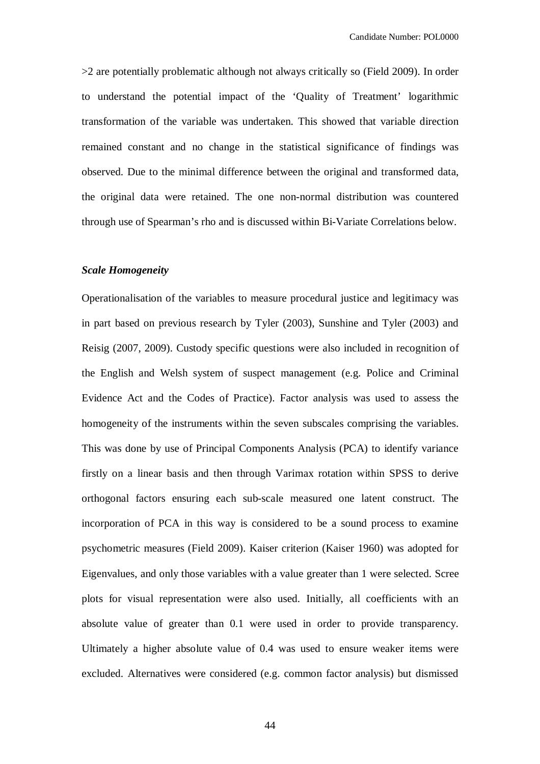>2 are potentially problematic although not always critically so (Field 2009). In order to understand the potential impact of the 'Quality of Treatment' logarithmic transformation of the variable was undertaken. This showed that variable direction remained constant and no change in the statistical significance of findings was observed. Due to the minimal difference between the original and transformed data, the original data were retained. The one non-normal distribution was countered through use of Spearman's rho and is discussed within Bi-Variate Correlations below.

### *Scale Homogeneity*

Operationalisation of the variables to measure procedural justice and legitimacy was in part based on previous research by Tyler (2003), Sunshine and Tyler (2003) and Reisig (2007, 2009). Custody specific questions were also included in recognition of the English and Welsh system of suspect management (e.g. Police and Criminal Evidence Act and the Codes of Practice). Factor analysis was used to assess the homogeneity of the instruments within the seven subscales comprising the variables. This was done by use of Principal Components Analysis (PCA) to identify variance firstly on a linear basis and then through Varimax rotation within SPSS to derive orthogonal factors ensuring each sub-scale measured one latent construct. The incorporation of PCA in this way is considered to be a sound process to examine psychometric measures (Field 2009). Kaiser criterion (Kaiser 1960) was adopted for Eigenvalues, and only those variables with a value greater than 1 were selected. Scree plots for visual representation were also used. Initially, all coefficients with an absolute value of greater than 0.1 were used in order to provide transparency. Ultimately a higher absolute value of 0.4 was used to ensure weaker items were excluded. Alternatives were considered (e.g. common factor analysis) but dismissed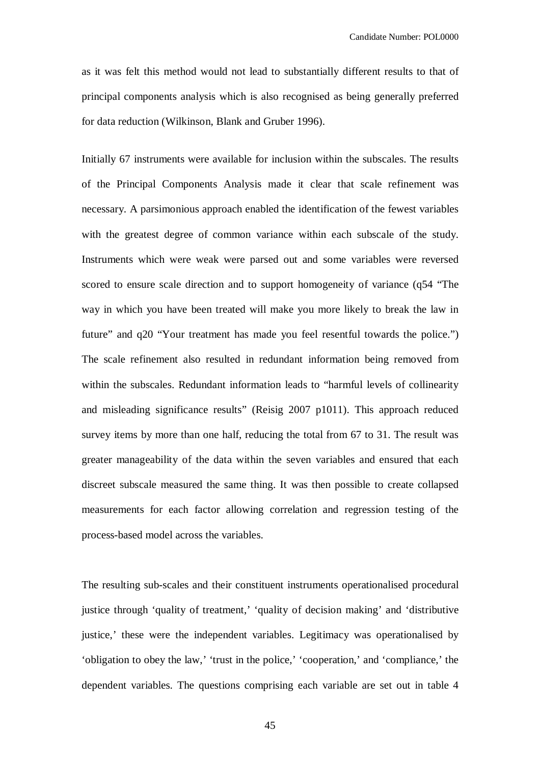as it was felt this method would not lead to substantially different results to that of principal components analysis which is also recognised as being generally preferred for data reduction (Wilkinson, Blank and Gruber 1996).

Initially 67 instruments were available for inclusion within the subscales. The results of the Principal Components Analysis made it clear that scale refinement was necessary. A parsimonious approach enabled the identification of the fewest variables with the greatest degree of common variance within each subscale of the study. Instruments which were weak were parsed out and some variables were reversed scored to ensure scale direction and to support homogeneity of variance (q54 "The way in which you have been treated will make you more likely to break the law in future" and q20 "Your treatment has made you feel resentful towards the police.") The scale refinement also resulted in redundant information being removed from within the subscales. Redundant information leads to "harmful levels of collinearity and misleading significance results" (Reisig 2007 p1011). This approach reduced survey items by more than one half, reducing the total from 67 to 31. The result was greater manageability of the data within the seven variables and ensured that each discreet subscale measured the same thing. It was then possible to create collapsed measurements for each factor allowing correlation and regression testing of the process-based model across the variables.

The resulting sub-scales and their constituent instruments operationalised procedural justice through 'quality of treatment,' 'quality of decision making' and 'distributive justice,' these were the independent variables. Legitimacy was operationalised by 'obligation to obey the law,' 'trust in the police,' 'cooperation,' and 'compliance,' the dependent variables. The questions comprising each variable are set out in table 4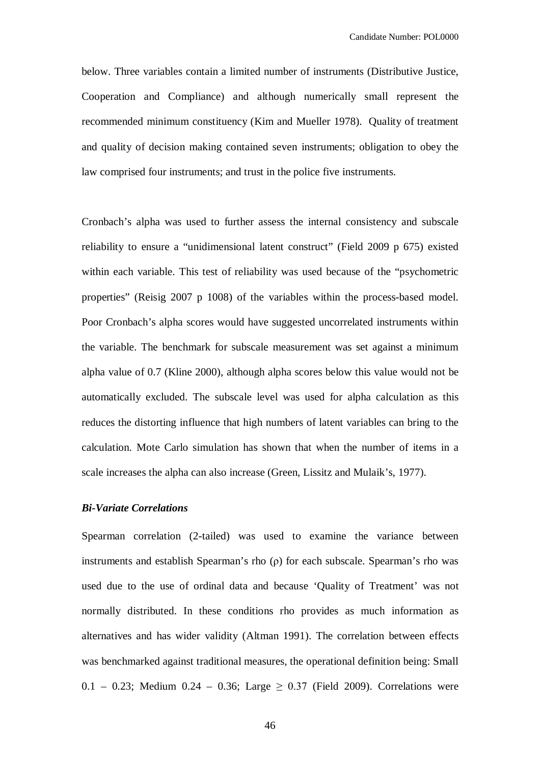below. Three variables contain a limited number of instruments (Distributive Justice, Cooperation and Compliance) and although numerically small represent the recommended minimum constituency (Kim and Mueller 1978). Quality of treatment and quality of decision making contained seven instruments; obligation to obey the law comprised four instruments; and trust in the police five instruments.

Cronbach's alpha was used to further assess the internal consistency and subscale reliability to ensure a "unidimensional latent construct" (Field 2009 p 675) existed within each variable. This test of reliability was used because of the "psychometric properties" (Reisig 2007 p 1008) of the variables within the process-based model. Poor Cronbach's alpha scores would have suggested uncorrelated instruments within the variable. The benchmark for subscale measurement was set against a minimum alpha value of 0.7 (Kline 2000), although alpha scores below this value would not be automatically excluded. The subscale level was used for alpha calculation as this reduces the distorting influence that high numbers of latent variables can bring to the calculation. Mote Carlo simulation has shown that when the number of items in a scale increases the alpha can also increase (Green, Lissitz and Mulaik's, 1977).

#### *Bi-Variate Correlations*

Spearman correlation (2-tailed) was used to examine the variance between instruments and establish Spearman's rho (ρ) for each subscale. Spearman's rho was used due to the use of ordinal data and because 'Quality of Treatment' was not normally distributed. In these conditions rho provides as much information as alternatives and has wider validity (Altman 1991). The correlation between effects was benchmarked against traditional measures, the operational definition being: Small 0.1 – 0.23; Medium 0.24 – 0.36; Large  $\geq$  0.37 (Field 2009). Correlations were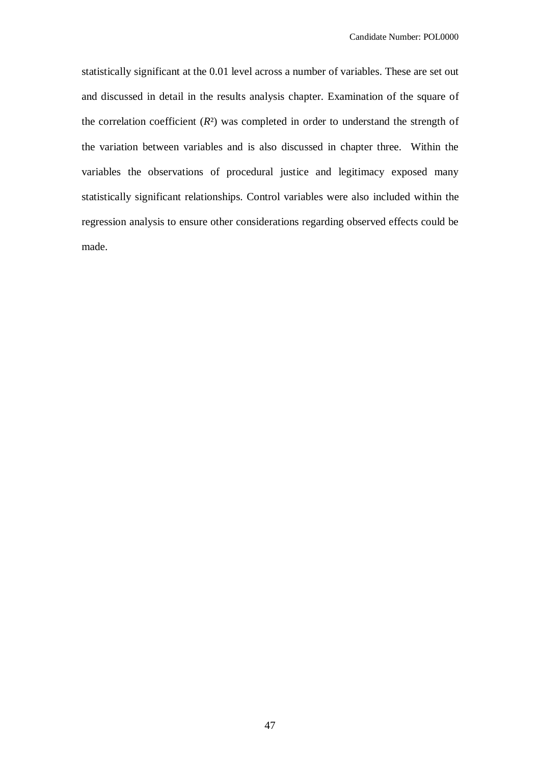statistically significant at the 0.01 level across a number of variables. These are set out and discussed in detail in the results analysis chapter. Examination of the square of the correlation coefficient  $(R<sup>2</sup>)$  was completed in order to understand the strength of the variation between variables and is also discussed in chapter three. Within the variables the observations of procedural justice and legitimacy exposed many statistically significant relationships. Control variables were also included within the regression analysis to ensure other considerations regarding observed effects could be made.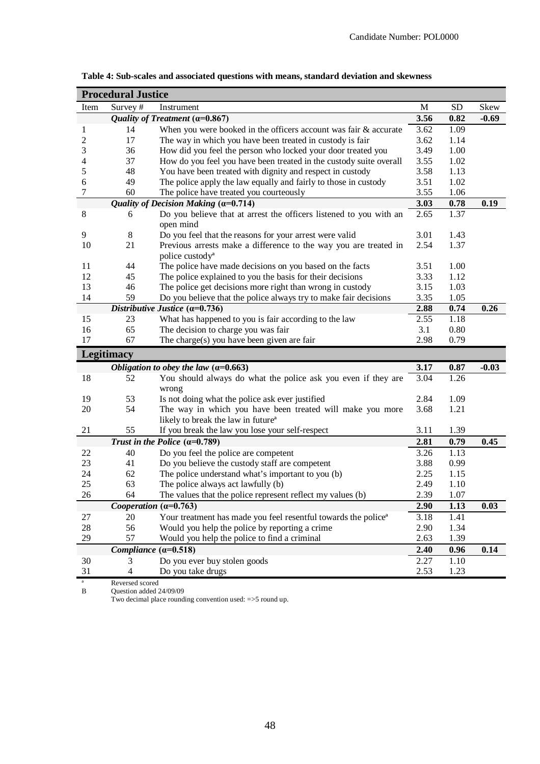|                | <b>Procedural Justice</b> |                                                                            |      |           |         |
|----------------|---------------------------|----------------------------------------------------------------------------|------|-----------|---------|
| Item           | Survey#                   | Instrument                                                                 | M    | <b>SD</b> | Skew    |
|                |                           | Quality of Treatment ( $\alpha$ =0.867)                                    | 3.56 | 0.82      | $-0.69$ |
| 1              | 14                        | When you were booked in the officers account was fair & accurate           | 3.62 | 1.09      |         |
| $\overline{c}$ | 17                        | The way in which you have been treated in custody is fair                  | 3.62 | 1.14      |         |
| 3              | 36                        | How did you feel the person who locked your door treated you               | 3.49 | 1.00      |         |
| 4              | 37                        | How do you feel you have been treated in the custody suite overall         | 3.55 | 1.02      |         |
| 5              | 48                        | You have been treated with dignity and respect in custody                  | 3.58 | 1.13      |         |
| 6              | 49                        | The police apply the law equally and fairly to those in custody            | 3.51 | 1.02      |         |
| 7              | 60                        | The police have treated you courteously                                    | 3.55 | 1.06      |         |
|                |                           | Quality of Decision Making $(a=0.714)$                                     | 3.03 | 0.78      | 0.19    |
| $\,8\,$        | 6                         | Do you believe that at arrest the officers listened to you with an         | 2.65 | 1.37      |         |
|                |                           | open mind                                                                  |      |           |         |
| 9              | 8                         | Do you feel that the reasons for your arrest were valid                    | 3.01 | 1.43      |         |
| 10             | 21                        | Previous arrests make a difference to the way you are treated in           | 2.54 | 1.37      |         |
|                |                           | police custody <sup>a</sup>                                                |      |           |         |
| 11             | 44                        | The police have made decisions on you based on the facts                   | 3.51 | 1.00      |         |
| 12             | 45                        | The police explained to you the basis for their decisions                  | 3.33 | 1.12      |         |
| 13             | 46                        | The police get decisions more right than wrong in custody                  | 3.15 | 1.03      |         |
| 14             | 59                        | Do you believe that the police always try to make fair decisions           | 3.35 | 1.05      |         |
|                |                           | Distributive Justice $(a=0.736)$                                           | 2.88 | 0.74      | 0.26    |
| 15             | 23                        | What has happened to you is fair according to the law                      | 2.55 | 1.18      |         |
| 16             | 65                        | The decision to charge you was fair                                        | 3.1  | 0.80      |         |
| 17             | 67                        | The charge(s) you have been given are fair                                 | 2.98 | 0.79      |         |
|                | <b>Legitimacy</b>         |                                                                            |      |           |         |
|                |                           | Obligation to obey the law $(\alpha=0.663)$                                | 3.17 | 0.87      | $-0.03$ |
| 18             | 52                        | You should always do what the police ask you even if they are              | 3.04 | 1.26      |         |
|                |                           | wrong                                                                      |      |           |         |
| 19             | 53                        | Is not doing what the police ask ever justified                            | 2.84 | 1.09      |         |
| 20             | 54                        | The way in which you have been treated will make you more                  | 3.68 | 1.21      |         |
|                |                           | likely to break the law in future <sup>a</sup>                             |      |           |         |
| 21             | 55                        | If you break the law you lose your self-respect                            | 3.11 | 1.39      |         |
|                |                           | Trust in the Police $(\alpha=0.789)$                                       | 2.81 | 0.79      | 0.45    |
| 22             | 40                        | Do you feel the police are competent                                       | 3.26 | 1.13      |         |
| 23             | 41                        | Do you believe the custody staff are competent                             | 3.88 | 0.99      |         |
| 24             | 62                        | The police understand what's important to you (b)                          | 2.25 | 1.15      |         |
| 25             | 63                        | The police always act lawfully (b)                                         | 2.49 | 1.10      |         |
| 26             | 64                        | The values that the police represent reflect my values (b)                 | 2.39 | 1.07      |         |
|                |                           | Cooperation $(a=0.763)$                                                    | 2.90 | 1.13      | 0.03    |
| 27             | 20                        | Your treatment has made you feel resentful towards the police <sup>a</sup> | 3.18 | 1.41      |         |
| 28             | 56                        | Would you help the police by reporting a crime                             | 2.90 | 1.34      |         |
| 29             | 57                        | Would you help the police to find a criminal                               | 2.63 | 1.39      |         |
|                |                           | Compliance $(a=0.518)$                                                     | 2.40 | 0.96      | 0.14    |
| 30             | 3                         | Do you ever buy stolen goods                                               | 2.27 | 1.10      |         |
| 31             | 4                         | Do you take drugs                                                          | 2.53 | 1.23      |         |
|                | uarcad d                  |                                                                            |      |           |         |

**Table 4: Sub-scales and associated questions with means, standard deviation and skewness**

ª Reversed scored B Question added 24/09/09

Two decimal place rounding convention used: =>5 round up.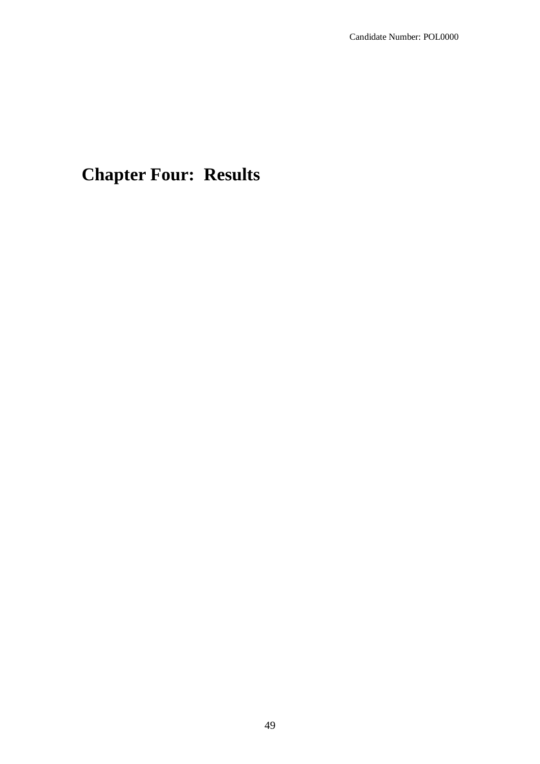# **Chapter Four: Results**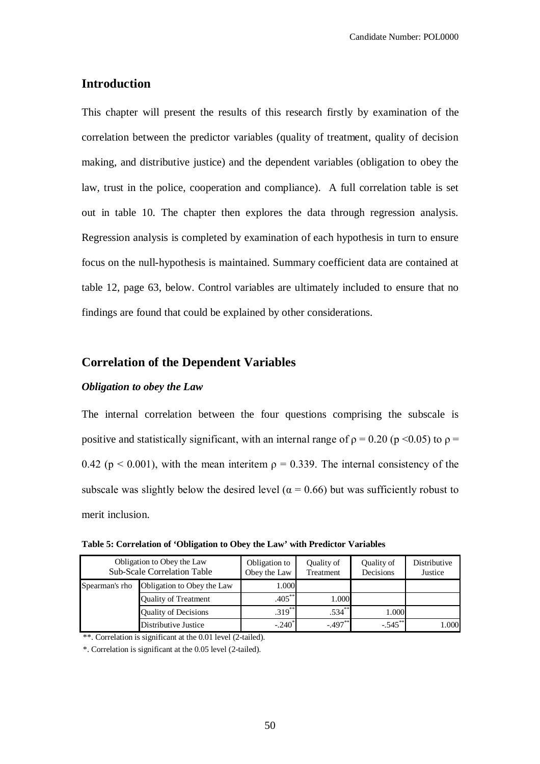# **Introduction**

This chapter will present the results of this research firstly by examination of the correlation between the predictor variables (quality of treatment, quality of decision making, and distributive justice) and the dependent variables (obligation to obey the law, trust in the police, cooperation and compliance). A full correlation table is set out in table 10. The chapter then explores the data through regression analysis. Regression analysis is completed by examination of each hypothesis in turn to ensure focus on the null-hypothesis is maintained. Summary coefficient data are contained at table 12, page 63, below. Control variables are ultimately included to ensure that no findings are found that could be explained by other considerations.

# **Correlation of the Dependent Variables**

# *Obligation to obey the Law*

The internal correlation between the four questions comprising the subscale is positive and statistically significant, with an internal range of  $\rho = 0.20$  (p <0.05) to  $\rho =$ 0.42 ( $p < 0.001$ ), with the mean interitem  $p = 0.339$ . The internal consistency of the subscale was slightly below the desired level ( $\alpha$  = 0.66) but was sufficiently robust to merit inclusion.

|                | Obligation to Obey the Law<br><b>Sub-Scale Correlation Table</b> | Obligation to<br>Obey the Law | Quality of<br>Treatment | Quality of<br>Decisions | Distributive<br>Justice |
|----------------|------------------------------------------------------------------|-------------------------------|-------------------------|-------------------------|-------------------------|
| Spearman's rho | Obligation to Obey the Law                                       | 1.000                         |                         |                         |                         |
|                | <b>Quality of Treatment</b>                                      | $.405***$                     | 1.000                   |                         |                         |
|                | <b>Quality of Decisions</b>                                      | $.319***$                     | $.534***$               | 1.000                   |                         |
|                | Distributive Justice                                             | $-.240$ <sup>*</sup>          | $-497$                  | $-0.545$                | 1.000                   |

\*\*. Correlation is significant at the 0.01 level (2-tailed).

\*. Correlation is significant at the 0.05 level (2-tailed).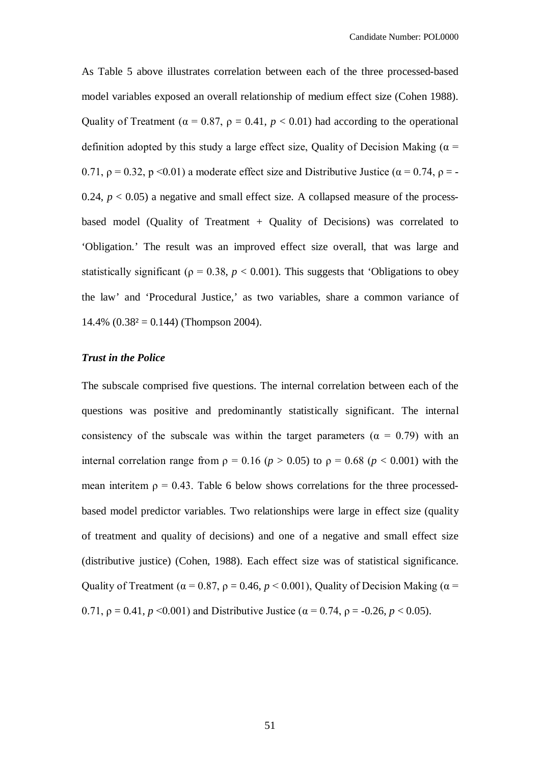As Table 5 above illustrates correlation between each of the three processed-based model variables exposed an overall relationship of medium effect size (Cohen 1988). Quality of Treatment ( $\alpha = 0.87$ ,  $\rho = 0.41$ ,  $p < 0.01$ ) had according to the operational definition adopted by this study a large effect size, Quality of Decision Making ( $\alpha$  = 0.71,  $\rho = 0.32$ ,  $p \le 0.01$ ) a moderate effect size and Distributive Justice ( $\alpha = 0.74$ ,  $\rho = -$ 0.24,  $p < 0.05$ ) a negative and small effect size. A collapsed measure of the processbased model (Quality of Treatment + Quality of Decisions) was correlated to 'Obligation.' The result was an improved effect size overall, that was large and statistically significant ( $p = 0.38$ ,  $p < 0.001$ ). This suggests that 'Obligations to obey the law' and 'Procedural Justice,' as two variables, share a common variance of 14.4%  $(0.38<sup>2</sup> = 0.144)$  (Thompson 2004).

## *Trust in the Police*

The subscale comprised five questions. The internal correlation between each of the questions was positive and predominantly statistically significant. The internal consistency of the subscale was within the target parameters ( $\alpha = 0.79$ ) with an internal correlation range from  $\rho = 0.16$  ( $p > 0.05$ ) to  $\rho = 0.68$  ( $p < 0.001$ ) with the mean interitem  $\rho = 0.43$ . Table 6 below shows correlations for the three processedbased model predictor variables. Two relationships were large in effect size (quality of treatment and quality of decisions) and one of a negative and small effect size (distributive justice) (Cohen, 1988). Each effect size was of statistical significance. Quality of Treatment ( $\alpha$  = 0.87,  $\rho$  = 0.46,  $p$  < 0.001), Quality of Decision Making ( $\alpha$  = 0.71,  $\rho = 0.41$ ,  $p \le 0.001$ ) and Distributive Justice ( $\alpha = 0.74$ ,  $\rho = -0.26$ ,  $p \le 0.05$ ).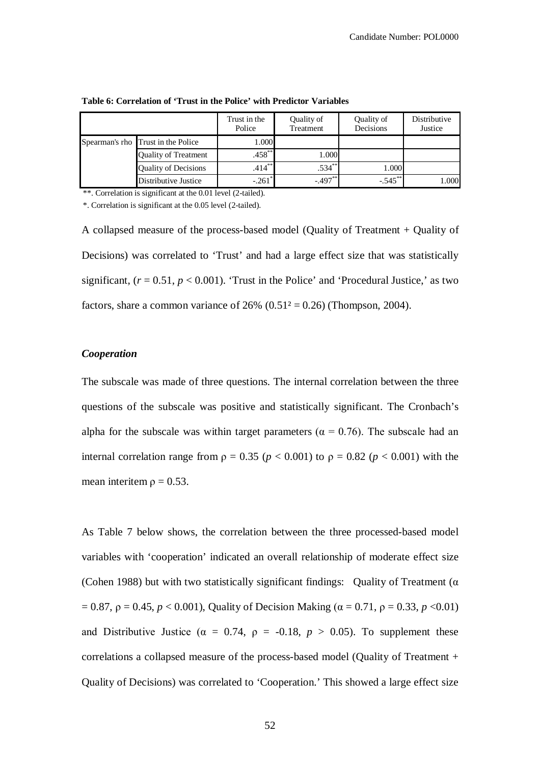|                                    | Trust in the<br>Police | Quality of<br>Treatment | Quality of<br>Decisions | Distributive<br>Justice |
|------------------------------------|------------------------|-------------------------|-------------------------|-------------------------|
| Spearman's rho Trust in the Police | 1.000                  |                         |                         |                         |
| <b>Quality of Treatment</b>        | $.458$ **              | 1.000                   |                         |                         |
| <b>Quality of Decisions</b>        | $.414***$              | $.534***$               | 1.000                   |                         |
| Distributive Justice               | $-.261$ <sup>'</sup>   | $-.497***$              | $-.545***$              | 1.000                   |

**Table 6: Correlation of 'Trust in the Police' with Predictor Variables**

\*\*. Correlation is significant at the 0.01 level (2-tailed).

\*. Correlation is significant at the 0.05 level (2-tailed).

A collapsed measure of the process-based model (Quality of Treatment + Quality of Decisions) was correlated to 'Trust' and had a large effect size that was statistically significant,  $(r = 0.51, p < 0.001)$ . 'Trust in the Police' and 'Procedural Justice,' as two factors, share a common variance of  $26\%$  (0.51<sup>2</sup> = 0.26) (Thompson, 2004).

## *Cooperation*

The subscale was made of three questions. The internal correlation between the three questions of the subscale was positive and statistically significant. The Cronbach's alpha for the subscale was within target parameters ( $\alpha = 0.76$ ). The subscale had an internal correlation range from  $\rho = 0.35$  ( $p < 0.001$ ) to  $\rho = 0.82$  ( $p < 0.001$ ) with the mean interitem  $\rho = 0.53$ .

As Table 7 below shows, the correlation between the three processed-based model variables with 'cooperation' indicated an overall relationship of moderate effect size (Cohen 1988) but with two statistically significant findings: Quality of Treatment ( $\alpha$ ) = 0.87,  $ρ = 0.45$ ,  $p < 0.001$ ), Quality of Decision Making ( $α = 0.71$ ,  $ρ = 0.33$ ,  $p < 0.01$ ) and Distributive Justice ( $\alpha = 0.74$ ,  $\rho = -0.18$ ,  $p > 0.05$ ). To supplement these correlations a collapsed measure of the process-based model (Quality of Treatment + Quality of Decisions) was correlated to 'Cooperation.' This showed a large effect size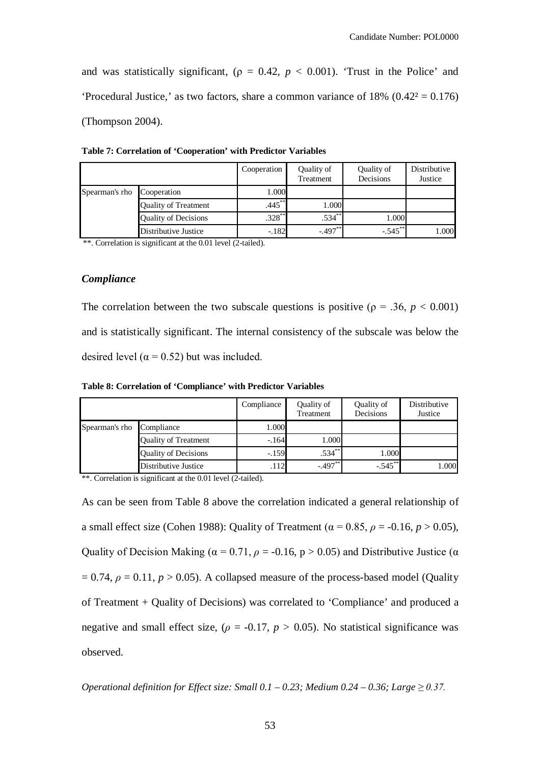and was statistically significant, ( $\rho = 0.42$ ,  $p < 0.001$ ). 'Trust in the Police' and 'Procedural Justice,' as two factors, share a common variance of 18%  $(0.42^2 = 0.176)$ (Thompson 2004).

|                |                             | Cooperation | Quality of<br>Treatment | Quality of<br>Decisions | Distributive<br>Justice |
|----------------|-----------------------------|-------------|-------------------------|-------------------------|-------------------------|
| Spearman's rho | Cooperation                 | 1.000       |                         |                         |                         |
|                | <b>Quality of Treatment</b> | $.445***$   | 1.000                   |                         |                         |
|                | <b>Quality of Decisions</b> | $.328***$   | $.534***$               | 1.000                   |                         |
|                | Distributive Justice        | $-.182$     | $-.497***$              | $-.545***$              | 1.000                   |

**Table 7: Correlation of 'Cooperation' with Predictor Variables**

\*\*. Correlation is significant at the 0.01 level (2-tailed).

#### *Compliance*

The correlation between the two subscale questions is positive ( $\rho = .36$ ,  $p < 0.001$ ) and is statistically significant. The internal consistency of the subscale was below the desired level ( $\alpha$  = 0.52) but was included.

**Table 8: Correlation of 'Compliance' with Predictor Variables**

|                |                             | Compliance | Quality of<br>Treatment | Quality of<br>Decisions | Distributive<br>Justice |
|----------------|-----------------------------|------------|-------------------------|-------------------------|-------------------------|
| Spearman's rho | Compliance                  | 1.000      |                         |                         |                         |
|                | <b>Quality of Treatment</b> | $-164$     | 1.000                   |                         |                         |
|                | <b>Quality of Decisions</b> | $-.159$    | $.534***$               | 1.000                   |                         |
|                | Distributive Justice        | .112       | $-497$                  | $-.545***$              | 1.000                   |

\*\*. Correlation is significant at the 0.01 level (2-tailed).

As can be seen from Table 8 above the correlation indicated a general relationship of a small effect size (Cohen 1988): Quality of Treatment ( $\alpha$  = 0.85,  $\rho$  = -0.16,  $p > 0.05$ ), Quality of Decision Making ( $\alpha$  = 0.71,  $\rho$  = -0.16, p > 0.05) and Distributive Justice ( $\alpha$  $= 0.74$ ,  $\rho = 0.11$ ,  $p > 0.05$ ). A collapsed measure of the process-based model (Quality of Treatment + Quality of Decisions) was correlated to 'Compliance' and produced a negative and small effect size,  $(\rho = -0.17, p > 0.05)$ . No statistical significance was observed.

*Operational definition for Effect size: Small*  $0.1 - 0.23$ *; Medium*  $0.24 - 0.36$ *; Large*  $\ge 0.37$ *.*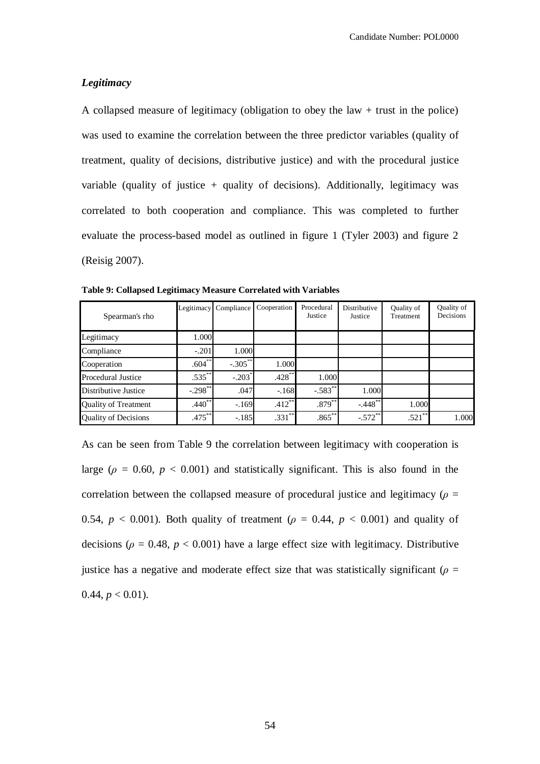# *Legitimacy*

A collapsed measure of legitimacy (obligation to obey the law + trust in the police) was used to examine the correlation between the three predictor variables (quality of treatment, quality of decisions, distributive justice) and with the procedural justice variable (quality of justice  $+$  quality of decisions). Additionally, legitimacy was correlated to both cooperation and compliance. This was completed to further evaluate the process-based model as outlined in figure 1 (Tyler 2003) and figure 2 (Reisig 2007).

| Spearman's rho              | Legitimacy  | Compliance           | Cooperation | Procedural<br>Justice | <b>Distributive</b><br>Justice | Quality of<br>Treatment | <b>Ouality of</b><br>Decisions |
|-----------------------------|-------------|----------------------|-------------|-----------------------|--------------------------------|-------------------------|--------------------------------|
| Legitimacy                  | 1.000       |                      |             |                       |                                |                         |                                |
| Compliance                  | $-.201$     | 1.000                |             |                       |                                |                         |                                |
| Cooperation                 | $.604***$   | $-.305***$           | 1.000       |                       |                                |                         |                                |
| <b>Procedural Justice</b>   | $.535***$   | $-.203$ <sup>*</sup> | $.428***$   | 1.000                 |                                |                         |                                |
| Distributive Justice        | $-.298**$   | .047                 | $-.168$     | $-.583**$             | 1.000                          |                         |                                |
| <b>Quality of Treatment</b> | $.440^{**}$ | $-.169$              | $.412***$   | $.879***$             | $-.448$ **                     | 1.000                   |                                |
| <b>Quality of Decisions</b> | $.475***$   | $-.185$              | $.331**$    | $.865***$             | $-.572**$                      | $.521***$               | 1.000                          |

**Table 9: Collapsed Legitimacy Measure Correlated with Variables** 

As can be seen from Table 9 the correlation between legitimacy with cooperation is large ( $\rho = 0.60$ ,  $p < 0.001$ ) and statistically significant. This is also found in the correlation between the collapsed measure of procedural justice and legitimacy ( $\rho =$ 0.54,  $p < 0.001$ ). Both quality of treatment ( $\rho = 0.44$ ,  $p < 0.001$ ) and quality of decisions ( $\rho = 0.48$ ,  $p < 0.001$ ) have a large effect size with legitimacy. Distributive justice has a negative and moderate effect size that was statistically significant ( $\rho$  =  $0.44, p < 0.01$ ).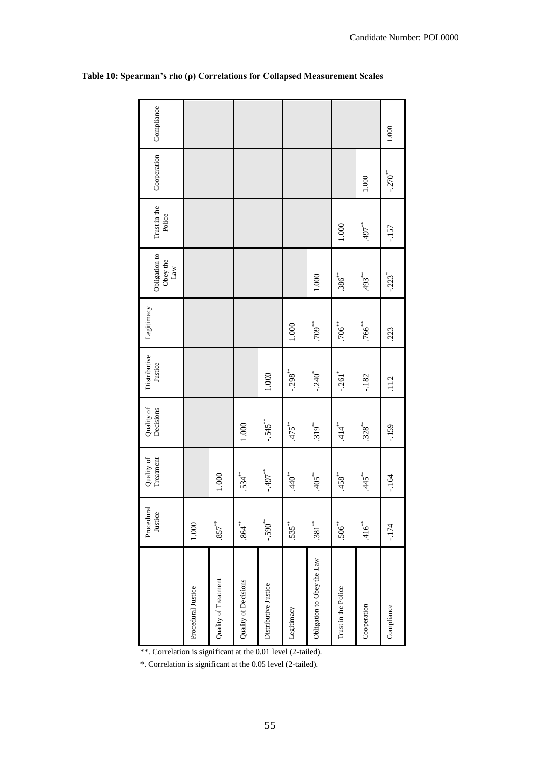|                            | Procedural<br>Justice | Quality of<br>Treatment | Quality of<br>Decisions | Distributive<br>Justice | Legitimacy | Obligation to<br>Obey the<br>Law | Trust in the<br>Police | Cooperation           | Compliance |
|----------------------------|-----------------------|-------------------------|-------------------------|-------------------------|------------|----------------------------------|------------------------|-----------------------|------------|
| Procedural Justice         | 1.000                 |                         |                         |                         |            |                                  |                        |                       |            |
| Quality of Treatment       | $.857***$             | 1.000                   |                         |                         |            |                                  |                        |                       |            |
| Quality of Decisions       | $.864$ <sup>**</sup>  | $.534***$               | $1.000$                 |                         |            |                                  |                        |                       |            |
| Distributive Justice       | $-590**$              | $-497$                  | $-545"$                 | 1.000                   |            |                                  |                        |                       |            |
| Legitimacy                 | $.535***$             | $.440^{**}$             | $475**$                 | $-.298"$                | 1.000      |                                  |                        |                       |            |
| Obligation to Obey the Law | $.381***$             | $.405**$                | $.319**$                | $-.240$ <sup>*</sup>    | $.709$ **  | $1.000$                          |                        |                       |            |
| Trust in the Police        | $.506^{***}$          | $458**$                 | $.414$ <sup>**</sup>    | $-.261$ <sup>*</sup>    | $.706$ **  | $.386^{***}$                     | 1.000                  |                       |            |
| Cooperation                | $.416$ <sup>**</sup>  | $445$ *                 | $.328**$                | $-182$                  | $.766$ *   | **\$93.                          | $*37$                  | $1.000$               |            |
| Compliance                 | $-174$                | $-164$                  | $-159$                  | .112                    | .223       | $-223$ <sup>*</sup>              | $-157$                 | $-.270$ <sup>**</sup> | 1.000      |
|                            |                       |                         |                         |                         |            |                                  |                        |                       |            |

# **Table 10: Spearman's rho (ρ) Correlations for Collapsed Measurement Scales**

\*\*. Correlation is significant at the 0.01 level (2-tailed).

\*. Correlation is significant at the 0.05 level (2-tailed).

Candidate Number: POL0000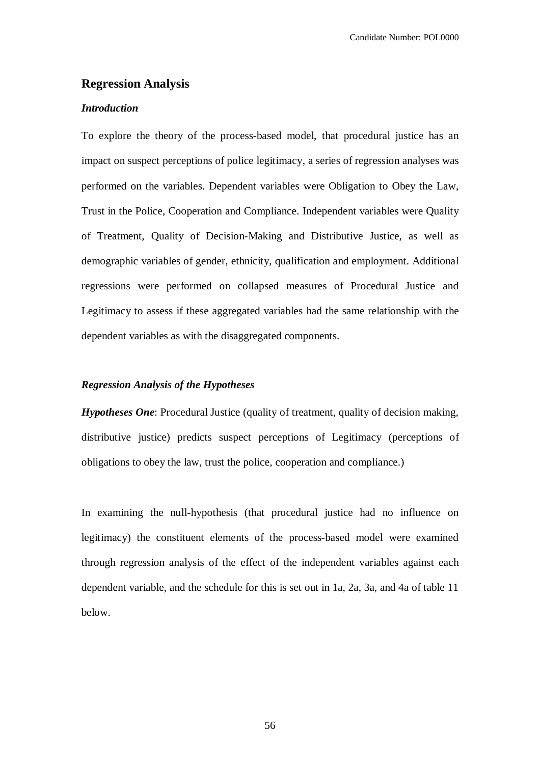# **Regression Analysis**

# *Introduction*

To explore the theory of the process-based model, that procedural justice has an impact on suspect perceptions of police legitimacy, a series of regression analyses was performed on the variables. Dependent variables were Obligation to Obey the Law, Trust in the Police, Cooperation and Compliance. Independent variables were Quality of Treatment, Quality of Decision-Making and Distributive Justice, as well as demographic variables of gender, ethnicity, qualification and employment. Additional regressions were performed on collapsed measures of Procedural Justice and Legitimacy to assess if these aggregated variables had the same relationship with the dependent variables as with the disaggregated components.

## *Regression Analysis of the Hypotheses*

*Hypotheses One*: Procedural Justice (quality of treatment, quality of decision making, distributive justice) predicts suspect perceptions of Legitimacy (perceptions of obligations to obey the law, trust the police, cooperation and compliance.)

In examining the null-hypothesis (that procedural justice had no influence on legitimacy) the constituent elements of the process-based model were examined through regression analysis of the effect of the independent variables against each dependent variable, and the schedule for this is set out in 1a, 2a, 3a, and 4a of table 11 below.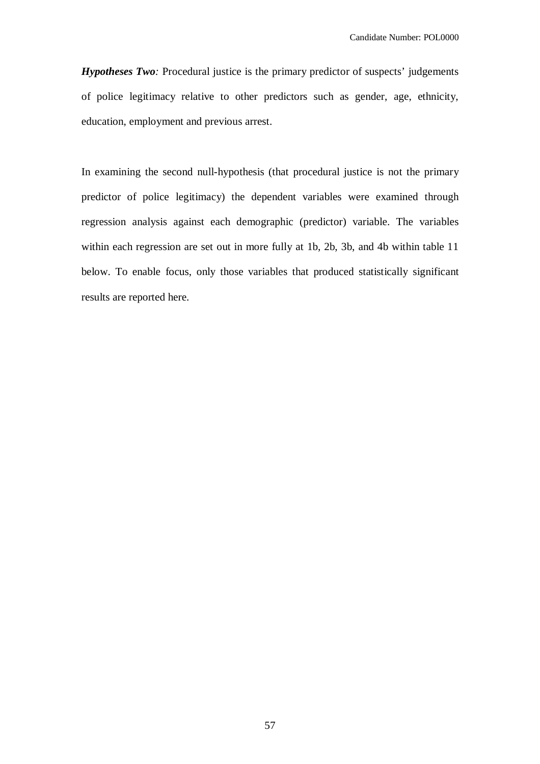*Hypotheses Two:* Procedural justice is the primary predictor of suspects' judgements of police legitimacy relative to other predictors such as gender, age, ethnicity, education, employment and previous arrest.

In examining the second null-hypothesis (that procedural justice is not the primary predictor of police legitimacy) the dependent variables were examined through regression analysis against each demographic (predictor) variable. The variables within each regression are set out in more fully at 1b, 2b, 3b, and 4b within table 11 below. To enable focus, only those variables that produced statistically significant results are reported here.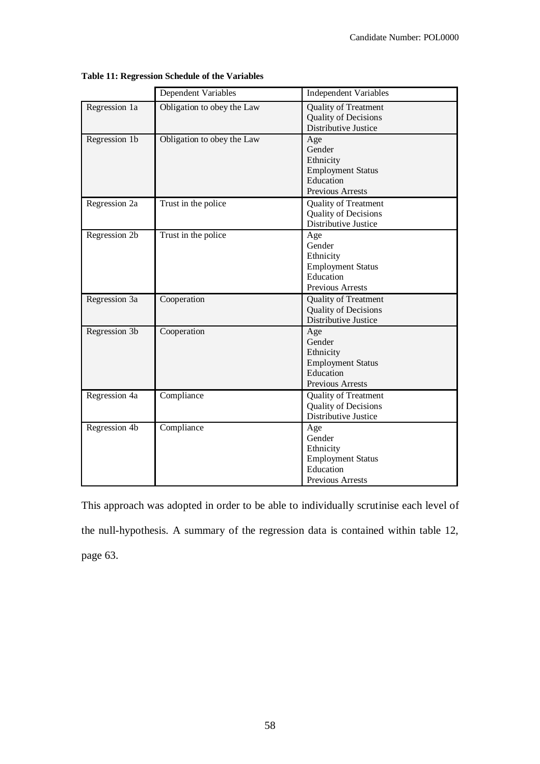|               | Dependent Variables        | <b>Independent Variables</b>                                                                   |
|---------------|----------------------------|------------------------------------------------------------------------------------------------|
| Regression 1a | Obligation to obey the Law | <b>Quality of Treatment</b><br><b>Quality of Decisions</b><br>Distributive Justice             |
| Regression 1b | Obligation to obey the Law | Age<br>Gender<br>Ethnicity<br><b>Employment Status</b><br>Education<br>Previous Arrests        |
| Regression 2a | Trust in the police        | <b>Quality of Treatment</b><br><b>Quality of Decisions</b><br>Distributive Justice             |
| Regression 2b | Trust in the police        | Age<br>Gender<br>Ethnicity<br><b>Employment Status</b><br>Education<br><b>Previous Arrests</b> |
| Regression 3a | Cooperation                | <b>Quality of Treatment</b><br><b>Quality of Decisions</b><br>Distributive Justice             |
| Regression 3b | Cooperation                | Age<br>Gender<br>Ethnicity<br><b>Employment Status</b><br>Education<br>Previous Arrests        |
| Regression 4a | Compliance                 | <b>Quality of Treatment</b><br><b>Quality of Decisions</b><br>Distributive Justice             |
| Regression 4b | Compliance                 | Age<br>Gender<br>Ethnicity<br><b>Employment Status</b><br>Education<br>Previous Arrests        |

**Table 11: Regression Schedule of the Variables**

This approach was adopted in order to be able to individually scrutinise each level of the null-hypothesis. A summary of the regression data is contained within table 12, page 63.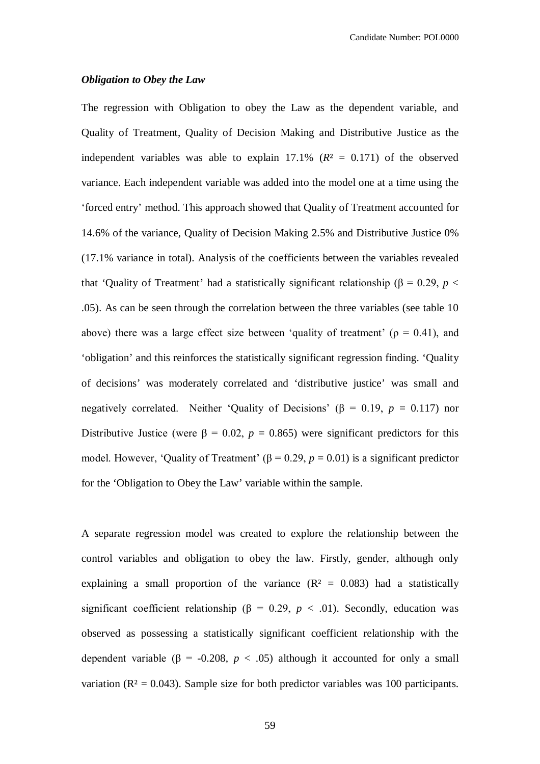#### *Obligation to Obey the Law*

The regression with Obligation to obey the Law as the dependent variable, and Quality of Treatment, Quality of Decision Making and Distributive Justice as the independent variables was able to explain  $17.1\%$  ( $R<sup>2</sup> = 0.171$ ) of the observed variance. Each independent variable was added into the model one at a time using the 'forced entry' method. This approach showed that Quality of Treatment accounted for 14.6% of the variance, Quality of Decision Making 2.5% and Distributive Justice 0% (17.1% variance in total). Analysis of the coefficients between the variables revealed that 'Quality of Treatment' had a statistically significant relationship (β = 0.29, *p* < .05). As can be seen through the correlation between the three variables (see table 10 above) there was a large effect size between 'quality of treatment' ( $\rho = 0.41$ ), and 'obligation' and this reinforces the statistically significant regression finding. 'Quality of decisions' was moderately correlated and 'distributive justice' was small and negatively correlated. Neither 'Quality of Decisions' ( $\beta$  = 0.19, *p* = 0.117) nor Distributive Justice (were  $\beta = 0.02$ ,  $p = 0.865$ ) were significant predictors for this model. However, 'Quality of Treatment' (β = 0.29,  $p = 0.01$ ) is a significant predictor for the 'Obligation to Obey the Law' variable within the sample.

A separate regression model was created to explore the relationship between the control variables and obligation to obey the law. Firstly, gender, although only explaining a small proportion of the variance  $(R^2 = 0.083)$  had a statistically significant coefficient relationship ( $\beta = 0.29$ ,  $p < .01$ ). Secondly, education was observed as possessing a statistically significant coefficient relationship with the dependent variable ( $\beta$  = -0.208,  $p < .05$ ) although it accounted for only a small variation ( $R<sup>2</sup> = 0.043$ ). Sample size for both predictor variables was 100 participants.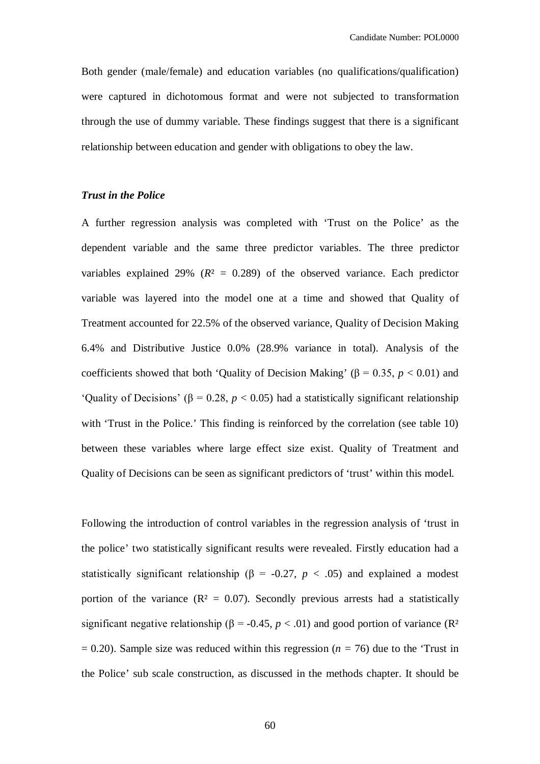Both gender (male/female) and education variables (no qualifications/qualification) were captured in dichotomous format and were not subjected to transformation through the use of dummy variable. These findings suggest that there is a significant relationship between education and gender with obligations to obey the law.

# *Trust in the Police*

A further regression analysis was completed with 'Trust on the Police' as the dependent variable and the same three predictor variables. The three predictor variables explained 29% ( $R^2 = 0.289$ ) of the observed variance. Each predictor variable was layered into the model one at a time and showed that Quality of Treatment accounted for 22.5% of the observed variance, Quality of Decision Making 6.4% and Distributive Justice 0.0% (28.9% variance in total). Analysis of the coefficients showed that both 'Quality of Decision Making' ( $\beta = 0.35$ ,  $p < 0.01$ ) and 'Quality of Decisions' ( $\beta$  = 0.28,  $p$  < 0.05) had a statistically significant relationship with 'Trust in the Police.' This finding is reinforced by the correlation (see table 10) between these variables where large effect size exist. Quality of Treatment and Quality of Decisions can be seen as significant predictors of 'trust' within this model.

Following the introduction of control variables in the regression analysis of 'trust in the police' two statistically significant results were revealed. Firstly education had a statistically significant relationship ( $\beta$  = -0.27, *p* < .05) and explained a modest portion of the variance  $(R^2 = 0.07)$ . Secondly previous arrests had a statistically significant negative relationship ( $\beta$  = -0.45,  $p < .01$ ) and good portion of variance (R<sup>2</sup>)  $= 0.20$ ). Sample size was reduced within this regression ( $n = 76$ ) due to the 'Trust in the Police' sub scale construction, as discussed in the methods chapter. It should be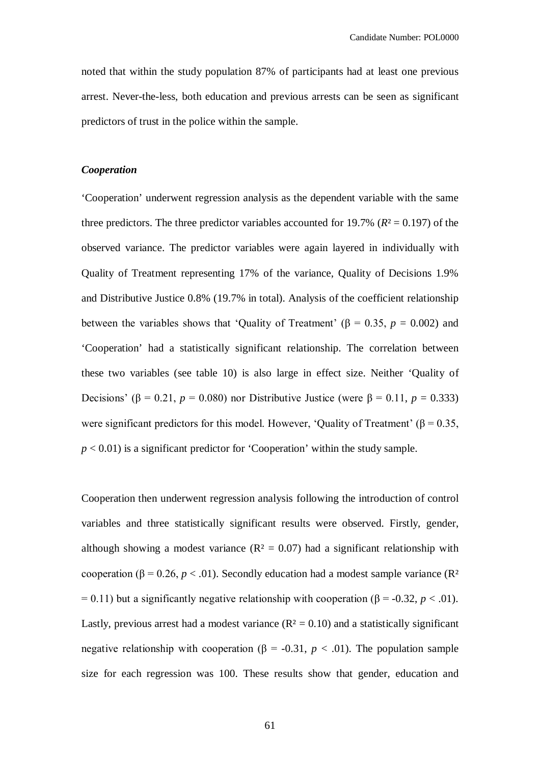noted that within the study population 87% of participants had at least one previous arrest. Never-the-less, both education and previous arrests can be seen as significant predictors of trust in the police within the sample.

### *Cooperation*

'Cooperation' underwent regression analysis as the dependent variable with the same three predictors. The three predictor variables accounted for 19.7% ( $R$ <sup>2</sup> = 0.197) of the observed variance. The predictor variables were again layered in individually with Quality of Treatment representing 17% of the variance, Quality of Decisions 1.9% and Distributive Justice 0.8% (19.7% in total). Analysis of the coefficient relationship between the variables shows that 'Quality of Treatment' ( $\beta = 0.35$ ,  $p = 0.002$ ) and 'Cooperation' had a statistically significant relationship. The correlation between these two variables (see table 10) is also large in effect size. Neither 'Quality of Decisions' (β = 0.21, *p* = 0.080) nor Distributive Justice (were β = 0.11, *p* = 0.333) were significant predictors for this model. However, 'Quality of Treatment' ( $\beta$  = 0.35,  $p < 0.01$ ) is a significant predictor for 'Cooperation' within the study sample.

Cooperation then underwent regression analysis following the introduction of control variables and three statistically significant results were observed. Firstly, gender, although showing a modest variance  $(R^2 = 0.07)$  had a significant relationship with cooperation ( $\beta$  = 0.26, *p* < .01). Secondly education had a modest sample variance ( $\mathbb{R}^2$ )  $= 0.11$ ) but a significantly negative relationship with cooperation ( $\beta = -0.32$ ,  $p < .01$ ). Lastly, previous arrest had a modest variance  $(R^2 = 0.10)$  and a statistically significant negative relationship with cooperation ( $\beta$  = -0.31,  $p < .01$ ). The population sample size for each regression was 100. These results show that gender, education and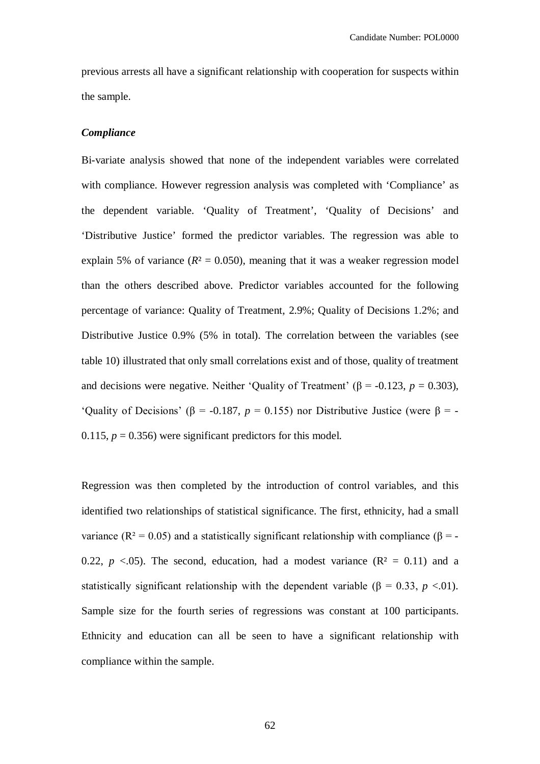previous arrests all have a significant relationship with cooperation for suspects within the sample.

## *Compliance*

Bi-variate analysis showed that none of the independent variables were correlated with compliance. However regression analysis was completed with 'Compliance' as the dependent variable. 'Quality of Treatment', 'Quality of Decisions' and 'Distributive Justice' formed the predictor variables. The regression was able to explain 5% of variance  $(R^2 = 0.050)$ , meaning that it was a weaker regression model than the others described above. Predictor variables accounted for the following percentage of variance: Quality of Treatment, 2.9%; Quality of Decisions 1.2%; and Distributive Justice 0.9% (5% in total). The correlation between the variables (see table 10) illustrated that only small correlations exist and of those, quality of treatment and decisions were negative. Neither 'Quality of Treatment' ( $\beta$  = -0.123, *p* = 0.303), 'Quality of Decisions' ( $\beta$  = -0.187, *p* = 0.155) nor Distributive Justice (were  $\beta$  = -0.115,  $p = 0.356$ ) were significant predictors for this model.

Regression was then completed by the introduction of control variables, and this identified two relationships of statistical significance. The first, ethnicity, had a small variance (R<sup>2</sup> = 0.05) and a statistically significant relationship with compliance (β = -0.22,  $p \lt 0.05$ ). The second, education, had a modest variance ( $\mathbb{R}^2 = 0.11$ ) and a statistically significant relationship with the dependent variable ( $\beta = 0.33$ ,  $p < 0.01$ ). Sample size for the fourth series of regressions was constant at 100 participants. Ethnicity and education can all be seen to have a significant relationship with compliance within the sample.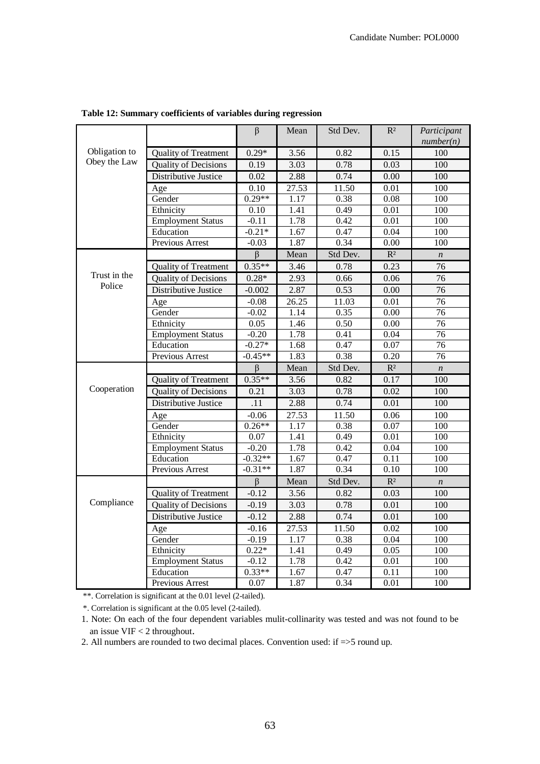|               |                              | $\beta$            | Mean         | Std Dev.     | $R^2$             | Participant<br>number(n) |
|---------------|------------------------------|--------------------|--------------|--------------|-------------------|--------------------------|
| Obligation to | <b>Quality of Treatment</b>  | $0.29*$            | 3.56         | 0.82         | 0.15              | 100                      |
| Obey the Law  | <b>Quality of Decisions</b>  | 0.19               | 3.03         | 0.78         | 0.03              | 100                      |
|               | Distributive Justice         | 0.02               | 2.88         | 0.74         | 0.00              | 100                      |
|               | Age                          | 0.10               | 27.53        | 11.50        | 0.01              | 100                      |
|               | Gender                       | $0.29**$           | 1.17         | 0.38         | 0.08              | $\overline{100}$         |
|               | Ethnicity                    | 0.10               | 1.41         | 0.49         | 0.01              | 100                      |
|               | <b>Employment Status</b>     | $-0.11$            | 1.78         | 0.42         | $\overline{0.01}$ | $\overline{100}$         |
|               | Education                    | $-0.21*$           | 1.67         | 0.47         | 0.04              | 100                      |
|               | <b>Previous Arrest</b>       | $-0.03$            | 1.87         | 0.34         | $\overline{0.00}$ | 100                      |
|               |                              | $\beta$            | Mean         | Std Dev.     | $R^2$             | $\boldsymbol{n}$         |
|               | Quality of Treatment         | $0.35**$           | 3.46         | 0.78         | 0.23              | 76                       |
| Trust in the  | <b>Quality of Decisions</b>  | $0.28*$            | 2.93         | 0.66         | 0.06              | 76                       |
| Police        | <b>Distributive Justice</b>  | $-0.002$           | 2.87         | 0.53         | $\overline{0.00}$ | $\overline{76}$          |
|               | Age                          | $-0.08$            | 26.25        | 11.03        | 0.01              | $\overline{76}$          |
|               | Gender                       | $-0.02$            | 1.14         | 0.35         | $\overline{0.00}$ | 76                       |
|               | Ethnicity                    | 0.05               | 1.46         | 0.50         | $\overline{0.00}$ | $\overline{76}$          |
|               | <b>Employment Status</b>     | $-0.20$            | 1.78         | 0.41         | 0.04              | $\overline{76}$          |
|               | Education                    | $-0.27*$           | 1.68         | 0.47         | $\overline{0.07}$ | $\overline{76}$          |
|               | Previous Arrest              | $-0.45**$          | 1.83         | 0.38         | 0.20              | $\overline{76}$          |
|               |                              | $\overline{\beta}$ | Mean         | Std Dev.     | $R^2$             | $\boldsymbol{n}$         |
|               | Quality of Treatment         | $0.35**$           | 3.56         | 0.82         | 0.17              | 100                      |
| Cooperation   | <b>Quality of Decisions</b>  | 0.21               | 3.03         | 0.78         | 0.02              | 100                      |
|               |                              |                    |              |              |                   |                          |
|               | Distributive Justice         | .11                | 2.88         | 0.74         | 0.01              | 100                      |
|               | Age                          | $-0.06$            | 27.53        | 11.50        | 0.06              | 100                      |
|               | Gender                       | $0.26**$           | 1.17         | 0.38         | 0.07              | 100                      |
|               | Ethnicity                    | 0.07               | 1.41         | 0.49         | $\overline{0.01}$ | 100                      |
|               | <b>Employment Status</b>     | $-0.20$            | 1.78         | 0.42         | 0.04              | 100                      |
|               | Education                    | $-0.32**$          | 1.67         | 0.47         | 0.11              | 100                      |
|               | <b>Previous Arrest</b>       | $-0.31**$          | 1.87         | 0.34         | 0.10              | $\overline{100}$         |
|               |                              | $\beta$            | Mean         | Std Dev.     | $R^2$             | $\boldsymbol{n}$         |
|               | <b>Quality of Treatment</b>  | $-0.12$            | 3.56         | 0.82         | 0.03              | 100                      |
| Compliance    | <b>Quality of Decisions</b>  | $-0.19$            | 3.03         | 0.78         | 0.01              | 100                      |
|               | Distributive Justice         | $-0.12$            | 2.88         | 0.74         | 0.01              | 100                      |
|               | Age                          | $-0.16$            | 27.53        | 11.50        | 0.02              | 100                      |
|               | Gender                       | $-0.19$            | 1.17         | 0.38         | 0.04              | 100                      |
|               | Ethnicity                    | $0.22*$            | 1.41         | 0.49         | 0.05              | 100                      |
|               | <b>Employment Status</b>     | $-0.12$            | 1.78         | 0.42         | $0.01\,$          | 100                      |
|               | Education<br>Previous Arrest | $0.33**$<br>0.07   | 1.67<br>1.87 | 0.47<br>0.34 | 0.11<br>0.01      | 100<br>100               |

**Table 12: Summary coefficients of variables during regression** 

\*\*. Correlation is significant at the 0.01 level (2-tailed).

\*. Correlation is significant at the 0.05 level (2-tailed).

1. Note: On each of the four dependent variables mulit-collinarity was tested and was not found to be an issue VIF < 2 throughout.

2. All numbers are rounded to two decimal places. Convention used: if =>5 round up.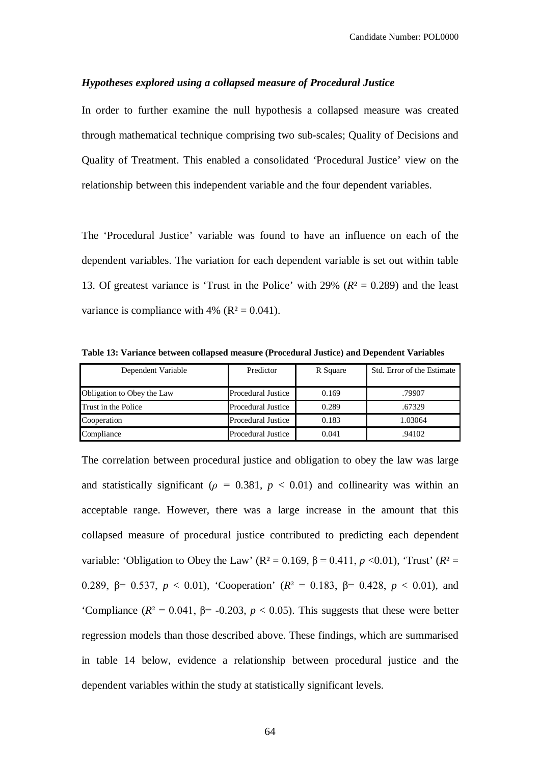### *Hypotheses explored using a collapsed measure of Procedural Justice*

In order to further examine the null hypothesis a collapsed measure was created through mathematical technique comprising two sub-scales; Quality of Decisions and Quality of Treatment. This enabled a consolidated 'Procedural Justice' view on the relationship between this independent variable and the four dependent variables.

The 'Procedural Justice' variable was found to have an influence on each of the dependent variables. The variation for each dependent variable is set out within table 13. Of greatest variance is 'Trust in the Police' with 29% (*R*² = 0.289) and the least variance is compliance with 4% ( $R^2 = 0.041$ ).

| Dependent Variable         | Predictor          | R Square | Std. Error of the Estimate |
|----------------------------|--------------------|----------|----------------------------|
| Obligation to Obey the Law | Procedural Justice | 0.169    | .79907                     |
| <b>Trust in the Police</b> | Procedural Justice | 0.289    | .67329                     |
| Cooperation                | Procedural Justice | 0.183    | 1.03064                    |
| Compliance                 | Procedural Justice | 0.041    | .94102                     |

**Table 13: Variance between collapsed measure (Procedural Justice) and Dependent Variables**

The correlation between procedural justice and obligation to obey the law was large and statistically significant ( $\rho = 0.381$ ,  $p < 0.01$ ) and collinearity was within an acceptable range. However, there was a large increase in the amount that this collapsed measure of procedural justice contributed to predicting each dependent variable: 'Obligation to Obey the Law' ( $R^2 = 0.169$ ,  $β = 0.411$ ,  $p < 0.01$ ), 'Trust' ( $R^2 =$ 0.289, β= 0.537, *p* < 0.01), 'Cooperation' (*R*² = 0.183, β= 0.428, *p* < 0.01), and 'Compliance ( $R^2 = 0.041$ ,  $\beta = -0.203$ ,  $p < 0.05$ ). This suggests that these were better regression models than those described above. These findings, which are summarised in table 14 below, evidence a relationship between procedural justice and the dependent variables within the study at statistically significant levels.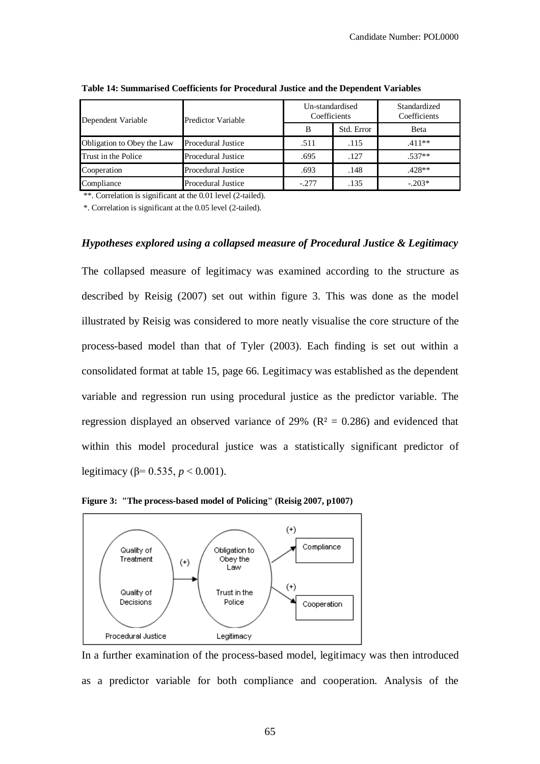| Dependent Variable         | Predictor Variable        | Un-standardised<br>Coefficients |            | Standardized<br>Coefficients |
|----------------------------|---------------------------|---------------------------------|------------|------------------------------|
|                            |                           | B                               | Std. Error | Beta                         |
| Obligation to Obey the Law | <b>Procedural Justice</b> | .511                            | .115       | $.411**$                     |
| Trust in the Police        | <b>Procedural Justice</b> | .695                            | .127       | $.537**$                     |
| Cooperation                | Procedural Justice        | .693                            | .148       | $.428**$                     |
| Compliance                 | <b>Procedural Justice</b> | $-.277$                         | .135       | $-.203*$                     |

**Table 14: Summarised Coefficients for Procedural Justice and the Dependent Variables**

\*\*. Correlation is significant at the 0.01 level (2-tailed).

\*. Correlation is significant at the 0.05 level (2-tailed).

# *Hypotheses explored using a collapsed measure of Procedural Justice & Legitimacy*

The collapsed measure of legitimacy was examined according to the structure as described by Reisig (2007) set out within figure 3. This was done as the model illustrated by Reisig was considered to more neatly visualise the core structure of the process-based model than that of Tyler (2003). Each finding is set out within a consolidated format at table 15, page 66. Legitimacy was established as the dependent variable and regression run using procedural justice as the predictor variable. The regression displayed an observed variance of 29% ( $R<sup>2</sup> = 0.286$ ) and evidenced that within this model procedural justice was a statistically significant predictor of legitimacy (β= 0.535, *p* < 0.001).



**Figure 3: "The process-based model of Policing" (Reisig 2007, p1007)**

In a further examination of the process-based model, legitimacy was then introduced as a predictor variable for both compliance and cooperation. Analysis of the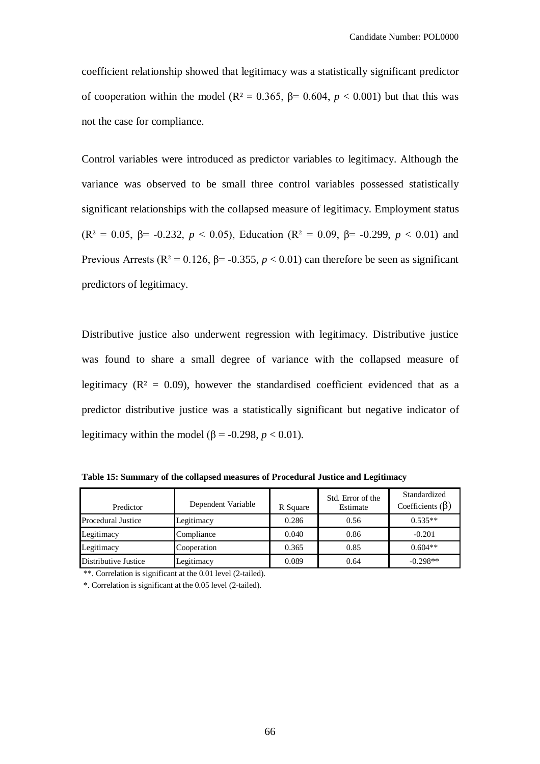coefficient relationship showed that legitimacy was a statistically significant predictor of cooperation within the model ( $\mathbb{R}^2 = 0.365$ ,  $\beta = 0.604$ ,  $p < 0.001$ ) but that this was not the case for compliance.

Control variables were introduced as predictor variables to legitimacy. Although the variance was observed to be small three control variables possessed statistically significant relationships with the collapsed measure of legitimacy. Employment status (R<sup>2</sup> = 0.05,  $\beta$ = -0.232, *p* < 0.05), Education (R<sup>2</sup> = 0.09,  $\beta$ = -0.299, *p* < 0.01) and Previous Arrests ( $\mathbb{R}^2 = 0.126$ ,  $\beta = -0.355$ ,  $p < 0.01$ ) can therefore be seen as significant predictors of legitimacy.

Distributive justice also underwent regression with legitimacy. Distributive justice was found to share a small degree of variance with the collapsed measure of legitimacy ( $R^2 = 0.09$ ), however the standardised coefficient evidenced that as a predictor distributive justice was a statistically significant but negative indicator of legitimacy within the model ( $\beta$  = -0.298, *p* < 0.01).

| Predictor                 | Dependent Variable | R Square | Std. Error of the<br>Estimate | Standardized<br>Coefficients $(\beta)$ |
|---------------------------|--------------------|----------|-------------------------------|----------------------------------------|
| <b>Procedural Justice</b> | Legitimacy         | 0.286    | 0.56                          | $0.535**$                              |
| Legitimacy                | Compliance         | 0.040    | 0.86                          | $-0.201$                               |
| Legitimacy                | Cooperation        | 0.365    | 0.85                          | $0.604**$                              |
| Distributive Justice      | Legitimacy         | 0.089    | 0.64                          | $-0.298**$                             |

**Table 15: Summary of the collapsed measures of Procedural Justice and Legitimacy** 

\*\*. Correlation is significant at the 0.01 level (2-tailed).

\*. Correlation is significant at the 0.05 level (2-tailed).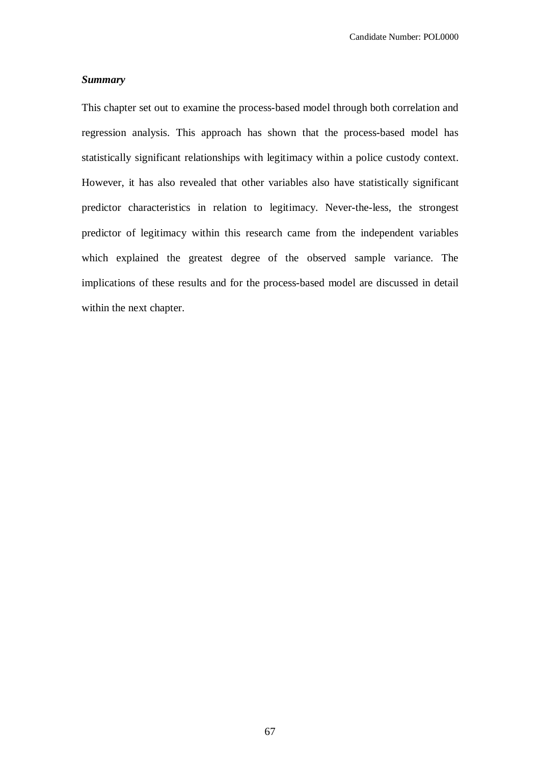# *Summary*

This chapter set out to examine the process-based model through both correlation and regression analysis. This approach has shown that the process-based model has statistically significant relationships with legitimacy within a police custody context. However, it has also revealed that other variables also have statistically significant predictor characteristics in relation to legitimacy. Never-the-less, the strongest predictor of legitimacy within this research came from the independent variables which explained the greatest degree of the observed sample variance. The implications of these results and for the process-based model are discussed in detail within the next chapter.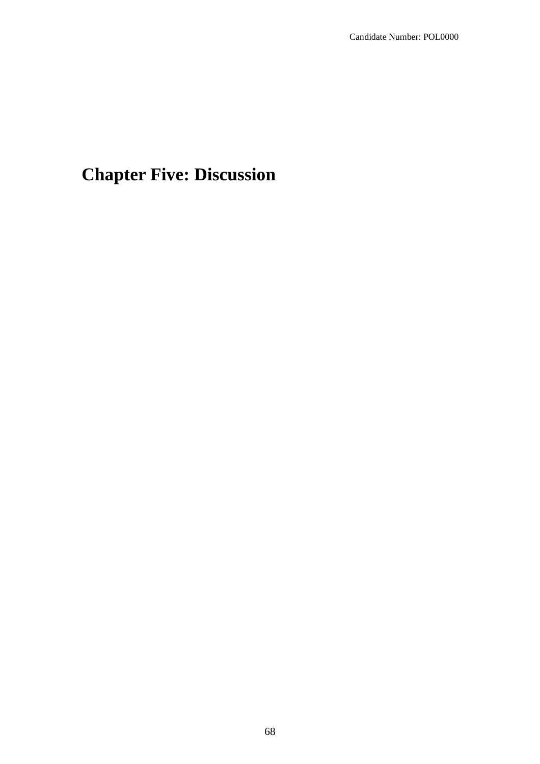# **Chapter Five: Discussion**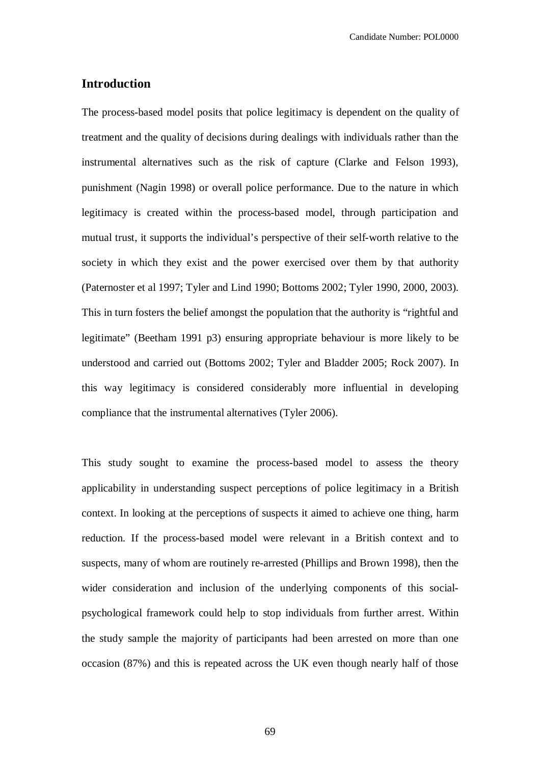# **Introduction**

The process-based model posits that police legitimacy is dependent on the quality of treatment and the quality of decisions during dealings with individuals rather than the instrumental alternatives such as the risk of capture (Clarke and Felson 1993), punishment (Nagin 1998) or overall police performance. Due to the nature in which legitimacy is created within the process-based model, through participation and mutual trust, it supports the individual's perspective of their self-worth relative to the society in which they exist and the power exercised over them by that authority (Paternoster et al 1997; Tyler and Lind 1990; Bottoms 2002; Tyler 1990, 2000, 2003). This in turn fosters the belief amongst the population that the authority is "rightful and legitimate" (Beetham 1991 p3) ensuring appropriate behaviour is more likely to be understood and carried out (Bottoms 2002; Tyler and Bladder 2005; Rock 2007). In this way legitimacy is considered considerably more influential in developing compliance that the instrumental alternatives (Tyler 2006).

This study sought to examine the process-based model to assess the theory applicability in understanding suspect perceptions of police legitimacy in a British context. In looking at the perceptions of suspects it aimed to achieve one thing, harm reduction. If the process-based model were relevant in a British context and to suspects, many of whom are routinely re-arrested (Phillips and Brown 1998), then the wider consideration and inclusion of the underlying components of this socialpsychological framework could help to stop individuals from further arrest. Within the study sample the majority of participants had been arrested on more than one occasion (87%) and this is repeated across the UK even though nearly half of those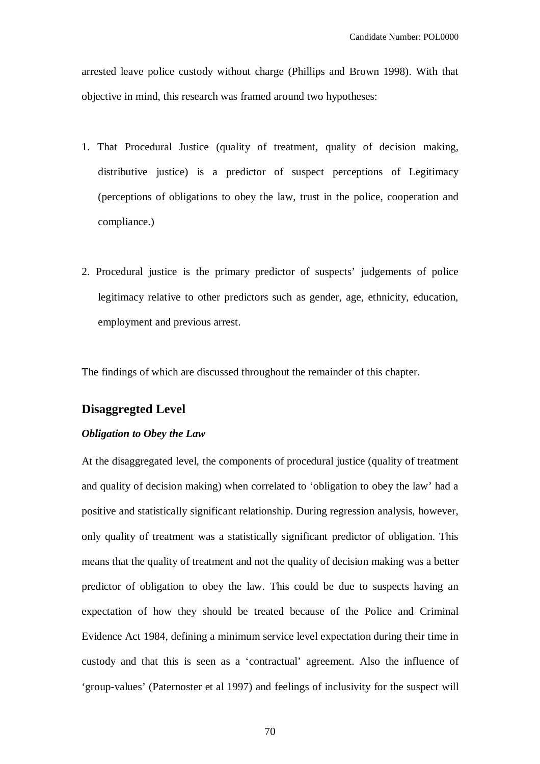arrested leave police custody without charge (Phillips and Brown 1998). With that objective in mind, this research was framed around two hypotheses:

- 1. That Procedural Justice (quality of treatment, quality of decision making, distributive justice) is a predictor of suspect perceptions of Legitimacy (perceptions of obligations to obey the law, trust in the police, cooperation and compliance.)
- 2. Procedural justice is the primary predictor of suspects' judgements of police legitimacy relative to other predictors such as gender, age, ethnicity, education, employment and previous arrest.

The findings of which are discussed throughout the remainder of this chapter.

# **Disaggregted Level**

## *Obligation to Obey the Law*

At the disaggregated level, the components of procedural justice (quality of treatment and quality of decision making) when correlated to 'obligation to obey the law' had a positive and statistically significant relationship. During regression analysis, however, only quality of treatment was a statistically significant predictor of obligation. This means that the quality of treatment and not the quality of decision making was a better predictor of obligation to obey the law. This could be due to suspects having an expectation of how they should be treated because of the Police and Criminal Evidence Act 1984, defining a minimum service level expectation during their time in custody and that this is seen as a 'contractual' agreement. Also the influence of 'group-values' (Paternoster et al 1997) and feelings of inclusivity for the suspect will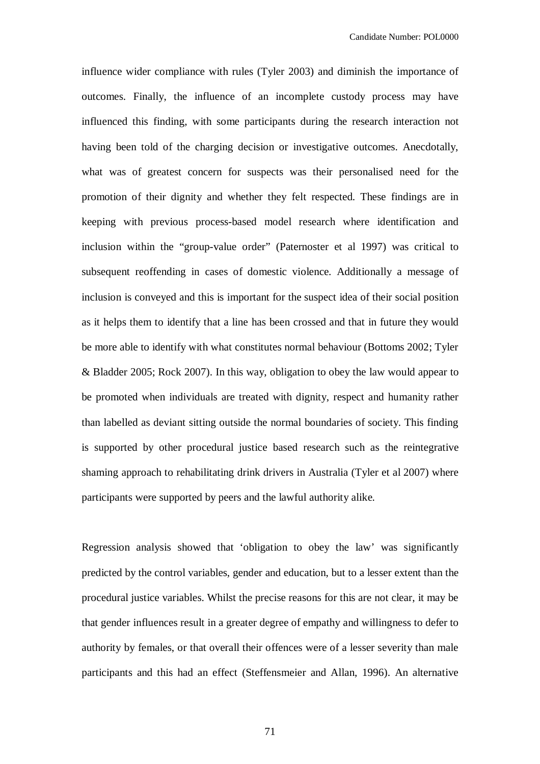influence wider compliance with rules (Tyler 2003) and diminish the importance of outcomes. Finally, the influence of an incomplete custody process may have influenced this finding, with some participants during the research interaction not having been told of the charging decision or investigative outcomes. Anecdotally, what was of greatest concern for suspects was their personalised need for the promotion of their dignity and whether they felt respected. These findings are in keeping with previous process-based model research where identification and inclusion within the "group-value order" (Paternoster et al 1997) was critical to subsequent reoffending in cases of domestic violence. Additionally a message of inclusion is conveyed and this is important for the suspect idea of their social position as it helps them to identify that a line has been crossed and that in future they would be more able to identify with what constitutes normal behaviour (Bottoms 2002; Tyler & Bladder 2005; Rock 2007). In this way, obligation to obey the law would appear to be promoted when individuals are treated with dignity, respect and humanity rather than labelled as deviant sitting outside the normal boundaries of society. This finding is supported by other procedural justice based research such as the reintegrative shaming approach to rehabilitating drink drivers in Australia (Tyler et al 2007) where participants were supported by peers and the lawful authority alike.

Regression analysis showed that 'obligation to obey the law' was significantly predicted by the control variables, gender and education, but to a lesser extent than the procedural justice variables. Whilst the precise reasons for this are not clear, it may be that gender influences result in a greater degree of empathy and willingness to defer to authority by females, or that overall their offences were of a lesser severity than male participants and this had an effect (Steffensmeier and Allan, 1996). An alternative

71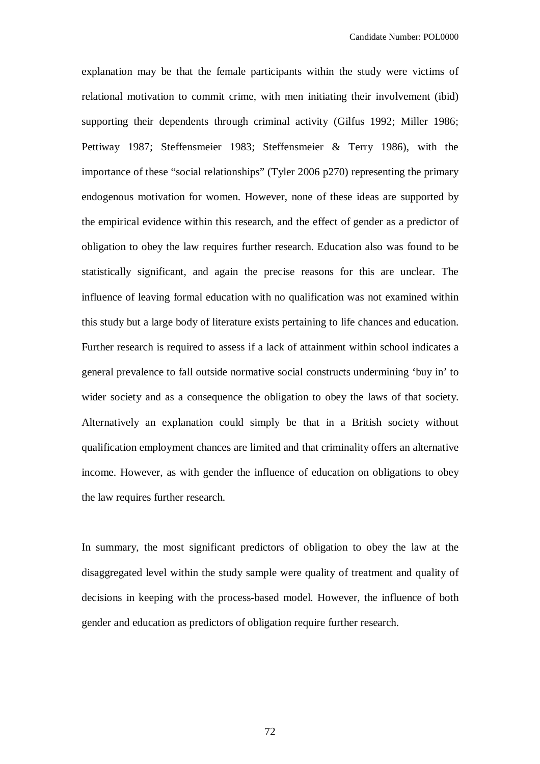explanation may be that the female participants within the study were victims of relational motivation to commit crime, with men initiating their involvement (ibid) supporting their dependents through criminal activity (Gilfus 1992; Miller 1986; Pettiway 1987; Steffensmeier 1983; Steffensmeier & Terry 1986), with the importance of these "social relationships" (Tyler 2006 p270) representing the primary endogenous motivation for women. However, none of these ideas are supported by the empirical evidence within this research, and the effect of gender as a predictor of obligation to obey the law requires further research. Education also was found to be statistically significant, and again the precise reasons for this are unclear. The influence of leaving formal education with no qualification was not examined within this study but a large body of literature exists pertaining to life chances and education. Further research is required to assess if a lack of attainment within school indicates a general prevalence to fall outside normative social constructs undermining 'buy in' to wider society and as a consequence the obligation to obey the laws of that society. Alternatively an explanation could simply be that in a British society without qualification employment chances are limited and that criminality offers an alternative income. However, as with gender the influence of education on obligations to obey the law requires further research.

In summary, the most significant predictors of obligation to obey the law at the disaggregated level within the study sample were quality of treatment and quality of decisions in keeping with the process-based model. However, the influence of both gender and education as predictors of obligation require further research.

72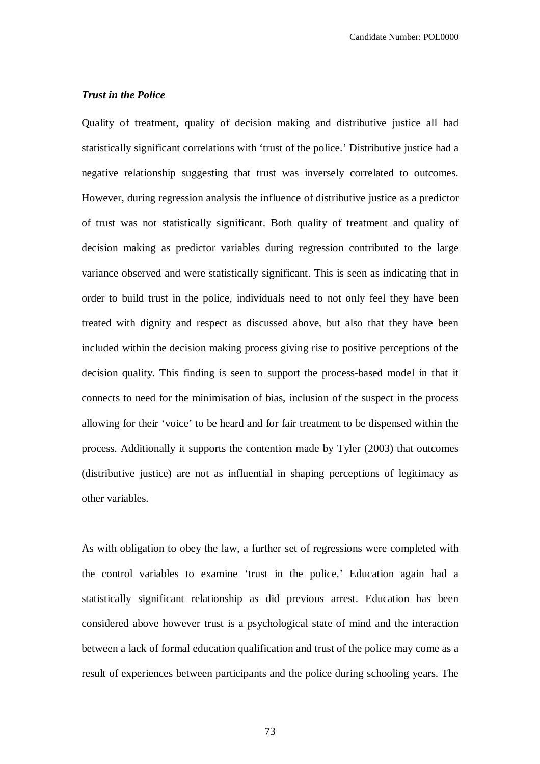#### *Trust in the Police*

Quality of treatment, quality of decision making and distributive justice all had statistically significant correlations with 'trust of the police.' Distributive justice had a negative relationship suggesting that trust was inversely correlated to outcomes. However, during regression analysis the influence of distributive justice as a predictor of trust was not statistically significant. Both quality of treatment and quality of decision making as predictor variables during regression contributed to the large variance observed and were statistically significant. This is seen as indicating that in order to build trust in the police, individuals need to not only feel they have been treated with dignity and respect as discussed above, but also that they have been included within the decision making process giving rise to positive perceptions of the decision quality. This finding is seen to support the process-based model in that it connects to need for the minimisation of bias, inclusion of the suspect in the process allowing for their 'voice' to be heard and for fair treatment to be dispensed within the process. Additionally it supports the contention made by Tyler (2003) that outcomes (distributive justice) are not as influential in shaping perceptions of legitimacy as other variables.

As with obligation to obey the law, a further set of regressions were completed with the control variables to examine 'trust in the police.' Education again had a statistically significant relationship as did previous arrest. Education has been considered above however trust is a psychological state of mind and the interaction between a lack of formal education qualification and trust of the police may come as a result of experiences between participants and the police during schooling years. The

73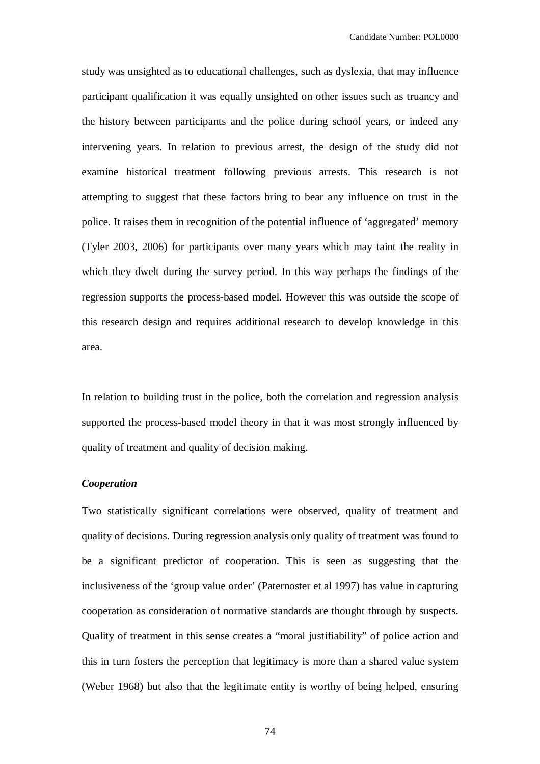study was unsighted as to educational challenges, such as dyslexia, that may influence participant qualification it was equally unsighted on other issues such as truancy and the history between participants and the police during school years, or indeed any intervening years. In relation to previous arrest, the design of the study did not examine historical treatment following previous arrests. This research is not attempting to suggest that these factors bring to bear any influence on trust in the police. It raises them in recognition of the potential influence of 'aggregated' memory (Tyler 2003, 2006) for participants over many years which may taint the reality in which they dwelt during the survey period. In this way perhaps the findings of the regression supports the process-based model. However this was outside the scope of this research design and requires additional research to develop knowledge in this area.

In relation to building trust in the police, both the correlation and regression analysis supported the process-based model theory in that it was most strongly influenced by quality of treatment and quality of decision making.

#### *Cooperation*

Two statistically significant correlations were observed, quality of treatment and quality of decisions. During regression analysis only quality of treatment was found to be a significant predictor of cooperation. This is seen as suggesting that the inclusiveness of the 'group value order' (Paternoster et al 1997) has value in capturing cooperation as consideration of normative standards are thought through by suspects. Quality of treatment in this sense creates a "moral justifiability" of police action and this in turn fosters the perception that legitimacy is more than a shared value system (Weber 1968) but also that the legitimate entity is worthy of being helped, ensuring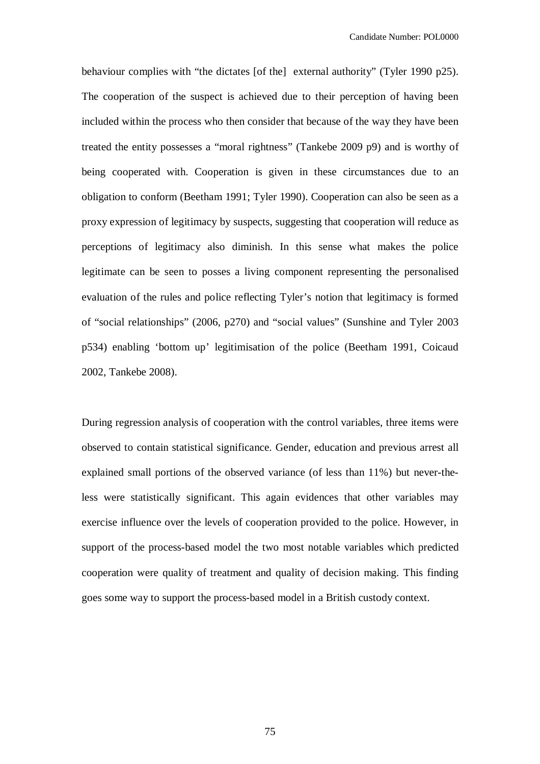behaviour complies with "the dictates [of the] external authority" (Tyler 1990 p25). The cooperation of the suspect is achieved due to their perception of having been included within the process who then consider that because of the way they have been treated the entity possesses a "moral rightness" (Tankebe 2009 p9) and is worthy of being cooperated with. Cooperation is given in these circumstances due to an obligation to conform (Beetham 1991; Tyler 1990). Cooperation can also be seen as a proxy expression of legitimacy by suspects, suggesting that cooperation will reduce as perceptions of legitimacy also diminish. In this sense what makes the police legitimate can be seen to posses a living component representing the personalised evaluation of the rules and police reflecting Tyler's notion that legitimacy is formed of "social relationships" (2006, p270) and "social values" (Sunshine and Tyler 2003 p534) enabling 'bottom up' legitimisation of the police (Beetham 1991, Coicaud 2002, Tankebe 2008).

During regression analysis of cooperation with the control variables, three items were observed to contain statistical significance. Gender, education and previous arrest all explained small portions of the observed variance (of less than 11%) but never-theless were statistically significant. This again evidences that other variables may exercise influence over the levels of cooperation provided to the police. However, in support of the process-based model the two most notable variables which predicted cooperation were quality of treatment and quality of decision making. This finding goes some way to support the process-based model in a British custody context.

75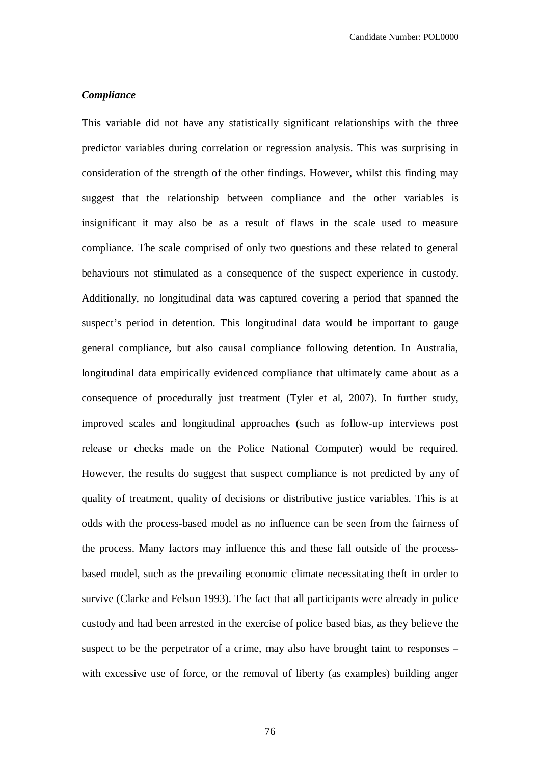## *Compliance*

This variable did not have any statistically significant relationships with the three predictor variables during correlation or regression analysis. This was surprising in consideration of the strength of the other findings. However, whilst this finding may suggest that the relationship between compliance and the other variables is insignificant it may also be as a result of flaws in the scale used to measure compliance. The scale comprised of only two questions and these related to general behaviours not stimulated as a consequence of the suspect experience in custody. Additionally, no longitudinal data was captured covering a period that spanned the suspect's period in detention. This longitudinal data would be important to gauge general compliance, but also causal compliance following detention. In Australia, longitudinal data empirically evidenced compliance that ultimately came about as a consequence of procedurally just treatment (Tyler et al, 2007). In further study, improved scales and longitudinal approaches (such as follow-up interviews post release or checks made on the Police National Computer) would be required. However, the results do suggest that suspect compliance is not predicted by any of quality of treatment, quality of decisions or distributive justice variables. This is at odds with the process-based model as no influence can be seen from the fairness of the process. Many factors may influence this and these fall outside of the processbased model, such as the prevailing economic climate necessitating theft in order to survive (Clarke and Felson 1993). The fact that all participants were already in police custody and had been arrested in the exercise of police based bias, as they believe the suspect to be the perpetrator of a crime, may also have brought taint to responses – with excessive use of force, or the removal of liberty (as examples) building anger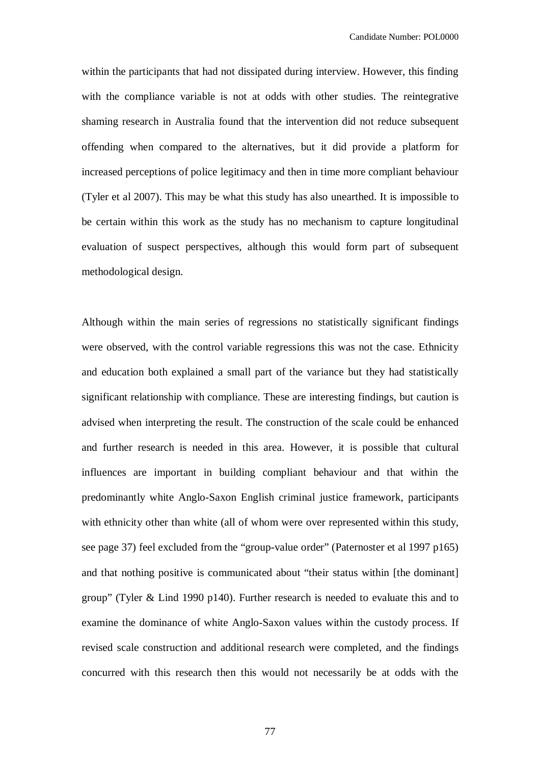within the participants that had not dissipated during interview. However, this finding with the compliance variable is not at odds with other studies. The reintegrative shaming research in Australia found that the intervention did not reduce subsequent offending when compared to the alternatives, but it did provide a platform for increased perceptions of police legitimacy and then in time more compliant behaviour (Tyler et al 2007). This may be what this study has also unearthed. It is impossible to be certain within this work as the study has no mechanism to capture longitudinal evaluation of suspect perspectives, although this would form part of subsequent methodological design.

Although within the main series of regressions no statistically significant findings were observed, with the control variable regressions this was not the case. Ethnicity and education both explained a small part of the variance but they had statistically significant relationship with compliance. These are interesting findings, but caution is advised when interpreting the result. The construction of the scale could be enhanced and further research is needed in this area. However, it is possible that cultural influences are important in building compliant behaviour and that within the predominantly white Anglo-Saxon English criminal justice framework, participants with ethnicity other than white (all of whom were over represented within this study, see page 37) feel excluded from the "group-value order" (Paternoster et al 1997 p165) and that nothing positive is communicated about "their status within [the dominant] group" (Tyler & Lind 1990 p140). Further research is needed to evaluate this and to examine the dominance of white Anglo-Saxon values within the custody process. If revised scale construction and additional research were completed, and the findings concurred with this research then this would not necessarily be at odds with the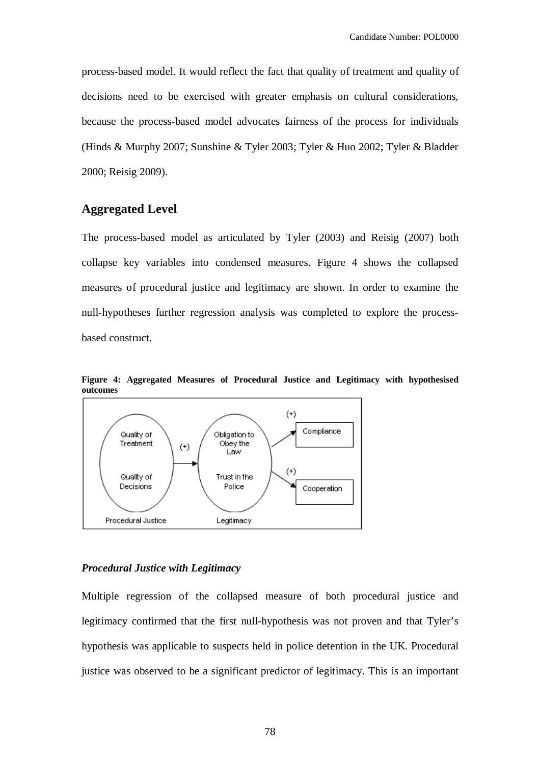process-based model. It would reflect the fact that quality of treatment and quality of decisions need to be exercised with greater emphasis on cultural considerations, because the process-based model advocates fairness of the process for individuals (Hinds & Murphy 2007; Sunshine & Tyler 2003; Tyler & Huo 2002; Tyler & Bladder 2000; Reisig 2009).

## **Aggregated Level**

The process-based model as articulated by Tyler (2003) and Reisig (2007) both collapse key variables into condensed measures. Figure 4 shows the collapsed measures of procedural justice and legitimacy are shown. In order to examine the null-hypotheses further regression analysis was completed to explore the processbased construct.



**Figure 4: Aggregated Measures of Procedural Justice and Legitimacy with hypothesised outcomes**

#### *Procedural Justice with Legitimacy*

Multiple regression of the collapsed measure of both procedural justice and legitimacy confirmed that the first null-hypothesis was not proven and that Tyler's hypothesis was applicable to suspects held in police detention in the UK. Procedural justice was observed to be a significant predictor of legitimacy. This is an important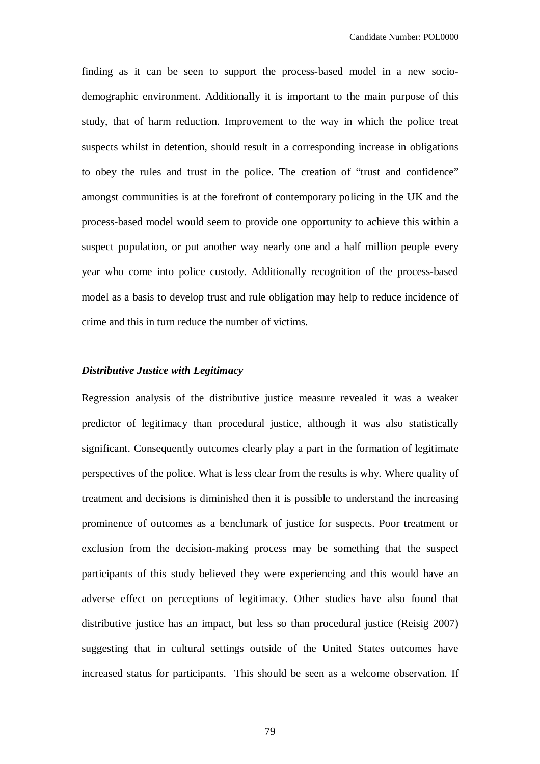finding as it can be seen to support the process-based model in a new sociodemographic environment. Additionally it is important to the main purpose of this study, that of harm reduction. Improvement to the way in which the police treat suspects whilst in detention, should result in a corresponding increase in obligations to obey the rules and trust in the police. The creation of "trust and confidence" amongst communities is at the forefront of contemporary policing in the UK and the process-based model would seem to provide one opportunity to achieve this within a suspect population, or put another way nearly one and a half million people every year who come into police custody. Additionally recognition of the process-based model as a basis to develop trust and rule obligation may help to reduce incidence of crime and this in turn reduce the number of victims.

#### *Distributive Justice with Legitimacy*

Regression analysis of the distributive justice measure revealed it was a weaker predictor of legitimacy than procedural justice, although it was also statistically significant. Consequently outcomes clearly play a part in the formation of legitimate perspectives of the police. What is less clear from the results is why. Where quality of treatment and decisions is diminished then it is possible to understand the increasing prominence of outcomes as a benchmark of justice for suspects. Poor treatment or exclusion from the decision-making process may be something that the suspect participants of this study believed they were experiencing and this would have an adverse effect on perceptions of legitimacy. Other studies have also found that distributive justice has an impact, but less so than procedural justice (Reisig 2007) suggesting that in cultural settings outside of the United States outcomes have increased status for participants. This should be seen as a welcome observation. If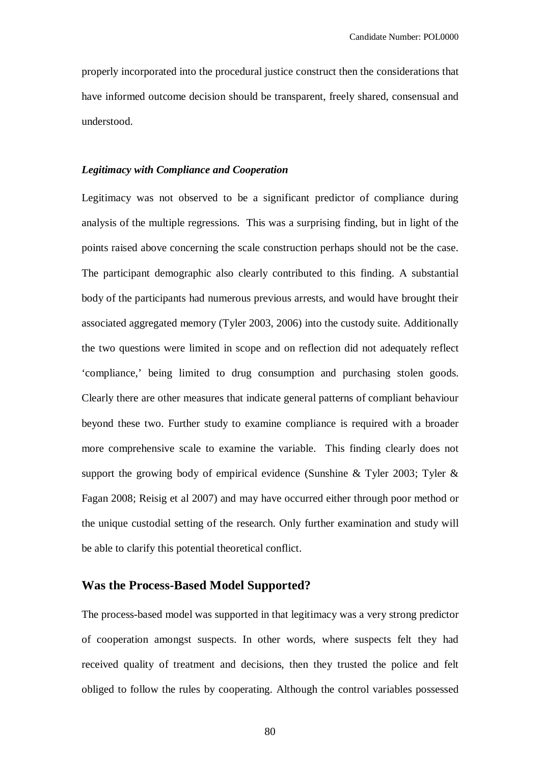properly incorporated into the procedural justice construct then the considerations that have informed outcome decision should be transparent, freely shared, consensual and understood.

#### *Legitimacy with Compliance and Cooperation*

Legitimacy was not observed to be a significant predictor of compliance during analysis of the multiple regressions. This was a surprising finding, but in light of the points raised above concerning the scale construction perhaps should not be the case. The participant demographic also clearly contributed to this finding. A substantial body of the participants had numerous previous arrests, and would have brought their associated aggregated memory (Tyler 2003, 2006) into the custody suite. Additionally the two questions were limited in scope and on reflection did not adequately reflect 'compliance,' being limited to drug consumption and purchasing stolen goods. Clearly there are other measures that indicate general patterns of compliant behaviour beyond these two. Further study to examine compliance is required with a broader more comprehensive scale to examine the variable. This finding clearly does not support the growing body of empirical evidence (Sunshine & Tyler 2003; Tyler & Fagan 2008; Reisig et al 2007) and may have occurred either through poor method or the unique custodial setting of the research. Only further examination and study will be able to clarify this potential theoretical conflict.

## **Was the Process-Based Model Supported?**

The process-based model was supported in that legitimacy was a very strong predictor of cooperation amongst suspects. In other words, where suspects felt they had received quality of treatment and decisions, then they trusted the police and felt obliged to follow the rules by cooperating. Although the control variables possessed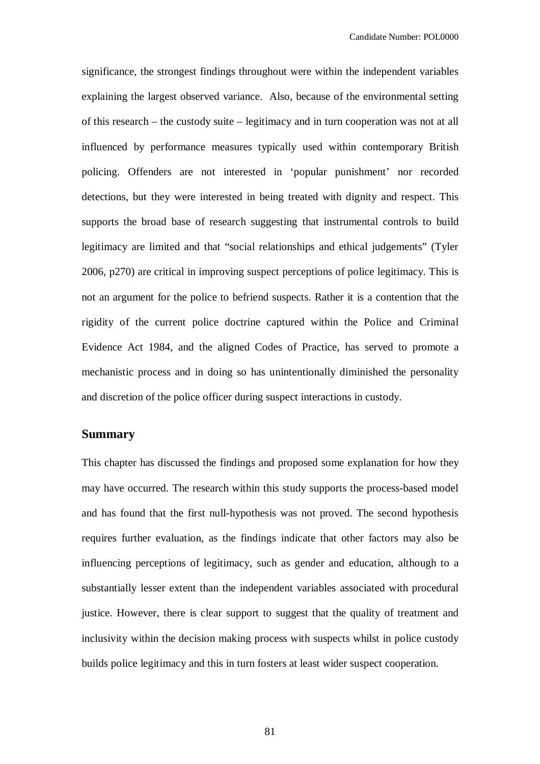significance, the strongest findings throughout were within the independent variables explaining the largest observed variance. Also, because of the environmental setting of this research – the custody suite – legitimacy and in turn cooperation was not at all influenced by performance measures typically used within contemporary British policing. Offenders are not interested in 'popular punishment' nor recorded detections, but they were interested in being treated with dignity and respect. This supports the broad base of research suggesting that instrumental controls to build legitimacy are limited and that "social relationships and ethical judgements" (Tyler 2006, p270) are critical in improving suspect perceptions of police legitimacy. This is not an argument for the police to befriend suspects. Rather it is a contention that the rigidity of the current police doctrine captured within the Police and Criminal Evidence Act 1984, and the aligned Codes of Practice, has served to promote a mechanistic process and in doing so has unintentionally diminished the personality and discretion of the police officer during suspect interactions in custody.

#### **Summary**

This chapter has discussed the findings and proposed some explanation for how they may have occurred. The research within this study supports the process-based model and has found that the first null-hypothesis was not proved. The second hypothesis requires further evaluation, as the findings indicate that other factors may also be influencing perceptions of legitimacy, such as gender and education, although to a substantially lesser extent than the independent variables associated with procedural justice. However, there is clear support to suggest that the quality of treatment and inclusivity within the decision making process with suspects whilst in police custody builds police legitimacy and this in turn fosters at least wider suspect cooperation.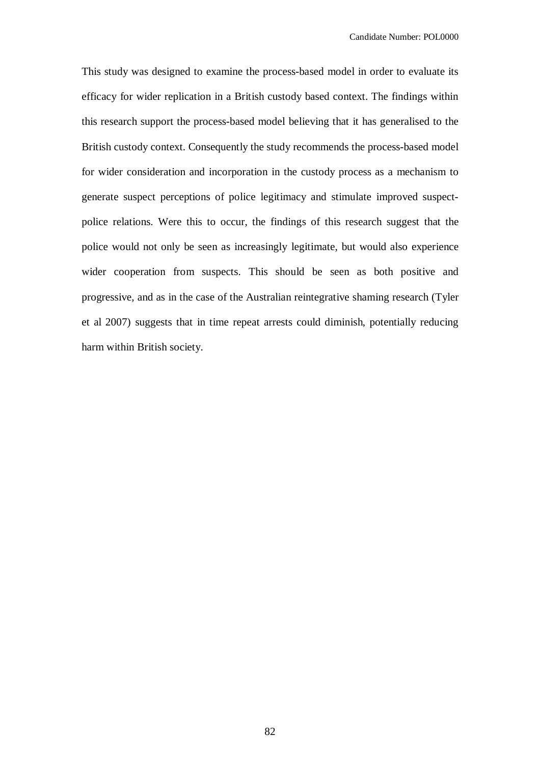This study was designed to examine the process-based model in order to evaluate its efficacy for wider replication in a British custody based context. The findings within this research support the process-based model believing that it has generalised to the British custody context. Consequently the study recommends the process-based model for wider consideration and incorporation in the custody process as a mechanism to generate suspect perceptions of police legitimacy and stimulate improved suspectpolice relations. Were this to occur, the findings of this research suggest that the police would not only be seen as increasingly legitimate, but would also experience wider cooperation from suspects. This should be seen as both positive and progressive, and as in the case of the Australian reintegrative shaming research (Tyler et al 2007) suggests that in time repeat arrests could diminish, potentially reducing harm within British society.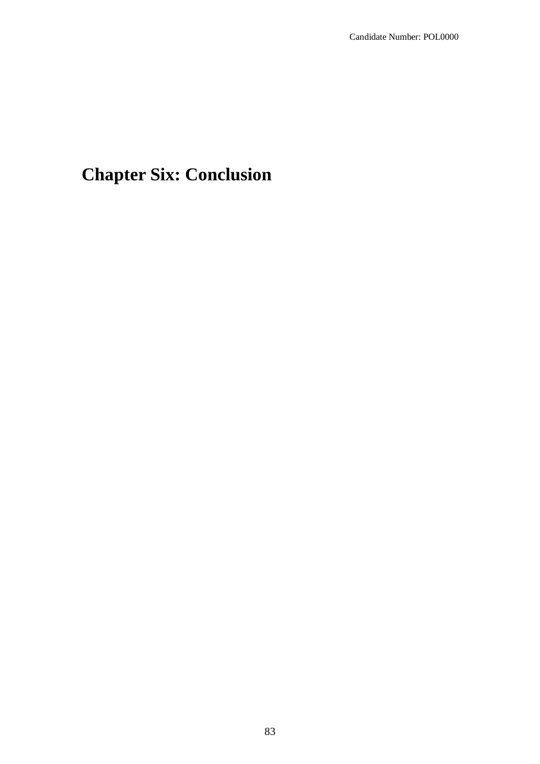# **Chapter Six: Conclusion**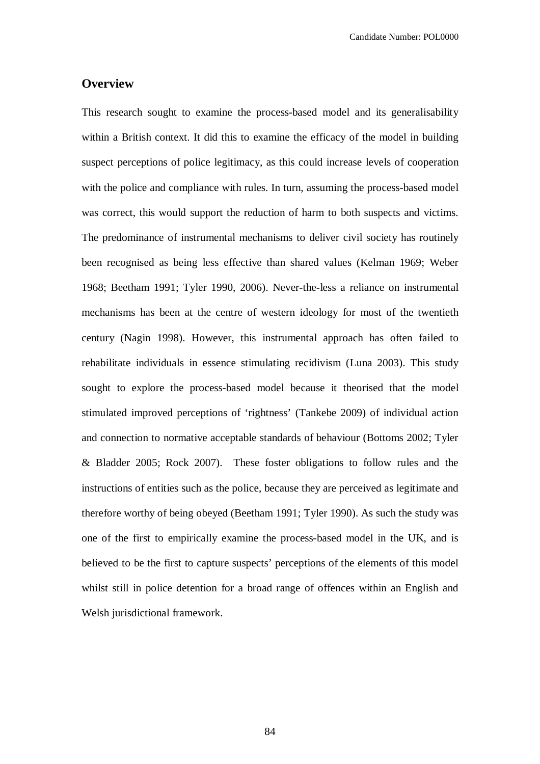## **Overview**

This research sought to examine the process-based model and its generalisability within a British context. It did this to examine the efficacy of the model in building suspect perceptions of police legitimacy, as this could increase levels of cooperation with the police and compliance with rules. In turn, assuming the process-based model was correct, this would support the reduction of harm to both suspects and victims. The predominance of instrumental mechanisms to deliver civil society has routinely been recognised as being less effective than shared values (Kelman 1969; Weber 1968; Beetham 1991; Tyler 1990, 2006). Never-the-less a reliance on instrumental mechanisms has been at the centre of western ideology for most of the twentieth century (Nagin 1998). However, this instrumental approach has often failed to rehabilitate individuals in essence stimulating recidivism (Luna 2003). This study sought to explore the process-based model because it theorised that the model stimulated improved perceptions of 'rightness' (Tankebe 2009) of individual action and connection to normative acceptable standards of behaviour (Bottoms 2002; Tyler & Bladder 2005; Rock 2007). These foster obligations to follow rules and the instructions of entities such as the police, because they are perceived as legitimate and therefore worthy of being obeyed (Beetham 1991; Tyler 1990). As such the study was one of the first to empirically examine the process-based model in the UK, and is believed to be the first to capture suspects' perceptions of the elements of this model whilst still in police detention for a broad range of offences within an English and Welsh jurisdictional framework.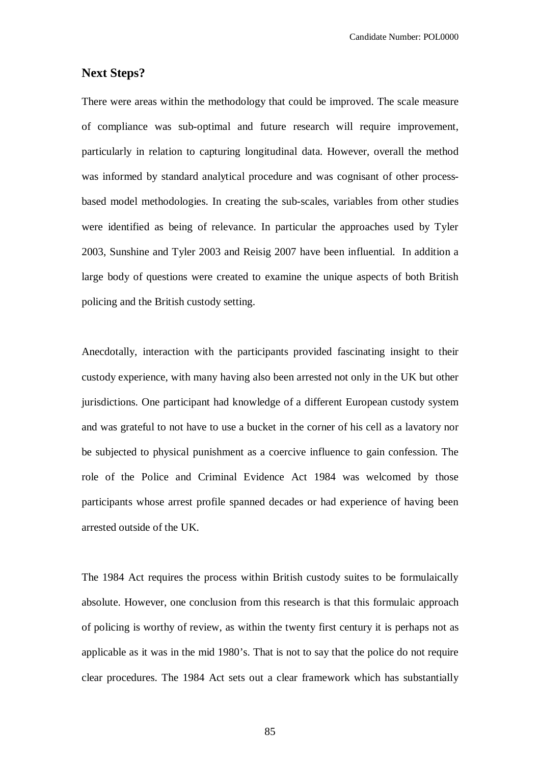#### **Next Steps?**

There were areas within the methodology that could be improved. The scale measure of compliance was sub-optimal and future research will require improvement, particularly in relation to capturing longitudinal data. However, overall the method was informed by standard analytical procedure and was cognisant of other processbased model methodologies. In creating the sub-scales, variables from other studies were identified as being of relevance. In particular the approaches used by Tyler 2003, Sunshine and Tyler 2003 and Reisig 2007 have been influential. In addition a large body of questions were created to examine the unique aspects of both British policing and the British custody setting.

Anecdotally, interaction with the participants provided fascinating insight to their custody experience, with many having also been arrested not only in the UK but other jurisdictions. One participant had knowledge of a different European custody system and was grateful to not have to use a bucket in the corner of his cell as a lavatory nor be subjected to physical punishment as a coercive influence to gain confession. The role of the Police and Criminal Evidence Act 1984 was welcomed by those participants whose arrest profile spanned decades or had experience of having been arrested outside of the UK.

The 1984 Act requires the process within British custody suites to be formulaically absolute. However, one conclusion from this research is that this formulaic approach of policing is worthy of review, as within the twenty first century it is perhaps not as applicable as it was in the mid 1980's. That is not to say that the police do not require clear procedures. The 1984 Act sets out a clear framework which has substantially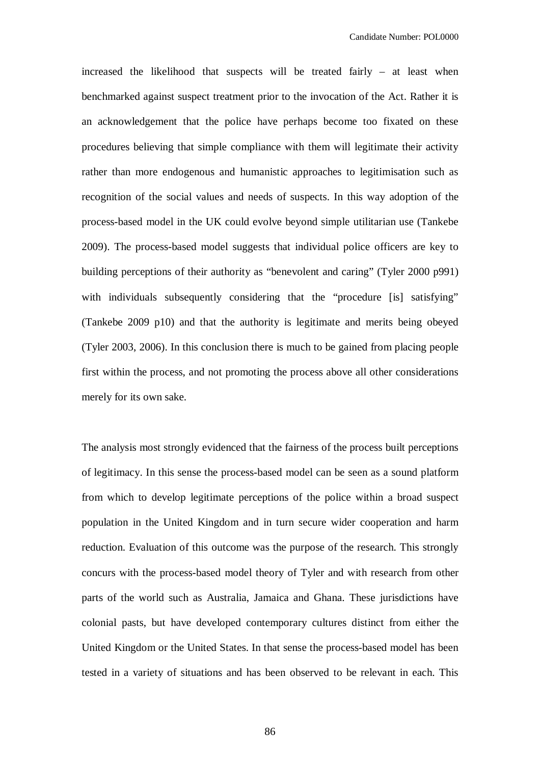increased the likelihood that suspects will be treated fairly – at least when benchmarked against suspect treatment prior to the invocation of the Act. Rather it is an acknowledgement that the police have perhaps become too fixated on these procedures believing that simple compliance with them will legitimate their activity rather than more endogenous and humanistic approaches to legitimisation such as recognition of the social values and needs of suspects. In this way adoption of the process-based model in the UK could evolve beyond simple utilitarian use (Tankebe 2009). The process-based model suggests that individual police officers are key to building perceptions of their authority as "benevolent and caring" (Tyler 2000 p991) with individuals subsequently considering that the "procedure [is] satisfying" (Tankebe 2009 p10) and that the authority is legitimate and merits being obeyed (Tyler 2003, 2006). In this conclusion there is much to be gained from placing people first within the process, and not promoting the process above all other considerations merely for its own sake.

The analysis most strongly evidenced that the fairness of the process built perceptions of legitimacy. In this sense the process-based model can be seen as a sound platform from which to develop legitimate perceptions of the police within a broad suspect population in the United Kingdom and in turn secure wider cooperation and harm reduction. Evaluation of this outcome was the purpose of the research. This strongly concurs with the process-based model theory of Tyler and with research from other parts of the world such as Australia, Jamaica and Ghana. These jurisdictions have colonial pasts, but have developed contemporary cultures distinct from either the United Kingdom or the United States. In that sense the process-based model has been tested in a variety of situations and has been observed to be relevant in each. This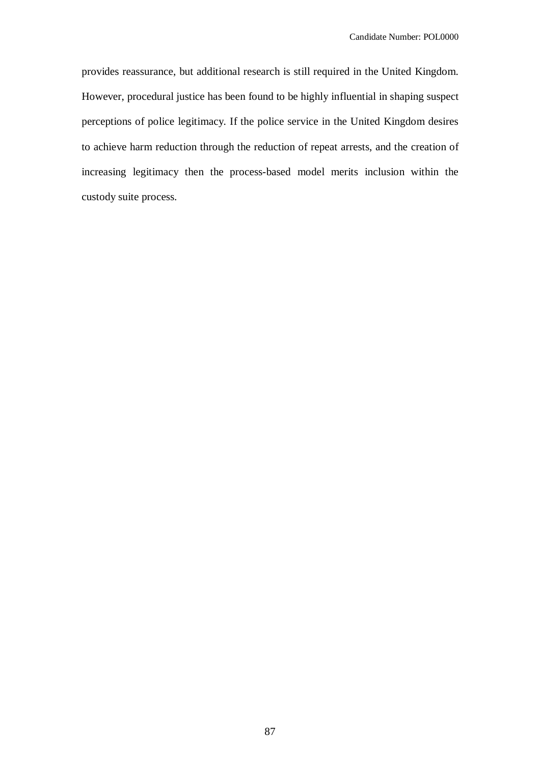provides reassurance, but additional research is still required in the United Kingdom. However, procedural justice has been found to be highly influential in shaping suspect perceptions of police legitimacy. If the police service in the United Kingdom desires to achieve harm reduction through the reduction of repeat arrests, and the creation of increasing legitimacy then the process-based model merits inclusion within the custody suite process.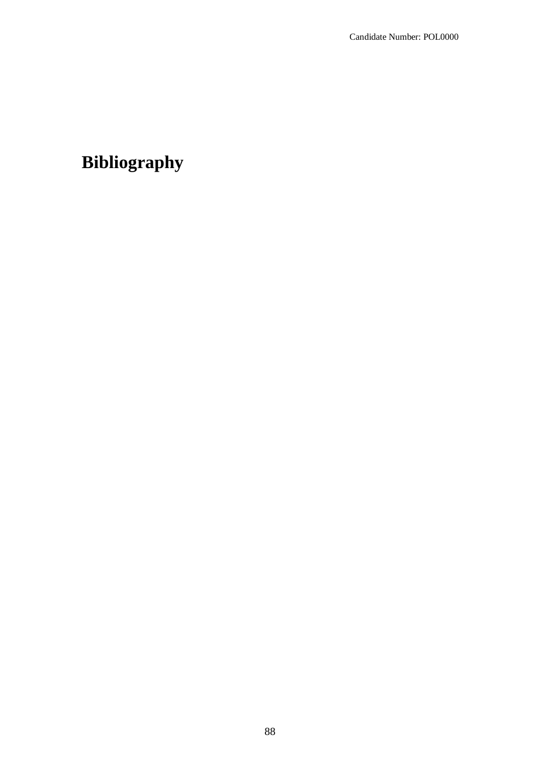# **Bibliography**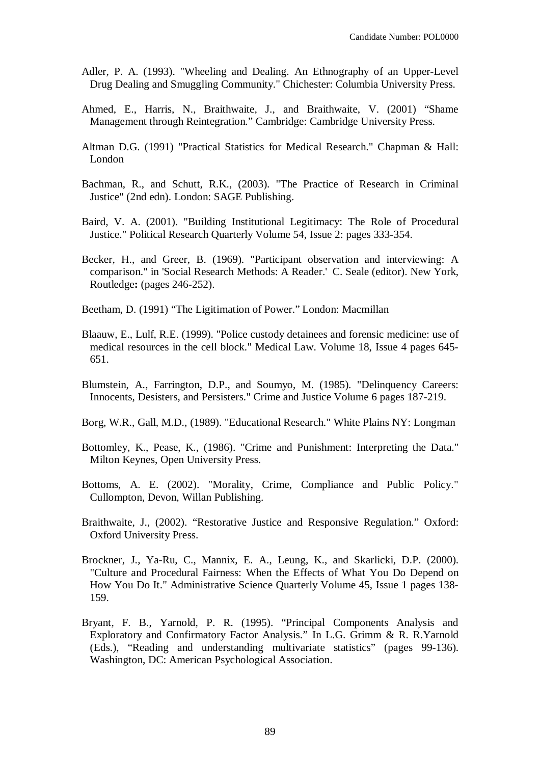- Adler, P. A. (1993). "Wheeling and Dealing. An Ethnography of an Upper-Level Drug Dealing and Smuggling Community." Chichester: Columbia University Press.
- Ahmed, E., Harris, N., Braithwaite, J., and Braithwaite, V. (2001) "Shame Management through Reintegration." Cambridge: Cambridge University Press.
- Altman D.G. (1991) "Practical Statistics for Medical Research." Chapman & Hall: London
- Bachman, R., and Schutt, R.K., (2003). "The Practice of Research in Criminal Justice" (2nd edn). London: SAGE Publishing.
- Baird, V. A. (2001). "Building Institutional Legitimacy: The Role of Procedural Justice." Political Research Quarterly Volume 54, Issue 2: pages 333-354.
- Becker, H., and Greer, B. (1969). "Participant observation and interviewing: A comparison." in 'Social Research Methods: A Reader.' C. Seale (editor). New York, Routledge**:** (pages 246-252).
- Beetham, D. (1991) "The Ligitimation of Power." London: Macmillan
- Blaauw, E., Lulf, R.E. (1999). "Police custody detainees and forensic medicine: use of medical resources in the cell block." Medical Law. Volume 18, Issue 4 pages 645- 651.
- Blumstein, A., Farrington, D.P., and Soumyo, M. (1985). "Delinquency Careers: Innocents, Desisters, and Persisters." Crime and Justice Volume 6 pages 187-219.
- Borg, W.R., Gall, M.D., (1989). "Educational Research." White Plains NY: Longman
- Bottomley, K., Pease, K., (1986). "Crime and Punishment: Interpreting the Data." Milton Keynes, Open University Press.
- Bottoms, A. E. (2002). "Morality, Crime, Compliance and Public Policy." Cullompton, Devon, Willan Publishing.
- Braithwaite, J., (2002). "Restorative Justice and Responsive Regulation." Oxford: Oxford University Press.
- Brockner, J., Ya-Ru, C., Mannix, E. A., Leung, K., and Skarlicki, D.P. (2000). "Culture and Procedural Fairness: When the Effects of What You Do Depend on How You Do It." Administrative Science Quarterly Volume 45, Issue 1 pages 138- 159.
- Bryant, F. B., Yarnold, P. R. (1995). "Principal Components Analysis and Exploratory and Confirmatory Factor Analysis." In L.G. Grimm & R. R.Yarnold (Eds.), "Reading and understanding multivariate statistics" (pages 99-136). Washington, DC: American Psychological Association.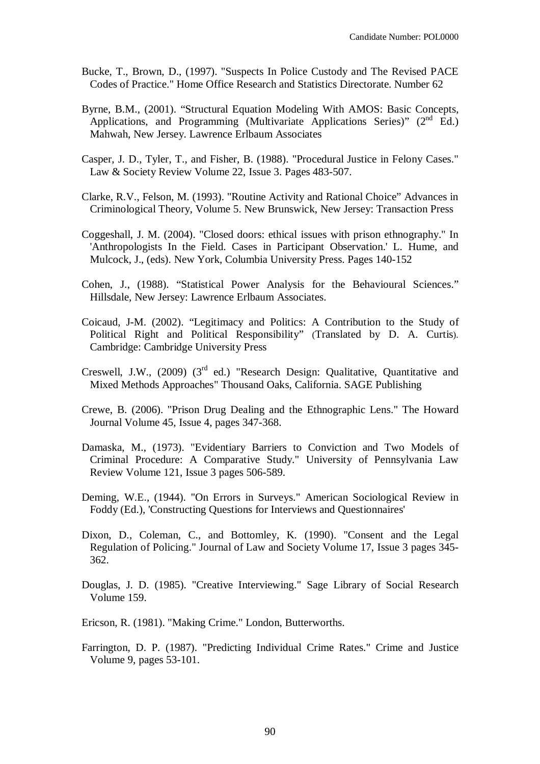- Bucke, T., Brown, D., (1997). "Suspects In Police Custody and The Revised PACE Codes of Practice." Home Office Research and Statistics Directorate. Number 62
- Byrne, B.M., (2001). "Structural Equation Modeling With AMOS: Basic Concepts, Applications, and Programming (Multivariate Applications Series)"  $(2<sup>nd</sup> Ed.)$ Mahwah, New Jersey. Lawrence Erlbaum Associates
- Casper, J. D., Tyler, T., and Fisher, B. (1988). "Procedural Justice in Felony Cases." Law & Society Review Volume 22, Issue 3. Pages 483-507.
- Clarke, R.V., Felson, M. (1993). "Routine Activity and Rational Choice" Advances in Criminological Theory, Volume 5. New Brunswick, New Jersey: Transaction Press
- Coggeshall, J. M. (2004). "Closed doors: ethical issues with prison ethnography." In 'Anthropologists In the Field. Cases in Participant Observation.' L. Hume, and Mulcock, J., (eds). New York, Columbia University Press. Pages 140-152
- Cohen, J., (1988). "Statistical Power Analysis for the Behavioural Sciences." Hillsdale, New Jersey: Lawrence Erlbaum Associates.
- Coicaud, J-M. (2002). "Legitimacy and Politics: A Contribution to the Study of Political Right and Political Responsibility" (Translated by D. A. Curtis). Cambridge: Cambridge University Press
- Creswell, J.W., (2009) ( $3<sup>rd</sup>$  ed.) "Research Design: Qualitative, Quantitative and Mixed Methods Approaches" Thousand Oaks, California. SAGE Publishing
- Crewe, B. (2006). "Prison Drug Dealing and the Ethnographic Lens." The Howard Journal Volume 45, Issue 4, pages 347-368.
- Damaska, M., (1973). "Evidentiary Barriers to Conviction and Two Models of Criminal Procedure: A Comparative Study." University of Pennsylvania Law Review Volume 121, Issue 3 pages 506-589.
- Deming, W.E., (1944). "On Errors in Surveys." American Sociological Review in Foddy (Ed.), 'Constructing Questions for Interviews and Questionnaires'
- Dixon, D., Coleman, C., and Bottomley, K. (1990). "Consent and the Legal Regulation of Policing." Journal of Law and Society Volume 17, Issue 3 pages 345- 362.
- Douglas, J. D. (1985). "Creative Interviewing." Sage Library of Social Research Volume 159.
- Ericson, R. (1981). "Making Crime." London, Butterworths.
- Farrington, D. P. (1987). "Predicting Individual Crime Rates." Crime and Justice Volume 9, pages 53-101.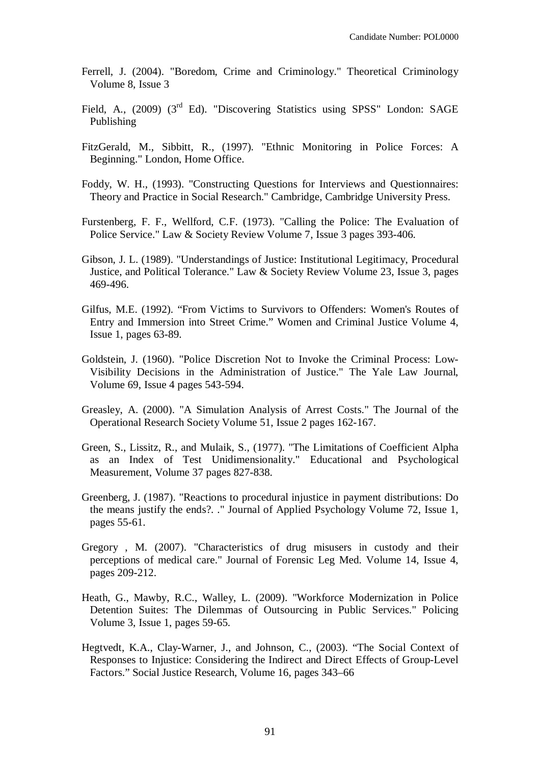- Ferrell, J. (2004). "Boredom, Crime and Criminology." Theoretical Criminology Volume 8, Issue 3
- Field, A., (2009) (3<sup>rd</sup> Ed). "Discovering Statistics using SPSS" London: SAGE Publishing
- FitzGerald, M., Sibbitt, R., (1997). "Ethnic Monitoring in Police Forces: A Beginning." London, Home Office.
- Foddy, W. H., (1993). "Constructing Questions for Interviews and Questionnaires: Theory and Practice in Social Research." Cambridge, Cambridge University Press.
- Furstenberg, F. F., Wellford, C.F. (1973). "Calling the Police: The Evaluation of Police Service." Law & Society Review Volume 7, Issue 3 pages 393-406.
- Gibson, J. L. (1989). "Understandings of Justice: Institutional Legitimacy, Procedural Justice, and Political Tolerance." Law & Society Review Volume 23, Issue 3, pages 469-496.
- Gilfus, M.E. (1992). "From Victims to Survivors to Offenders: Women's Routes of Entry and Immersion into Street Crime." Women and Criminal Justice Volume 4, Issue 1, pages 63-89.
- Goldstein, J. (1960). "Police Discretion Not to Invoke the Criminal Process: Low-Visibility Decisions in the Administration of Justice." The Yale Law Journal, Volume 69, Issue 4 pages 543-594.
- Greasley, A. (2000). "A Simulation Analysis of Arrest Costs." The Journal of the Operational Research Society Volume 51, Issue 2 pages 162-167.
- Green, S., Lissitz, R., and Mulaik, S., (1977). "The Limitations of Coefficient Alpha as an Index of Test Unidimensionality." Educational and Psychological Measurement, Volume 37 pages 827-838.
- Greenberg, J. (1987). "Reactions to procedural injustice in payment distributions: Do the means justify the ends?. ." Journal of Applied Psychology Volume 72, Issue 1, pages 55-61.
- Gregory , M. (2007). "Characteristics of drug misusers in custody and their perceptions of medical care." Journal of Forensic Leg Med. Volume 14, Issue 4, pages 209-212.
- Heath, G., Mawby, R.C., Walley, L. (2009). "Workforce Modernization in Police Detention Suites: The Dilemmas of Outsourcing in Public Services." Policing Volume 3, Issue 1, pages 59-65.
- Hegtvedt, K.A., Clay-Warner, J., and Johnson, C., (2003). "The Social Context of Responses to Injustice: Considering the Indirect and Direct Effects of Group-Level Factors." Social Justice Research, Volume 16, pages 343–66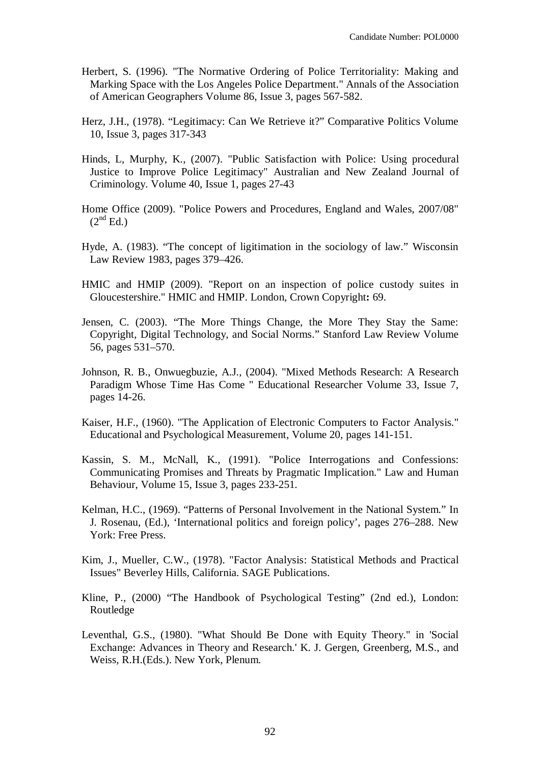- Herbert, S. (1996). "The Normative Ordering of Police Territoriality: Making and Marking Space with the Los Angeles Police Department." Annals of the Association of American Geographers Volume 86, Issue 3, pages 567-582.
- Herz, J.H., (1978). "Legitimacy: Can We Retrieve it?" Comparative Politics Volume 10, Issue 3, pages 317-343
- Hinds, L, Murphy, K., (2007). "Public Satisfaction with Police: Using procedural Justice to Improve Police Legitimacy" Australian and New Zealand Journal of Criminology. Volume 40, Issue 1, pages 27-43
- Home Office (2009). "Police Powers and Procedures, England and Wales, 2007/08"  $(2^{nd}$  Ed.)
- Hyde, A. (1983). "The concept of ligitimation in the sociology of law." Wisconsin Law Review 1983, pages 379–426.
- HMIC and HMIP (2009). "Report on an inspection of police custody suites in Gloucestershire." HMIC and HMIP. London, Crown Copyright**:** 69.
- Jensen, C. (2003). "The More Things Change, the More They Stay the Same: Copyright, Digital Technology, and Social Norms." Stanford Law Review Volume 56, pages 531–570.
- Johnson, R. B., Onwuegbuzie, A.J., (2004). "Mixed Methods Research: A Research Paradigm Whose Time Has Come " Educational Researcher Volume 33, Issue 7, pages 14-26.
- Kaiser, H.F., (1960). "The Application of Electronic Computers to Factor Analysis." Educational and Psychological Measurement, Volume 20, pages 141-151.
- Kassin, S. M., McNall, K., (1991). "Police Interrogations and Confessions: Communicating Promises and Threats by Pragmatic Implication." Law and Human Behaviour, Volume 15, Issue 3, pages 233-251.
- Kelman, H.C., (1969). "Patterns of Personal Involvement in the National System." In J. Rosenau, (Ed.), 'International politics and foreign policy', pages 276–288. New York: Free Press.
- Kim, J., Mueller, C.W., (1978). "Factor Analysis: Statistical Methods and Practical Issues" Beverley Hills, California. SAGE Publications.
- Kline, P., (2000) "The Handbook of Psychological Testing" (2nd ed.), London: Routledge
- Leventhal, G.S., (1980). "What Should Be Done with Equity Theory." in 'Social Exchange: Advances in Theory and Research.' K. J. Gergen, Greenberg, M.S., and Weiss, R.H.(Eds.). New York, Plenum.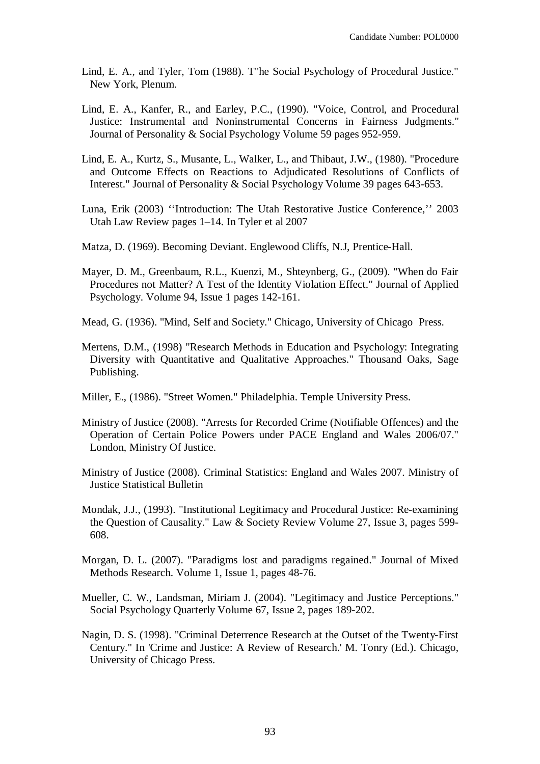- Lind, E. A., and Tyler, Tom (1988). T"he Social Psychology of Procedural Justice." New York, Plenum.
- Lind, E. A., Kanfer, R., and Earley, P.C., (1990). "Voice, Control, and Procedural Justice: Instrumental and Noninstrumental Concerns in Fairness Judgments." Journal of Personality & Social Psychology Volume 59 pages 952-959.
- Lind, E. A., Kurtz, S., Musante, L., Walker, L., and Thibaut, J.W., (1980). "Procedure and Outcome Effects on Reactions to Adjudicated Resolutions of Conflicts of Interest." Journal of Personality & Social Psychology Volume 39 pages 643-653.
- Luna, Erik (2003) ''Introduction: The Utah Restorative Justice Conference,'' 2003 Utah Law Review pages 1–14. In Tyler et al 2007
- Matza, D. (1969). Becoming Deviant. Englewood Cliffs, N.J, Prentice-Hall.
- Mayer, D. M., Greenbaum, R.L., Kuenzi, M., Shteynberg, G., (2009). "When do Fair Procedures not Matter? A Test of the Identity Violation Effect." Journal of Applied Psychology. Volume 94, Issue 1 pages 142-161.
- Mead, G. (1936). "Mind, Self and Society." Chicago, University of Chicago Press.
- Mertens, D.M., (1998) "Research Methods in Education and Psychology: Integrating Diversity with Quantitative and Qualitative Approaches." Thousand Oaks, Sage Publishing.
- Miller, E., (1986). "Street Women." Philadelphia. Temple University Press.
- Ministry of Justice (2008). "Arrests for Recorded Crime (Notifiable Offences) and the Operation of Certain Police Powers under PACE England and Wales 2006/07." London, Ministry Of Justice.
- Ministry of Justice (2008). Criminal Statistics: England and Wales 2007. Ministry of Justice Statistical Bulletin
- Mondak, J.J., (1993). "Institutional Legitimacy and Procedural Justice: Re-examining the Question of Causality." Law & Society Review Volume 27, Issue 3, pages 599- 608.
- Morgan, D. L. (2007). "Paradigms lost and paradigms regained." Journal of Mixed Methods Research. Volume 1, Issue 1, pages 48-76.
- Mueller, C. W., Landsman, Miriam J. (2004). "Legitimacy and Justice Perceptions." Social Psychology Quarterly Volume 67, Issue 2, pages 189-202.
- Nagin, D. S. (1998). "Criminal Deterrence Research at the Outset of the Twenty-First Century." In 'Crime and Justice: A Review of Research.' M. Tonry (Ed.). Chicago, University of Chicago Press.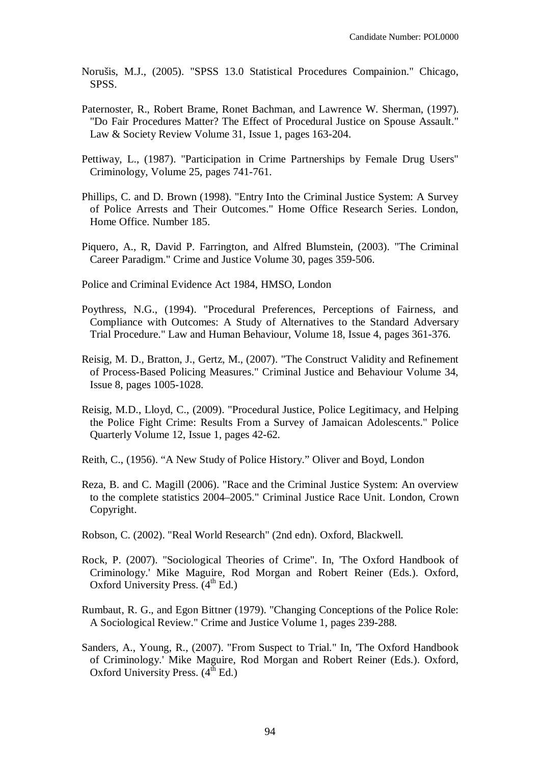Norušis, M.J., (2005). "SPSS 13.0 Statistical Procedures Compainion." Chicago, SPSS.

- Paternoster, R., Robert Brame, Ronet Bachman, and Lawrence W. Sherman, (1997). "Do Fair Procedures Matter? The Effect of Procedural Justice on Spouse Assault." Law & Society Review Volume 31, Issue 1, pages 163-204.
- Pettiway, L., (1987). "Participation in Crime Partnerships by Female Drug Users" Criminology, Volume 25, pages 741-761.
- Phillips, C. and D. Brown (1998). "Entry Into the Criminal Justice System: A Survey of Police Arrests and Their Outcomes." Home Office Research Series. London, Home Office. Number 185.
- Piquero, A., R, David P. Farrington, and Alfred Blumstein, (2003). "The Criminal Career Paradigm." Crime and Justice Volume 30, pages 359-506.

Police and Criminal Evidence Act 1984, HMSO, London

- Poythress, N.G., (1994). "Procedural Preferences, Perceptions of Fairness, and Compliance with Outcomes: A Study of Alternatives to the Standard Adversary Trial Procedure." Law and Human Behaviour, Volume 18, Issue 4, pages 361-376.
- Reisig, M. D., Bratton, J., Gertz, M., (2007). "The Construct Validity and Refinement of Process-Based Policing Measures." Criminal Justice and Behaviour Volume 34, Issue 8, pages 1005-1028.
- Reisig, M.D., Lloyd, C., (2009). "Procedural Justice, Police Legitimacy, and Helping the Police Fight Crime: Results From a Survey of Jamaican Adolescents." Police Quarterly Volume 12, Issue 1, pages 42-62.

Reith, C., (1956). "A New Study of Police History." Oliver and Boyd, London

- Reza, B. and C. Magill (2006). "Race and the Criminal Justice System: An overview to the complete statistics 2004–2005." Criminal Justice Race Unit. London, Crown Copyright.
- Robson, C. (2002). "Real World Research" (2nd edn). Oxford, Blackwell.
- Rock, P. (2007). "Sociological Theories of Crime". In, 'The Oxford Handbook of Criminology.' Mike Maguire, Rod Morgan and Robert Reiner (Eds.). Oxford, Oxford University Press.  $(4<sup>th</sup> Ed.)$
- Rumbaut, R. G., and Egon Bittner (1979). "Changing Conceptions of the Police Role: A Sociological Review." Crime and Justice Volume 1, pages 239-288.
- Sanders, A., Young, R., (2007). "From Suspect to Trial." In, 'The Oxford Handbook of Criminology.' Mike Maguire, Rod Morgan and Robert Reiner (Eds.). Oxford, Oxford University Press.  $(4<sup>th</sup> Ed.)$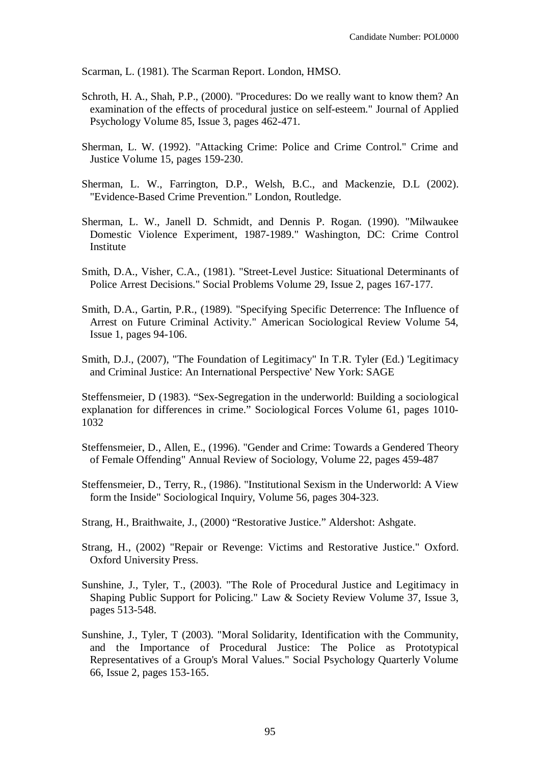Scarman, L. (1981). The Scarman Report. London, HMSO.

- Schroth, H. A., Shah, P.P., (2000). "Procedures: Do we really want to know them? An examination of the effects of procedural justice on self-esteem." Journal of Applied Psychology Volume 85, Issue 3, pages 462-471.
- Sherman, L. W. (1992). "Attacking Crime: Police and Crime Control." Crime and Justice Volume 15, pages 159-230.
- Sherman, L. W., Farrington, D.P., Welsh, B.C., and Mackenzie, D.L (2002). "Evidence-Based Crime Prevention." London, Routledge.
- Sherman, L. W., Janell D. Schmidt, and Dennis P. Rogan. (1990). "Milwaukee Domestic Violence Experiment, 1987-1989." Washington, DC: Crime Control Institute
- Smith, D.A., Visher, C.A., (1981). "Street-Level Justice: Situational Determinants of Police Arrest Decisions." Social Problems Volume 29, Issue 2, pages 167-177.
- Smith, D.A., Gartin, P.R., (1989). "Specifying Specific Deterrence: The Influence of Arrest on Future Criminal Activity." American Sociological Review Volume 54, Issue 1, pages 94-106.
- Smith, D.J., (2007), "The Foundation of Legitimacy" In T.R. Tyler (Ed.) 'Legitimacy and Criminal Justice: An International Perspective' New York: SAGE

Steffensmeier, D (1983). "Sex-Segregation in the underworld: Building a sociological explanation for differences in crime." Sociological Forces Volume 61, pages 1010- 1032

Steffensmeier, D., Allen, E., (1996). "Gender and Crime: Towards a Gendered Theory of Female Offending" Annual Review of Sociology, Volume 22, pages 459-487

- Steffensmeier, D., Terry, R., (1986). "Institutional Sexism in the Underworld: A View form the Inside" Sociological Inquiry, Volume 56, pages 304-323.
- Strang, H., Braithwaite, J., (2000) "Restorative Justice." Aldershot: Ashgate.
- Strang, H., (2002) "Repair or Revenge: Victims and Restorative Justice." Oxford. Oxford University Press.
- Sunshine, J., Tyler, T., (2003). "The Role of Procedural Justice and Legitimacy in Shaping Public Support for Policing." Law & Society Review Volume 37, Issue 3, pages 513-548.
- Sunshine, J., Tyler, T (2003). "Moral Solidarity, Identification with the Community, and the Importance of Procedural Justice: The Police as Prototypical Representatives of a Group's Moral Values." Social Psychology Quarterly Volume 66, Issue 2, pages 153-165.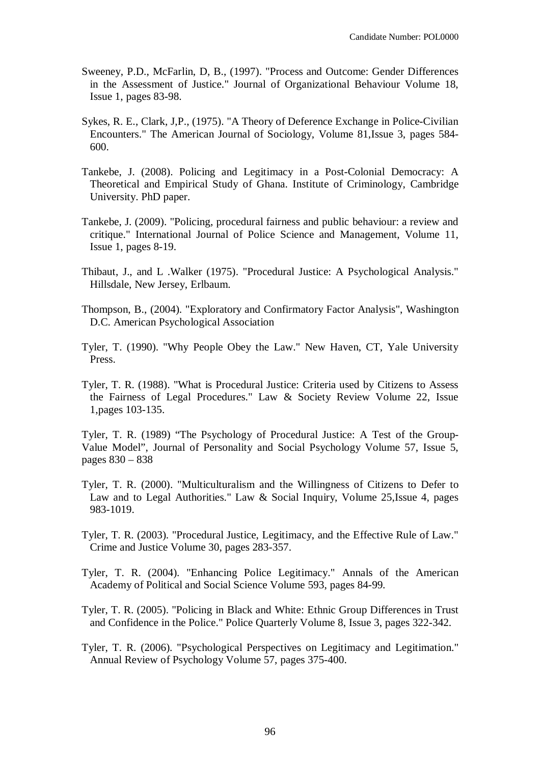- Sweeney, P.D., McFarlin, D, B., (1997). "Process and Outcome: Gender Differences in the Assessment of Justice." Journal of Organizational Behaviour Volume 18, Issue 1, pages 83-98.
- Sykes, R. E., Clark, J,P., (1975). "A Theory of Deference Exchange in Police-Civilian Encounters." The American Journal of Sociology, Volume 81,Issue 3, pages 584- 600.
- Tankebe, J. (2008). Policing and Legitimacy in a Post-Colonial Democracy: A Theoretical and Empirical Study of Ghana. Institute of Criminology, Cambridge University. PhD paper.
- Tankebe, J. (2009). "Policing, procedural fairness and public behaviour: a review and critique." International Journal of Police Science and Management, Volume 11, Issue 1, pages 8-19.
- Thibaut, J., and L .Walker (1975). "Procedural Justice: A Psychological Analysis." Hillsdale, New Jersey, Erlbaum.
- Thompson, B., (2004). "Exploratory and Confirmatory Factor Analysis", Washington D.C. American Psychological Association
- Tyler, T. (1990). "Why People Obey the Law." New Haven, CT, Yale University Press.
- Tyler, T. R. (1988). "What is Procedural Justice: Criteria used by Citizens to Assess the Fairness of Legal Procedures." Law & Society Review Volume 22, Issue 1,pages 103-135.

Tyler, T. R. (1989) "The Psychology of Procedural Justice: A Test of the Group-Value Model", Journal of Personality and Social Psychology Volume 57, Issue 5, pages 830 – 838

- Tyler, T. R. (2000). "Multiculturalism and the Willingness of Citizens to Defer to Law and to Legal Authorities." Law & Social Inquiry, Volume 25,Issue 4, pages 983-1019.
- Tyler, T. R. (2003). "Procedural Justice, Legitimacy, and the Effective Rule of Law." Crime and Justice Volume 30, pages 283-357.
- Tyler, T. R. (2004). "Enhancing Police Legitimacy." Annals of the American Academy of Political and Social Science Volume 593, pages 84-99.
- Tyler, T. R. (2005). "Policing in Black and White: Ethnic Group Differences in Trust and Confidence in the Police." Police Quarterly Volume 8, Issue 3, pages 322-342.
- Tyler, T. R. (2006). "Psychological Perspectives on Legitimacy and Legitimation." Annual Review of Psychology Volume 57, pages 375-400.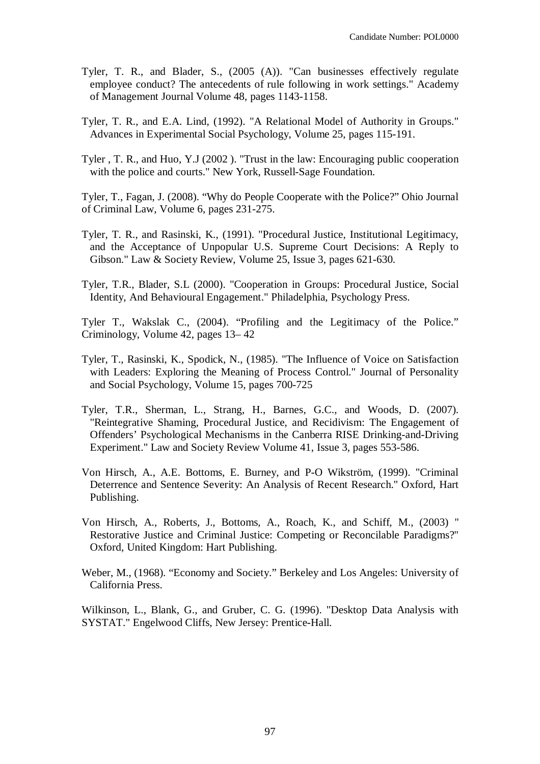- Tyler, T. R., and Blader, S., (2005 (A)). "Can businesses effectively regulate employee conduct? The antecedents of rule following in work settings." Academy of Management Journal Volume 48, pages 1143-1158.
- Tyler, T. R., and E.A. Lind, (1992). "A Relational Model of Authority in Groups." Advances in Experimental Social Psychology, Volume 25, pages 115-191.
- Tyler , T. R., and Huo, Y.J (2002 ). "Trust in the law: Encouraging public cooperation with the police and courts." New York, Russell-Sage Foundation.

Tyler, T., Fagan, J. (2008). "Why do People Cooperate with the Police?" Ohio Journal of Criminal Law, Volume 6, pages 231-275.

- Tyler, T. R., and Rasinski, K., (1991). "Procedural Justice, Institutional Legitimacy, and the Acceptance of Unpopular U.S. Supreme Court Decisions: A Reply to Gibson." Law & Society Review, Volume 25, Issue 3, pages 621-630.
- Tyler, T.R., Blader, S.L (2000). "Cooperation in Groups: Procedural Justice, Social Identity, And Behavioural Engagement." Philadelphia, Psychology Press.

Tyler T., Wakslak C., (2004). "Profiling and the Legitimacy of the Police." Criminology, Volume 42, pages 13– 42

- Tyler, T., Rasinski, K., Spodick, N., (1985). "The Influence of Voice on Satisfaction with Leaders: Exploring the Meaning of Process Control." Journal of Personality and Social Psychology, Volume 15, pages 700-725
- Tyler, T.R., Sherman, L., Strang, H., Barnes, G.C., and Woods, D. (2007). "Reintegrative Shaming, Procedural Justice, and Recidivism: The Engagement of Offenders' Psychological Mechanisms in the Canberra RISE Drinking-and-Driving Experiment." Law and Society Review Volume 41, Issue 3, pages 553-586.
- Von Hirsch, A., A.E. Bottoms, E. Burney, and P-O Wikström, (1999). "Criminal Deterrence and Sentence Severity: An Analysis of Recent Research." Oxford, Hart Publishing.
- Von Hirsch, A., Roberts, J., Bottoms, A., Roach, K., and Schiff, M., (2003) " Restorative Justice and Criminal Justice: Competing or Reconcilable Paradigms?" Oxford, United Kingdom: Hart Publishing.
- Weber, M., (1968). "Economy and Society." Berkeley and Los Angeles: University of California Press.

Wilkinson, L., Blank, G., and Gruber, C. G. (1996). "Desktop Data Analysis with SYSTAT." Engelwood Cliffs, New Jersey: Prentice-Hall.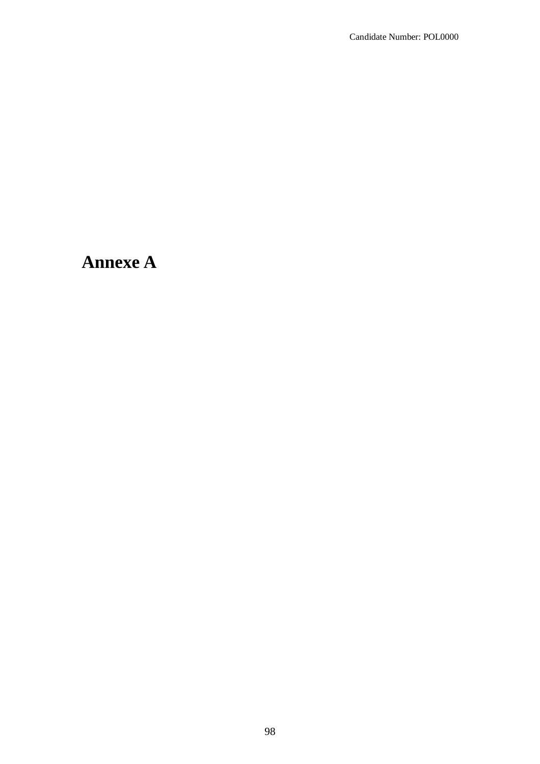# **Annexe A**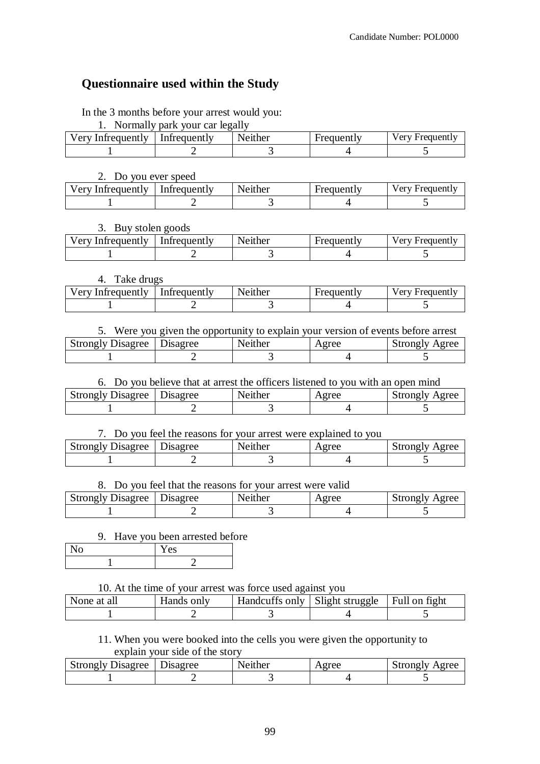## **Questionnaire used within the Study**

In the 3 months before your arrest would you:

1. Normally park your car legally

| Very Infrequently | Infrequently | Neither | <b>Frequently</b> | Verv Frequently |
|-------------------|--------------|---------|-------------------|-----------------|
|                   |              |         |                   |                 |

#### 2. Do you ever speed

| Very Infrequently | Infrequently | Neither | Frequently | Verv Frequently |
|-------------------|--------------|---------|------------|-----------------|
|                   |              |         |            |                 |

## 3. Buy stolen goods

| Very Infrequently | Infrequently | Neither | Frequently | Very Frequently |
|-------------------|--------------|---------|------------|-----------------|
|                   |              |         |            |                 |

#### 4. Take drugs

| Very Infrequently | Infrequently | Neither | Frequently | Very Frequently |
|-------------------|--------------|---------|------------|-----------------|
|                   |              |         |            |                 |

| 5. Were you given the opportunity to explain your version of events before arrest |  |  |  |  |  |
|-----------------------------------------------------------------------------------|--|--|--|--|--|
| <b>Strongly Disagree</b>   Disagree<br>Neither<br><b>Strongly Agree</b><br>Agree  |  |  |  |  |  |
|                                                                                   |  |  |  |  |  |

## 6. Do you believe that at arrest the officers listened to you with an open mind Strongly Disagree | Disagree | Neither | Agree | Strongly Agree

| Strongly Disagree | Disagree | enther | $\alpha$ ree<br>ᄄᄔ | Strongly Agree |
|-------------------|----------|--------|--------------------|----------------|
|                   |          |        |                    |                |

## 7. Do you feel the reasons for your arrest were explained to you

| Strongly Disagree | Disagree | Neither | Agree | Strongly Agree |
|-------------------|----------|---------|-------|----------------|
|                   |          |         |       |                |

#### 8. Do you feel that the reasons for your arrest were valid

| <b>Strongly Disagree</b> | Disagree | Neither | Agree | Strongly Agree |
|--------------------------|----------|---------|-------|----------------|
|                          |          |         |       |                |

#### 9. Have you been arrested before

| 1 E.S |
|-------|
|       |

#### 10. At the time of your arrest was force used against you

| None at all | Hands only | Handcuffs only   Slight struggle   Full on fight |  |
|-------------|------------|--------------------------------------------------|--|
|             |            |                                                  |  |

## 11. When you were booked into the cells you were given the opportunity to explain your side of the story

| Jisagree<br>strongly | $\overline{\phantom{a}}$<br><b>Isagree</b> | N.<br>enther | $\sim$ 44 $\sim$ $\sim$ | Agree<br>$+$ 44 $-$ 44 $-$ 1 $-$ 7<br>ONTIV |
|----------------------|--------------------------------------------|--------------|-------------------------|---------------------------------------------|
|                      |                                            |              |                         |                                             |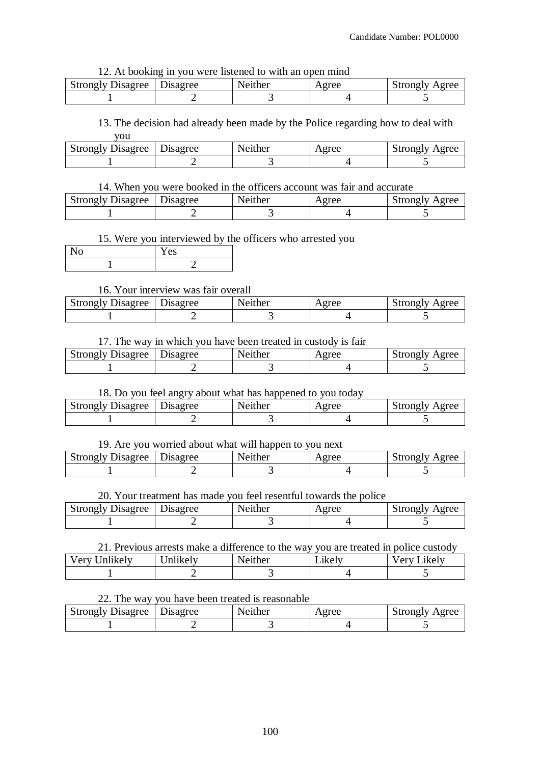#### 12. At booking in you were listened to with an open mind

| Strongly Disagree   Disagree | Neither | Agree | Strongly Agree |
|------------------------------|---------|-------|----------------|
|                              |         |       |                |

#### 13. The decision had already been made by the Police regarding how to deal with you

| <b>Strongly Disagree</b>   Disagree | Neither | Agree | Strongly Agree |
|-------------------------------------|---------|-------|----------------|
|                                     |         |       |                |

#### 14. When you were booked in the officers account was fair and accurate

| <b>Strongly Disagree</b> | Disagree | Neither | Agree | Strongly Agree |
|--------------------------|----------|---------|-------|----------------|
|                          |          |         |       |                |

## 15. Were you interviewed by the officers who arrested you

| es |
|----|
|    |

## 16. Your interview was fair overall

| Disagree<br>Strongly | <b>Jisagree</b> | Neither | $\alpha$ rec<br>-1 U V | Agree<br>strongly |
|----------------------|-----------------|---------|------------------------|-------------------|
|                      |                 |         |                        |                   |

#### 17. The way in which you have been treated in custody is fair

| Strongly Disagree   Disagree | Neither | Agree | Strongly Agree |
|------------------------------|---------|-------|----------------|
|                              |         |       |                |

## 18. Do you feel angry about what has happened to you today

| <b>Strongly Disagree</b> | --<br>Disagree | Neither | Agree | Strongly Agree |
|--------------------------|----------------|---------|-------|----------------|
|                          |                |         |       |                |
|                          |                |         |       |                |

#### 19. Are you worried about what will happen to you next

| <b>Strongly Disagree</b>   Disagree | Neither | Agree | Strongly Agree |
|-------------------------------------|---------|-------|----------------|
|                                     |         |       |                |

## 20. Your treatment has made you feel resentful towards the police

| <b>Strongly Disagree</b> | Disagree | Neither | veree | Strongly<br>Agree |
|--------------------------|----------|---------|-------|-------------------|
|                          |          |         |       |                   |

#### 21. Previous arrests make a difference to the way you are treated in police custody

| $\cdots$<br>Very l<br>/nlikelv | $\bullet$ $\bullet$<br>$ln 1k$ el $v$ | Neither | $\bullet$<br>1ke Iv<br>$-$ in $\sim$ | ∟ikelv -<br>ATU |
|--------------------------------|---------------------------------------|---------|--------------------------------------|-----------------|
|                                |                                       |         |                                      |                 |

#### 22. The way you have been treated is reasonable

| Strongly Disagree   Disagree | Neither | Agree | Strongly Agree |
|------------------------------|---------|-------|----------------|
|                              |         |       |                |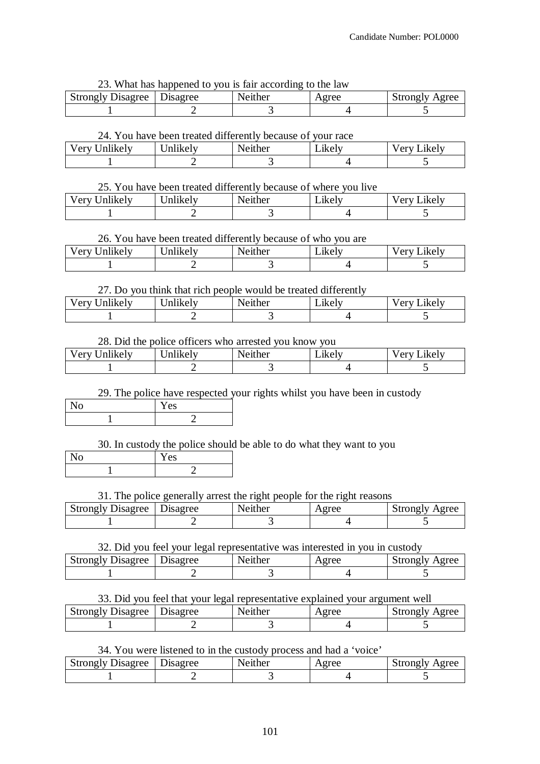23. What has happened to you is fair according to the law

| <b>Strongly Disagree</b> | <b>D</b> isagree | Neither | Agree | Strongly Agree |
|--------------------------|------------------|---------|-------|----------------|
|                          |                  |         |       |                |

#### 24. You have been treated differently because of your race

|                    |          | -------------- | ------------       |                |
|--------------------|----------|----------------|--------------------|----------------|
| Very U<br>Jnlikelv | Jnlikelv | Neither        | $\mathbf{L}$ ikely | ∟ikelv<br>very |
|                    |          |                |                    |                |

#### 25. You have been treated differently because of where you live

| $\cdots$<br>Very<br>∪nlıkelv | Inlikely | Neither | ∟ikelv | V Arv<br>$\mathcal{L}$ ikely |
|------------------------------|----------|---------|--------|------------------------------|
|                              |          |         |        |                              |

## 26. You have been treated differently because of who you are

| $\cdots$<br>very<br>∪nlıkelv | . .<br>$ -$<br>Jnlikelv | Neither | $\bullet$<br>Likely | ∟ikelv⊣<br>V erv |
|------------------------------|-------------------------|---------|---------------------|------------------|
|                              |                         |         |                     |                  |

## 27. Do you think that rich people would be treated differently

| .<br>√ery<br>nlıkelv | $\cdots$<br>rт<br>Jnlikelv | Neither | $\cdot$<br>$\mathcal{L}$ kely | $I$ $\alpha$ rv<br>∟ikelv⊣ |
|----------------------|----------------------------|---------|-------------------------------|----------------------------|
|                      |                            |         |                               |                            |

#### 28. Did the police officers who arrested you know you

| 1.11<br>$V$ $_{\rm \bf err}$<br>Jnlikelv<br>$\mathbf{u}$ | .<br>Inlikely | enther | $\bullet$<br>1KA IV<br>еше | $\mathsf{L}$ ikel $v$<br>$\sqrt{\rho r}$<br>◡ェ |
|----------------------------------------------------------|---------------|--------|----------------------------|------------------------------------------------|
|                                                          |               |        |                            |                                                |

## 29. The police have respected your rights whilst you have been in custody

| ັ | ৬১ |
|---|----|
|   |    |

30. In custody the police should be able to do what they want to you

| NO. | Y es |
|-----|------|
|     |      |

#### 31. The police generally arrest the right people for the right reasons

| <b>Strongly Disagree</b> | Jisagree | Neither | Agree | strongly<br>Agree |
|--------------------------|----------|---------|-------|-------------------|
|                          |          |         |       |                   |

#### 32. Did you feel your legal representative was interested in you in custody

| Strongly Disagree   Disagree | Neither | Agree | Strongly Agree |
|------------------------------|---------|-------|----------------|
|                              |         |       |                |

#### 33. Did you feel that your legal representative explained your argument well

| <b>Strongly Disagree</b> | Disagree | Neither | veree | Strongly Agree |
|--------------------------|----------|---------|-------|----------------|
|                          |          |         |       |                |

## 34. You were listened to in the custody process and had a 'voice'

| <b>Strongly Disagree</b> | Disagree | Neither | Agree | Agree<br>Strongly |
|--------------------------|----------|---------|-------|-------------------|
|                          |          |         |       |                   |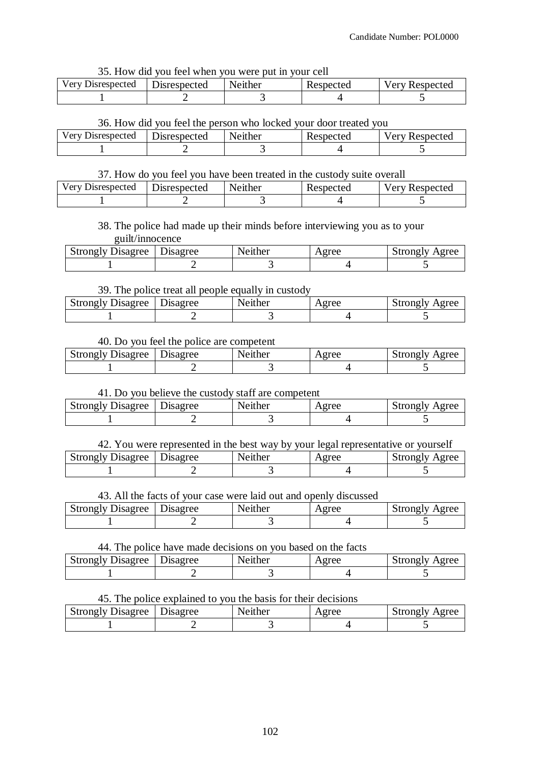35. How did you feel when you were put in your cell

| Disrespected<br>Verv. | <b>Jisrespected</b> | Neither | Respected | Respected<br>very |
|-----------------------|---------------------|---------|-----------|-------------------|
|                       |                     |         |           |                   |

#### 36. How did you feel the person who locked your door treated you

| Very Disrespected | <b>Disrespected</b> | Neither | Respected | Respected<br>v er v |
|-------------------|---------------------|---------|-----------|---------------------|
|                   |                     |         |           |                     |

## 37. How do you feel you have been treated in the custody suite overall

| Very Disrespected | <b>Disrespected</b> | Neither | Respected | <b>Very Respected</b> |
|-------------------|---------------------|---------|-----------|-----------------------|
|                   |                     |         |           |                       |

## 38. The police had made up their minds before interviewing you as to your guilt/innocence

| Disagree<br>strongly | $\overline{\phantom{a}}$<br><b>Isagree</b> | ther<br>`` | $\sigma$ ree | Agree<br>itrong Iv<br>v.i |
|----------------------|--------------------------------------------|------------|--------------|---------------------------|
|                      |                                            |            |              |                           |

## 39. The police treat all people equally in custody

| Strongly | $\overline{\phantom{a}}$ | enther        | Agree | strongly |
|----------|--------------------------|---------------|-------|----------|
| Disagree | rsagree                  | $N\mathbf{P}$ |       | Agree    |
|          |                          |               |       |          |

## 40. Do you feel the police are competent

| <b>Strongly Disagree</b> | Disagree | Neither | Agree | Strongly Agree |
|--------------------------|----------|---------|-------|----------------|
|                          |          |         |       |                |

## 41. Do you believe the custody staff are competent

| Strongly Disagree   Disagree | Neither | Agree | Strongly Agree |
|------------------------------|---------|-------|----------------|
|                              |         |       |                |

| 42. You were represented in the best way by your legal representative or yourself |  |         |                |                            |
|-----------------------------------------------------------------------------------|--|---------|----------------|----------------------------|
| Strongly Disagree Disagree                                                        |  | Neither | $\Lambda$ orga | $\mathsf{K}$ trongly Agree |

| <b>Strongly Disagree</b> | <b>J</b> isagree | ther<br>∗م∨، | $\sigma$ ree<br>121 UU | Agree<br>strongly |
|--------------------------|------------------|--------------|------------------------|-------------------|
|                          |                  |              |                        |                   |

## 43. All the facts of your case were laid out and openly discussed

| <b>Strongly Disagree</b> | Disagree | Neither | Agree | Strongly<br>Agree |
|--------------------------|----------|---------|-------|-------------------|
|                          |          |         |       |                   |

#### 44. The police have made decisions on you based on the facts

| <b>Strongly Disagree</b> | Disagree | Neither | Agree | Strongly Agree |
|--------------------------|----------|---------|-------|----------------|
|                          |          |         |       |                |

## 45. The police explained to you the basis for their decisions

| Strongly Disagree   Disagree | Neither | Agree | Strongly Agree |
|------------------------------|---------|-------|----------------|
|                              |         |       |                |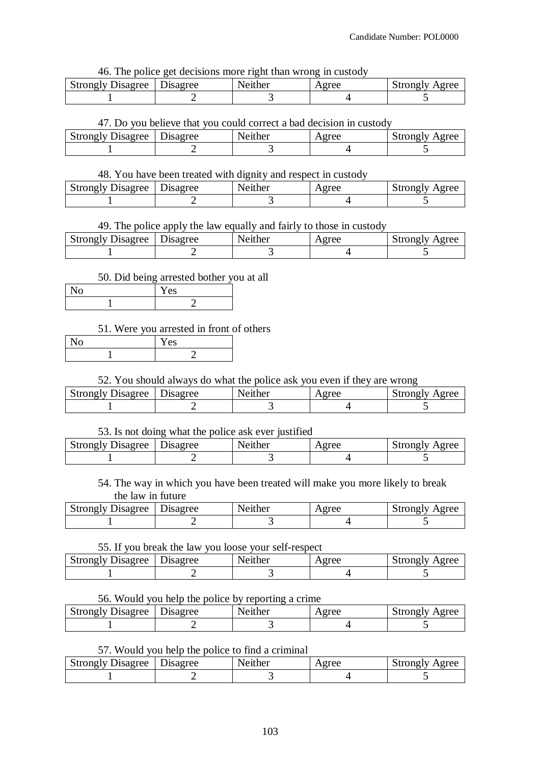#### 46. The police get decisions more right than wrong in custody

| <b>Strongly Disagree</b> | Disagree | Neither | Agree | Strongly Agree |
|--------------------------|----------|---------|-------|----------------|
|                          |          |         |       |                |

#### 47. Do you believe that you could correct a bad decision in custody

| <b>Strongly Disagree</b> | <b>J</b> isagree | Neither | oree<br>14 L V | <sup>1</sup> urongiv<br>Agree |
|--------------------------|------------------|---------|----------------|-------------------------------|
|                          |                  |         |                |                               |

## 48. You have been treated with dignity and respect in custody

| <b>Strongly Disagree</b> | Disagree | Neither | Agree | Strongly<br>Agree |
|--------------------------|----------|---------|-------|-------------------|
|                          |          |         |       |                   |

## 49. The police apply the law equally and fairly to those in custody

| <b>Strongly Disagree</b> | Disagree | Neither | Agree | Strongly Agree |
|--------------------------|----------|---------|-------|----------------|
|                          |          |         |       |                |

#### 50. Did being arrested bother you at all

| r es |
|------|
|      |

## 51. Were you arrested in front of others

| ιU | Y es |
|----|------|
|    |      |

#### 52. You should always do what the police ask you even if they are wrong

| <b>Strongly Disagree</b> | Disagree | Neither | Agree | Strongly<br>Agree |
|--------------------------|----------|---------|-------|-------------------|
|                          |          |         |       |                   |

#### 53. Is not doing what the police ask ever justified

| <b>Strongly Disagree</b> | Disagree | Neither | Agree | Strongly Agree |
|--------------------------|----------|---------|-------|----------------|
|                          |          |         |       |                |

54. The way in which you have been treated will make you more likely to break the law in future

| <b>Strongly Disagree</b> | Disagree | Neither | $\Omega$ ree | Strongly Agree |
|--------------------------|----------|---------|--------------|----------------|
|                          |          |         |              |                |

#### 55. If you break the law you loose your self-respect

| <b>Strongly Disagree</b> | Disagree | Neither | Agree | Strongly Agree |
|--------------------------|----------|---------|-------|----------------|
|                          |          |         |       |                |

#### 56. Would you help the police by reporting a crime

| <b>Strongly Disagree</b>   Disagree | Neither | Agree | Strongly Agree |
|-------------------------------------|---------|-------|----------------|
|                                     |         |       |                |

## 57. Would you help the police to find a criminal

| <b>Strongly Disagree</b> | Disagree | Neither | Agree | Strongly Agree |
|--------------------------|----------|---------|-------|----------------|
|                          |          |         |       |                |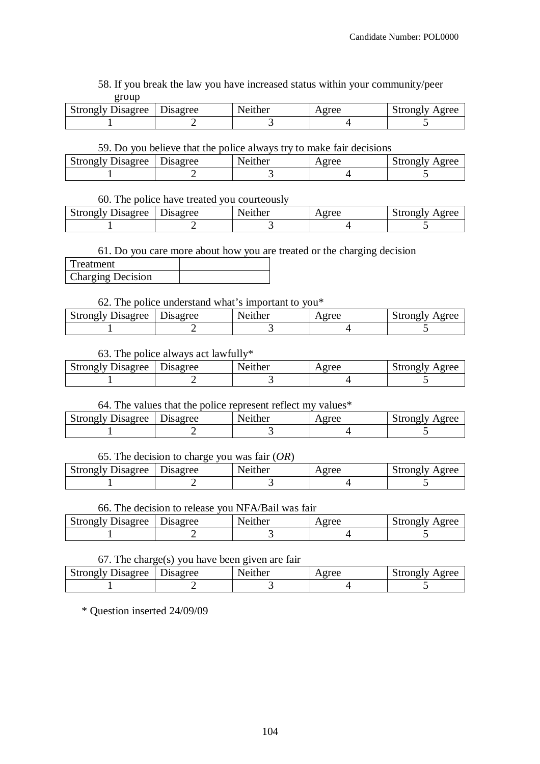58. If you break the law you have increased status within your community/peer group

| <b>Strongly Disagree</b> | Disagree | Neither | oree<br>14 L V | Agree<br><sup>1</sup> strongly |
|--------------------------|----------|---------|----------------|--------------------------------|
|                          |          |         |                |                                |

#### 59. Do you believe that the police always try to make fair decisions

| <b>Strongly Disagree</b> | Disagree | Neither | Agree | Strongly Agree |
|--------------------------|----------|---------|-------|----------------|
|                          |          |         |       |                |

#### 60. The police have treated you courteously

| Strongly Disagree   Disagree | Neither | Agree | Strongly Agree |
|------------------------------|---------|-------|----------------|
|                              |         |       |                |

#### 61. Do you care more about how you are treated or the charging decision

| Treatment                |  |
|--------------------------|--|
| <b>Charging Decision</b> |  |

#### 62. The police understand what's important to you\*

| <b>Strongly Disagree</b> | Disagree | Neither | Agree | Strongly Agree |
|--------------------------|----------|---------|-------|----------------|
|                          |          |         |       |                |

## 63. The police always act lawfully\*

| <b>Strongly Disagree</b> | ) isagree | Neither | Agree | Agree<br>strongly |
|--------------------------|-----------|---------|-------|-------------------|
|                          |           |         |       |                   |

#### 64. The values that the police represent reflect my values\*

| <b>Strongly Disagree</b> | Disagree | Neither | Agree | Strongly Agree |
|--------------------------|----------|---------|-------|----------------|
|                          |          |         |       |                |

#### 65. The decision to charge you was fair (*OR*)

| Strongly Disagree   Disagree | Neither | Agree | Strongly Agree |
|------------------------------|---------|-------|----------------|
|                              |         |       |                |

#### 66. The decision to release you NFA/Bail was fair

| Strongly Disagree   Disagree | Neither | Agree | Strongly Agree |
|------------------------------|---------|-------|----------------|
|                              |         |       |                |

#### 67. The charge(s) you have been given are fair

| Strongly Disagree | Disagree | Neither | . oree<br>$\lambda$ and $\lambda$ | Agree<br>strongly |
|-------------------|----------|---------|-----------------------------------|-------------------|
|                   |          |         |                                   |                   |

\* Question inserted 24/09/09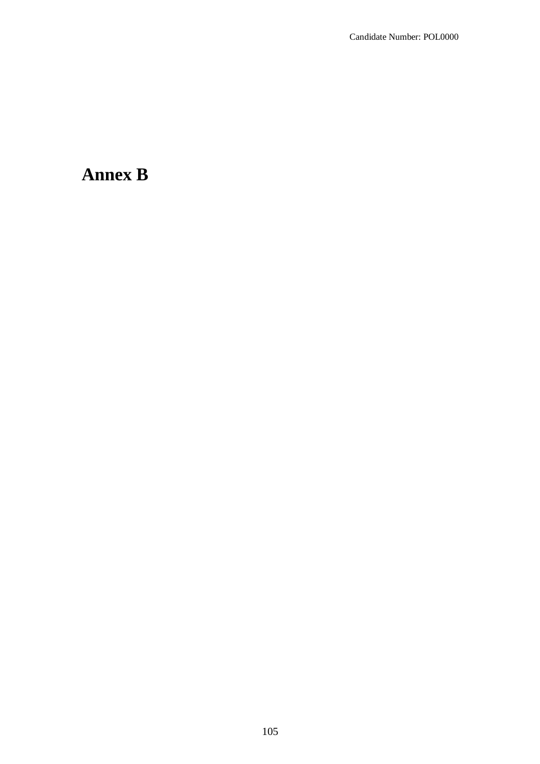# **Annex B**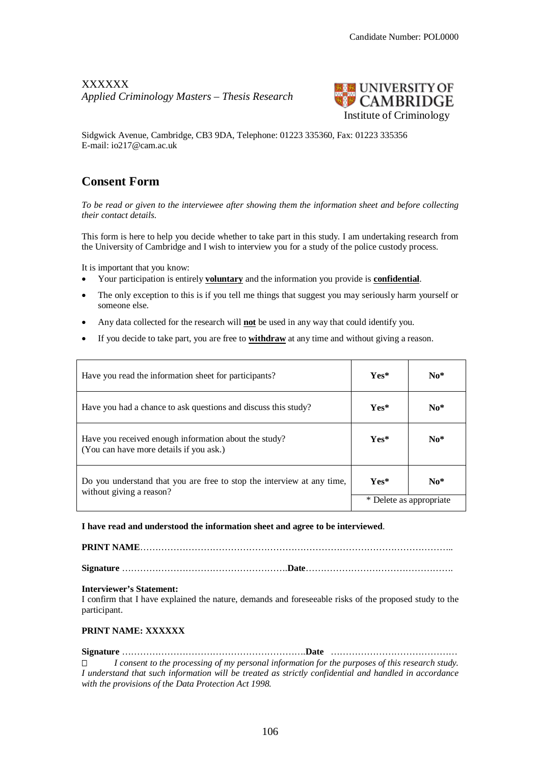## XXXXXX *Applied Criminology Masters – Thesis Research*



Sidgwick Avenue, Cambridge, CB3 9DA, Telephone: 01223 335360, Fax: 01223 335356 E-mail: io217@cam.ac.uk

## **Consent Form**

*To be read or given to the interviewee after showing them the information sheet and before collecting their contact details.*

This form is here to help you decide whether to take part in this study. I am undertaking research from the University of Cambridge and I wish to interview you for a study of the police custody process.

It is important that you know:

- Your participation is entirely **voluntary** and the information you provide is **confidential**.
- The only exception to this is if you tell me things that suggest you may seriously harm yourself or someone else.
- Any data collected for the research will **not** be used in any way that could identify you.
- If you decide to take part, you are free to **withdraw** at any time and without giving a reason.

| Have you read the information sheet for participants?                                              | $Yes*$                  | $No*$ |
|----------------------------------------------------------------------------------------------------|-------------------------|-------|
| Have you had a chance to ask questions and discuss this study?                                     | $Yes*$                  | $No*$ |
| Have you received enough information about the study?<br>(You can have more details if you ask.)   | $Yes*$                  | $No*$ |
| Do you understand that you are free to stop the interview at any time,<br>without giving a reason? | $Yes*$                  | $No*$ |
|                                                                                                    | * Delete as appropriate |       |

**I have read and understood the information sheet and agree to be interviewed**.

**PRINT NAME**…………………………………………………………………………………………..

**Signature** ……………………………………………….**Date**………………………………………….

#### **Interviewer's Statement:**

I confirm that I have explained the nature, demands and foreseeable risks of the proposed study to the participant.

#### **PRINT NAME: XXXXXX**

## **Signature** …………………………………………………….**Date** ……………………………………

 *I consent to the processing of my personal information for the purposes of this research study. I understand that such information will be treated as strictly confidential and handled in accordance with the provisions of the Data Protection Act 1998.*